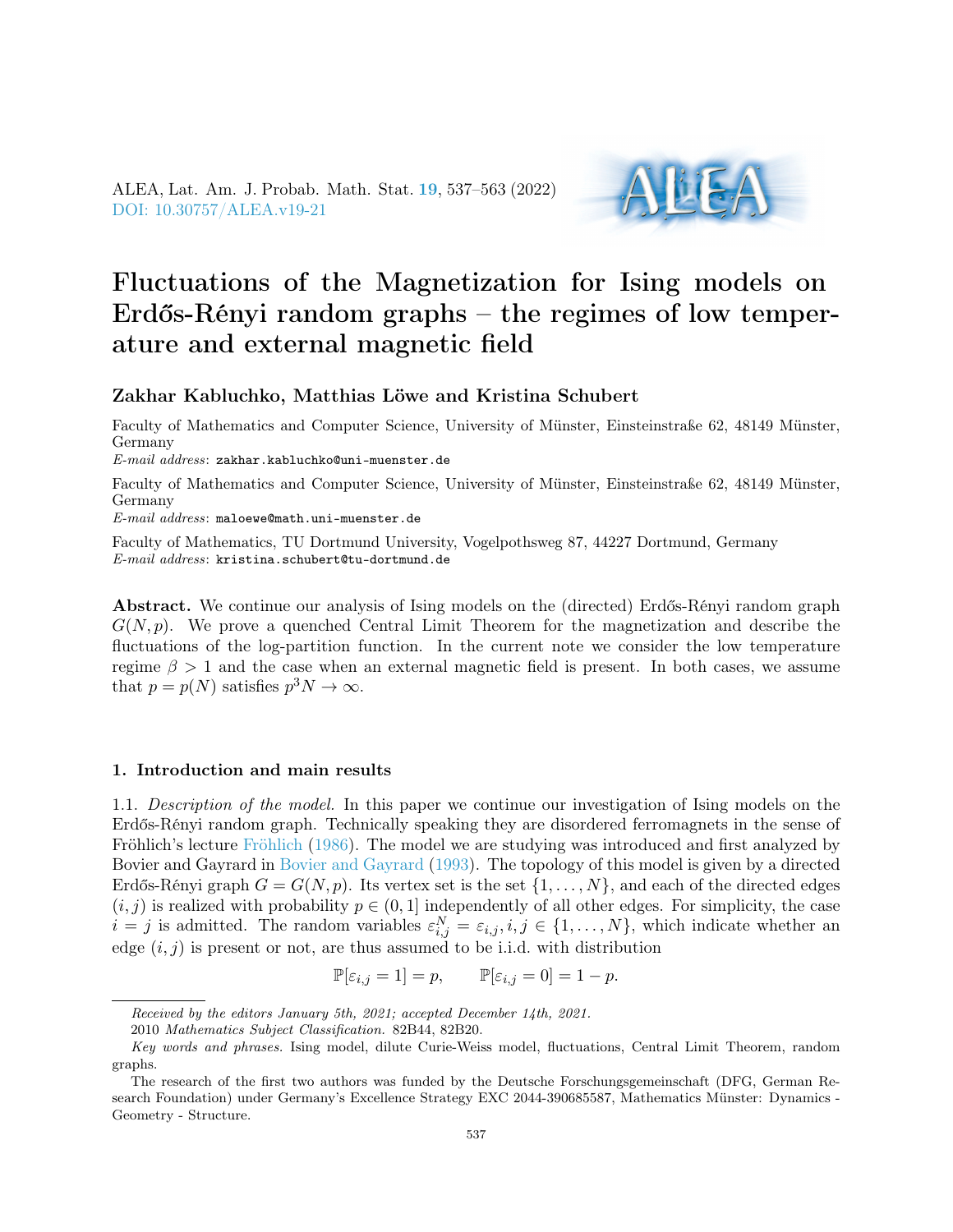ALEA, Lat. Am. J. Probab. Math. Stat. [19](http://alea.impa.br/english/index_v19.htm), 537–563 (2022) [DOI: 10.30757/ALEA.v19-21](https://doi.org/10.30757/ALEA.v19-21)



# Fluctuations of the Magnetization for Ising models on Erdős-Rényi random graphs – the regimes of low temperature and external magnetic field

## Zakhar Kabluchko, Matthias Löwe and Kristina Schubert

Faculty of Mathematics and Computer Science, University of Münster, Einsteinstraße 62, 48149 Münster, Germany

 $E\text{-}mail\;address:$  zakhar.kabluchko@uni-muenster.de

Faculty of Mathematics and Computer Science, University of Münster, Einsteinstraße 62, 48149 Münster, Germany

E-mail address: maloewe@math.uni-muenster.de

Faculty of Mathematics, TU Dortmund University, Vogelpothsweg 87, 44227 Dortmund, Germany E-mail address: kristina.schubert@tu-dortmund.de

Abstract. We continue our analysis of Ising models on the (directed) Erdős-Rényi random graph  $G(N, p)$ . We prove a quenched Central Limit Theorem for the magnetization and describe the fluctuations of the log-partition function. In the current note we consider the low temperature regime  $\beta > 1$  and the case when an external magnetic field is present. In both cases, we assume that  $p = p(N)$  satisfies  $p^3 N \to \infty$ .

## 1. Introduction and main results

1.1. Description of the model. In this paper we continue our investigation of Ising models on the Erdős-Rényi random graph. Technically speaking they are disordered ferromagnets in the sense of Fröhlich's lecture [Fröhlich](#page-25-0) [\(1986\)](#page-25-0). The model we are studying was introduced and first analyzed by Bovier and Gayrard in [Bovier and Gayrard](#page-25-1) [\(1993\)](#page-25-1). The topology of this model is given by a directed Erdős-Rényi graph  $G = G(N, p)$ . Its vertex set is the set  $\{1, \ldots, N\}$ , and each of the directed edges  $(i, j)$  is realized with probability  $p \in (0, 1]$  independently of all other edges. For simplicity, the case  $i = j$  is admitted. The random variables  $\varepsilon_{i,j}^N = \varepsilon_{i,j}, i, j \in \{1, ..., N\}$ , which indicate whether an edge  $(i, j)$  is present or not, are thus assumed to be i.i.d. with distribution

$$
\mathbb{P}[\varepsilon_{i,j} = 1] = p, \qquad \mathbb{P}[\varepsilon_{i,j} = 0] = 1 - p.
$$

Received by the editors January 5th, 2021; accepted December 14th, 2021.

<sup>2010</sup> Mathematics Subject Classification. 82B44, 82B20.

Key words and phrases. Ising model, dilute Curie-Weiss model, fluctuations, Central Limit Theorem, random graphs.

The research of the first two authors was funded by the Deutsche Forschungsgemeinschaft (DFG, German Research Foundation) under Germany's Excellence Strategy EXC 2044-390685587, Mathematics Münster: Dynamics - Geometry - Structure.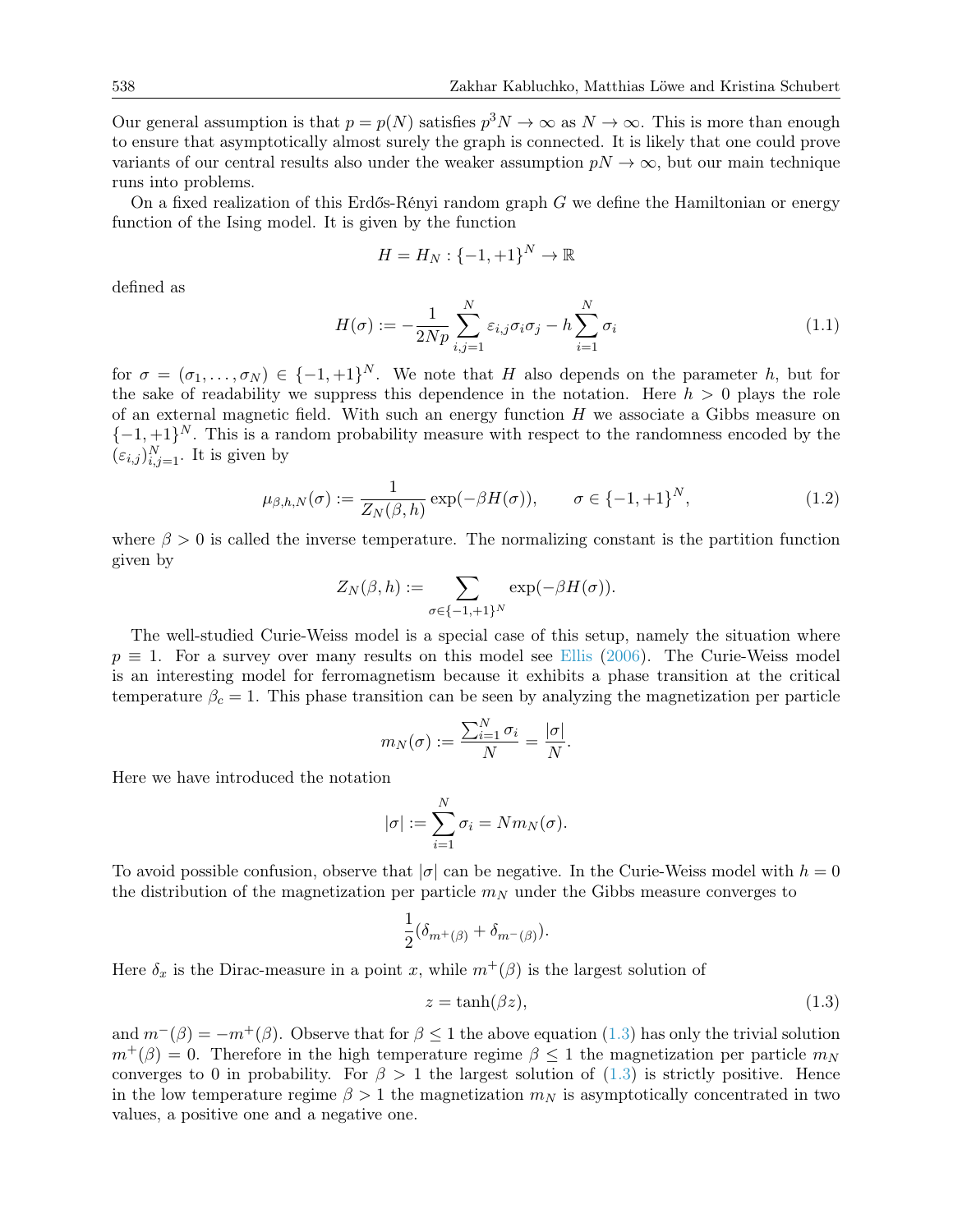Our general assumption is that  $p = p(N)$  satisfies  $p^3 N \to \infty$  as  $N \to \infty$ . This is more than enough to ensure that asymptotically almost surely the graph is connected. It is likely that one could prove variants of our central results also under the weaker assumption  $pN \to \infty$ , but our main technique runs into problems.

On a fixed realization of this Erdős-Rényi random graph  $G$  we define the Hamiltonian or energy function of the Ising model. It is given by the function

$$
H = H_N : \{-1, +1\}^N \to \mathbb{R}
$$

defined as

<span id="page-1-1"></span>
$$
H(\sigma) := -\frac{1}{2Np} \sum_{i,j=1}^{N} \varepsilon_{i,j} \sigma_i \sigma_j - h \sum_{i=1}^{N} \sigma_i
$$
\n(1.1)

for  $\sigma = (\sigma_1, \ldots, \sigma_N) \in \{-1, +1\}^N$ . We note that H also depends on the parameter h, but for the sake of readability we suppress this dependence in the notation. Here  $h > 0$  plays the role of an external magnetic field. With such an energy function  $H$  we associate a Gibbs measure on  $\{-1,+1\}^N$ . This is a random probability measure with respect to the randomness encoded by the  $(\varepsilon_{i,j})_{i,j=1}^N$ . It is given by

<span id="page-1-2"></span>
$$
\mu_{\beta,h,N}(\sigma) := \frac{1}{Z_N(\beta,h)} \exp(-\beta H(\sigma)), \qquad \sigma \in \{-1,+1\}^N, \tag{1.2}
$$

where  $\beta > 0$  is called the inverse temperature. The normalizing constant is the partition function given by

$$
Z_N(\beta,h) := \sum_{\sigma \in \{-1,+1\}^N} \exp(-\beta H(\sigma)).
$$

The well-studied Curie-Weiss model is a special case of this setup, namely the situation where  $p \equiv 1$ . For a survey over many results on this model see [Ellis](#page-25-2) [\(2006\)](#page-25-2). The Curie-Weiss model is an interesting model for ferromagnetism because it exhibits a phase transition at the critical temperature  $\beta_c = 1$ . This phase transition can be seen by analyzing the magnetization per particle

$$
m_N(\sigma) := \frac{\sum_{i=1}^N \sigma_i}{N} = \frac{|\sigma|}{N}.
$$

Here we have introduced the notation

$$
|\sigma| := \sum_{i=1}^{N} \sigma_i = N m_N(\sigma).
$$

To avoid possible confusion, observe that  $|\sigma|$  can be negative. In the Curie-Weiss model with  $h = 0$ the distribution of the magnetization per particle  $m<sub>N</sub>$  under the Gibbs measure converges to

$$
\frac{1}{2}(\delta_{m^+(\beta)} + \delta_{m^-(\beta)}).
$$

Here  $\delta_x$  is the Dirac-measure in a point x, while  $m^+(\beta)$  is the largest solution of

<span id="page-1-0"></span>
$$
z = \tanh(\beta z),\tag{1.3}
$$

and  $m^{-}(\beta) = -m^{+}(\beta)$ . Observe that for  $\beta \leq 1$  the above equation [\(1.3\)](#page-1-0) has only the trivial solution  $m^{+}(\beta) = 0$ . Therefore in the high temperature regime  $\beta \leq 1$  the magnetization per particle  $m_{N}$ converges to 0 in probability. For  $\beta > 1$  the largest solution of [\(1.3\)](#page-1-0) is strictly positive. Hence in the low temperature regime  $\beta > 1$  the magnetization  $m_N$  is asymptotically concentrated in two values, a positive one and a negative one.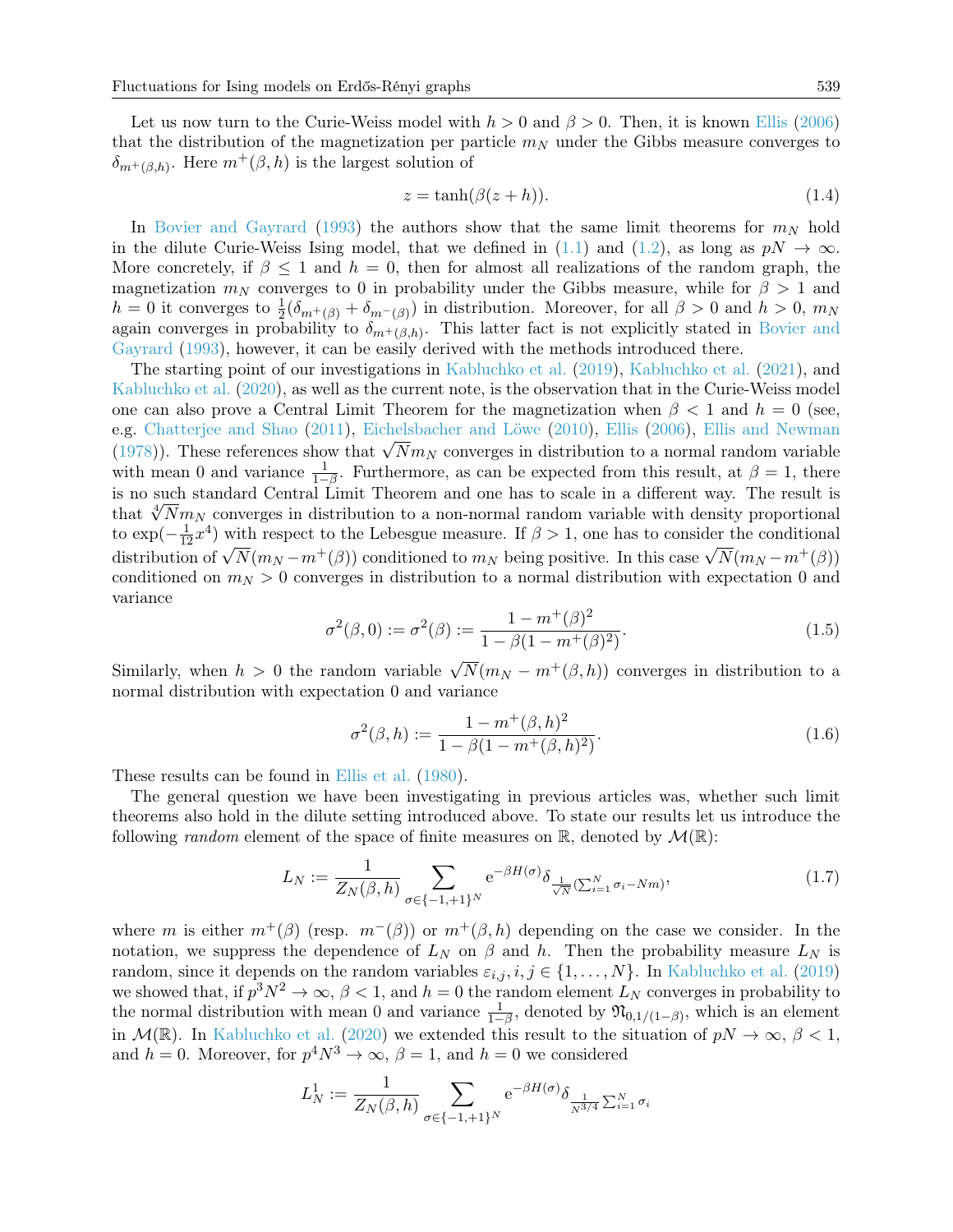Let us now turn to the Curie-Weiss model with  $h > 0$  and  $\beta > 0$ . Then, it is known [Ellis](#page-25-2) [\(2006\)](#page-25-2) that the distribution of the magnetization per particle  $m<sub>N</sub>$  under the Gibbs measure converges to  $\delta_{m^+(\beta,h)}$ . Here  $m^+(\beta,h)$  is the largest solution of

<span id="page-2-2"></span>
$$
z = \tanh(\beta(z+h)).\tag{1.4}
$$

In [Bovier and Gayrard](#page-25-1) [\(1993\)](#page-25-1) the authors show that the same limit theorems for  $m_N$  hold in the dilute Curie-Weiss Ising model, that we defined in [\(1.1\)](#page-1-1) and [\(1.2\)](#page-1-2), as long as  $pN \to \infty$ . More concretely, if  $\beta \leq 1$  and  $h = 0$ , then for almost all realizations of the random graph, the magnetization  $m_N$  converges to 0 in probability under the Gibbs measure, while for  $\beta > 1$  and  $h = 0$  it converges to  $\frac{1}{2}(\delta_{m^+(\beta)} + \delta_{m^-(\beta)})$  in distribution. Moreover, for all  $\beta > 0$  and  $h > 0$ ,  $m_N$ again converges in probability to  $\delta_{m^+(\beta,h)}$ . This latter fact is not explicitly stated in [Bovier and](#page-25-1) [Gayrard](#page-25-1) [\(1993\)](#page-25-1), however, it can be easily derived with the methods introduced there.

The starting point of our investigations in [Kabluchko et al.](#page-26-0) [\(2019\)](#page-26-0), [Kabluchko et al.](#page-26-1) [\(2021\)](#page-26-1), and [Kabluchko et al.](#page-26-2) [\(2020\)](#page-26-2), as well as the current note, is the observation that in the Curie-Weiss model one can also prove a Central Limit Theorem for the magnetization when  $\beta < 1$  and  $h = 0$  (see, e.g. [Chatterjee and Shao](#page-25-3) [\(2011\)](#page-25-3), [Eichelsbacher and Löwe](#page-25-4) [\(2010\)](#page-25-4), [Ellis](#page-25-2) [\(2006\)](#page-25-2), [Ellis and Newman](#page-25-5) e.g. Chatterjee and Shao (2011), Eichelsbacher and Lowe (2010), Ellis (2006), Ellis and Newman [\(1978\)](#page-25-5)). These references show that  $\sqrt{N}m_N$  converges in distribution to a normal random variable with mean 0 and variance  $\frac{1}{1-\beta}$ . Furthermore, as can be expected from this result, at  $\beta = 1$ , there is no such standard Central Limit Theorem and one has to scale in a different way. The result is that  $\sqrt[4]{Nm_N}$  converges in distribution to a non-normal random variable with density proportional to  $\exp(-\frac{1}{12}x^4)$  with respect to the Lebesgue measure. If  $\beta > 1$ , one has to consider the conditional  $\omega$  exp( $-\frac{1}{12}$  ) with respect to the Lebesgue measure. If  $\beta > 1$ , one has to consider the conditional distribution of  $\sqrt{N}(m_N - m^+(\beta))$  conditioned to  $m_N$  being positive. In this case  $\sqrt{N}(m_N - m^+(\beta))$ conditioned on  $m_N > 0$  converges in distribution to a normal distribution with expectation 0 and variance

<span id="page-2-1"></span>
$$
\sigma^{2}(\beta, 0) := \sigma^{2}(\beta) := \frac{1 - m^{+}(\beta)^{2}}{1 - \beta(1 - m^{+}(\beta)^{2})}.
$$
\n(1.5)

Similarly, when  $h > 0$  the random variable  $\sqrt{N}(m_N - m^+(\beta, h))$  converges in distribution to a normal distribution with expectation 0 and variance

<span id="page-2-3"></span>
$$
\sigma^{2}(\beta, h) := \frac{1 - m^{+}(\beta, h)^{2}}{1 - \beta(1 - m^{+}(\beta, h)^{2})}.
$$
\n(1.6)

These results can be found in [Ellis et al.](#page-25-6) [\(1980\)](#page-25-6).

The general question we have been investigating in previous articles was, whether such limit theorems also hold in the dilute setting introduced above. To state our results let us introduce the following *random* element of the space of finite measures on  $\mathbb{R}$ , denoted by  $\mathcal{M}(\mathbb{R})$ :

<span id="page-2-0"></span>
$$
L_N := \frac{1}{Z_N(\beta, h)} \sum_{\sigma \in \{-1, +1\}^N} e^{-\beta H(\sigma)} \delta_{\frac{1}{\sqrt{N}} (\sum_{i=1}^N \sigma_i - Nm)},\tag{1.7}
$$

where m is either  $m^+(\beta)$  (resp.  $m^-(\beta)$ ) or  $m^+(\beta,h)$  depending on the case we consider. In the notation, we suppress the dependence of  $L_N$  on  $\beta$  and h. Then the probability measure  $L_N$  is random, since it depends on the random variables  $\varepsilon_{i,j}, i, j \in \{1, ..., N\}$ . In [Kabluchko et al.](#page-26-0) [\(2019\)](#page-26-0) we showed that, if  $p^3N^2 \to \infty$ ,  $\beta < 1$ , and  $h = 0$  the random element  $L_N$  converges in probability to the normal distribution with mean 0 and variance  $\frac{1}{1-\beta}$ , denoted by  $\mathfrak{N}_{0,1/(1-\beta)}$ , which is an element in  $\mathcal{M}(\mathbb{R})$ . In [Kabluchko et al.](#page-26-2) [\(2020\)](#page-26-2) we extended this result to the situation of  $pN \to \infty$ ,  $\beta < 1$ , and  $h = 0$ . Moreover, for  $p^4N^3 \to \infty$ ,  $\beta = 1$ , and  $h = 0$  we considered

$$
L_N^1 := \frac{1}{Z_N(\beta, h)} \sum_{\sigma \in \{-1, +1\}^N} e^{-\beta H(\sigma)} \delta_{\frac{1}{N^{3/4}} \sum_{i=1}^N \sigma_i}
$$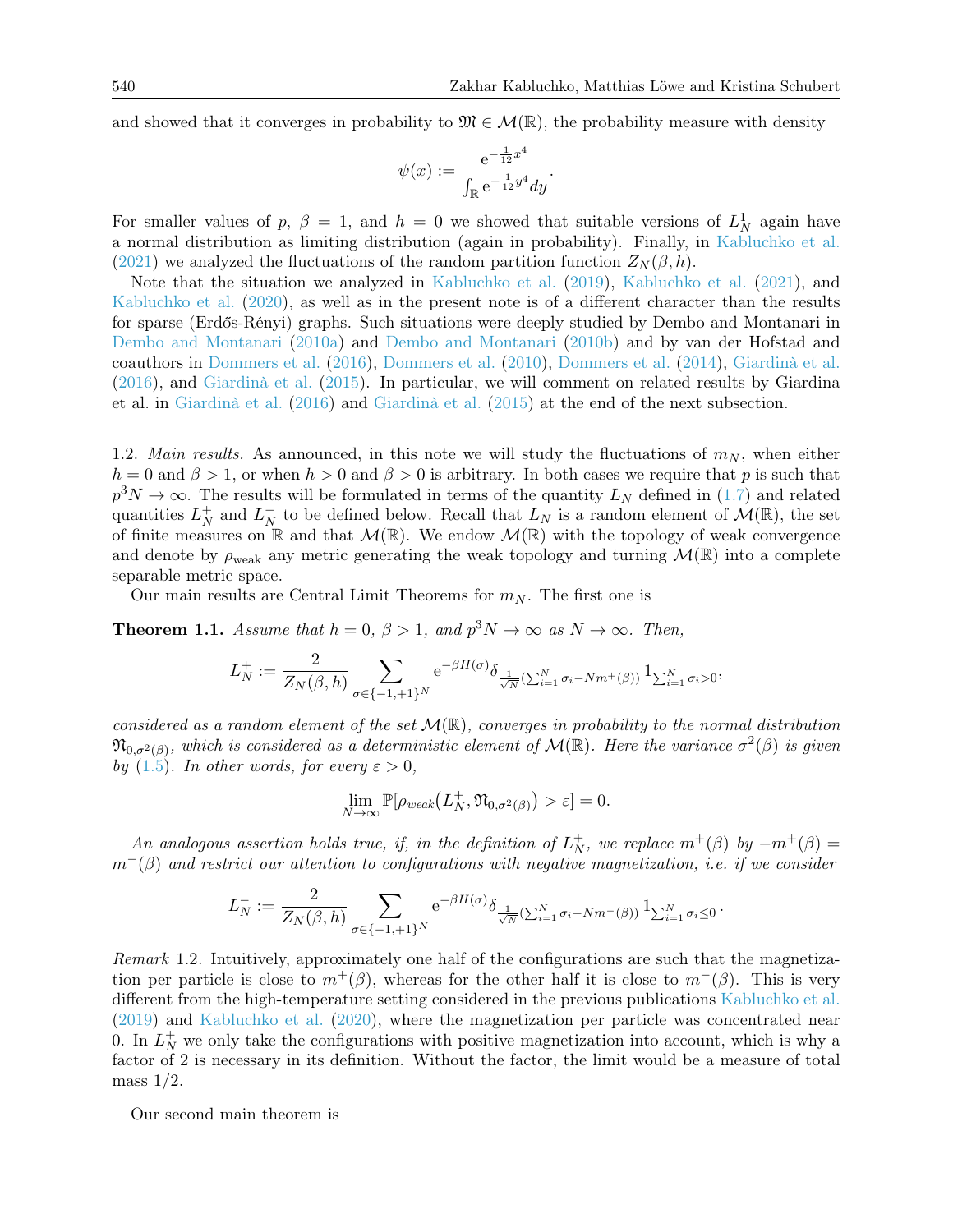and showed that it converges in probability to  $\mathfrak{M} \in \mathcal{M}(\mathbb{R})$ , the probability measure with density

$$
\psi(x) := \frac{e^{-\frac{1}{12}x^4}}{\int_{\mathbb{R}} e^{-\frac{1}{12}y^4} dy}.
$$

For smaller values of p,  $\beta = 1$ , and  $h = 0$  we showed that suitable versions of  $L_N^1$  again have a normal distribution as limiting distribution (again in probability). Finally, in [Kabluchko et al.](#page-26-1) [\(2021\)](#page-26-1) we analyzed the fluctuations of the random partition function  $Z_N(\beta, h)$ .

Note that the situation we analyzed in [Kabluchko et al.](#page-26-0) [\(2019\)](#page-26-0), [Kabluchko et al.](#page-26-1) [\(2021\)](#page-26-1), and [Kabluchko et al.](#page-26-2) [\(2020\)](#page-26-2), as well as in the present note is of a different character than the results for sparse (Erdős-Rényi) graphs. Such situations were deeply studied by Dembo and Montanari in [Dembo and Montanari](#page-25-7) [\(2010a\)](#page-25-7) and [Dembo and Montanari](#page-25-8) [\(2010b\)](#page-25-8) and by van der Hofstad and coauthors in [Dommers et al.](#page-25-9) [\(2016\)](#page-25-9), [Dommers et al.](#page-25-10) [\(2010\)](#page-25-10), [Dommers et al.](#page-25-11) [\(2014\)](#page-25-11), [Giardinà et al.](#page-26-3) [\(2016\)](#page-26-3), and [Giardinà et al.](#page-25-12) [\(2015\)](#page-25-12). In particular, we will comment on related results by Giardina et al. in [Giardinà et al.](#page-26-3) [\(2016\)](#page-26-3) and [Giardinà et al.](#page-25-12) [\(2015\)](#page-25-12) at the end of the next subsection.

1.2. Main results. As announced, in this note we will study the fluctuations of  $m_N$ , when either  $h = 0$  and  $\beta > 1$ , or when  $h > 0$  and  $\beta > 0$  is arbitrary. In both cases we require that p is such that  $p^{3}N \to \infty$ . The results will be formulated in terms of the quantity  $L_{N}$  defined in [\(1.7\)](#page-2-0) and related quantities  $L_N^+$  $\frac{1}{N}$  and  $L_N^ N$  to be defined below. Recall that  $L_N$  is a random element of  $\mathcal{M}(\mathbb{R})$ , the set of finite measures on  $\mathbb R$  and that  $\mathcal M(\mathbb R)$ . We endow  $\mathcal M(\mathbb R)$  with the topology of weak convergence and denote by  $\rho_{weak}$  any metric generating the weak topology and turning  $\mathcal{M}(\mathbb{R})$  into a complete separable metric space.

Our main results are Central Limit Theorems for  $m_N$ . The first one is

<span id="page-3-0"></span>**Theorem 1.1.** Assume that  $h = 0$ ,  $\beta > 1$ , and  $p^3N \to \infty$  as  $N \to \infty$ . Then,

$$
L_N^+ := \frac{2}{Z_N(\beta,h)} \sum_{\sigma \in \{-1,+1\}^N} e^{-\beta H(\sigma)} \delta_{\frac{1}{\sqrt{N}}(\sum_{i=1}^N \sigma_i - N m^+(\beta))} 1_{\sum_{i=1}^N \sigma_i > 0},
$$

considered as a random element of the set  $\mathcal{M}(\mathbb{R})$ , converges in probability to the normal distribution  $\mathfrak{N}_{0,\sigma^2(\beta)}$ , which is considered as a deterministic element of  $\mathcal{M}(\mathbb{R})$ . Here the variance  $\sigma^2(\beta)$  is given by [\(1.5\)](#page-2-1). In other words, for every  $\varepsilon > 0$ ,

$$
\lim_{N \to \infty} \mathbb{P}[\rho_{weak}(L_N^+, \mathfrak{N}_{0,\sigma^2(\beta)}) > \varepsilon] = 0.
$$

An analogous assertion holds true, if, in the definition of  $L_N^+$  $N^+$ , we replace  $m^+(\beta)$  by  $-m^+(\beta)$  =  $m^{-}(\beta)$  and restrict our attention to configurations with negative magnetization, i.e. if we consider

$$
L_N^- := \frac{2}{Z_N(\beta,h)} \sum_{\sigma \in \{-1,+1\}^N} e^{-\beta H(\sigma)} \delta_{\frac{1}{\sqrt{N}}(\sum_{i=1}^N \sigma_i - N m^-(\beta))} 1_{\sum_{i=1}^N \sigma_i \leq 0}.
$$

Remark 1.2. Intuitively, approximately one half of the configurations are such that the magnetization per particle is close to  $m^+(\beta)$ , whereas for the other half it is close to  $m^-(\beta)$ . This is very different from the high-temperature setting considered in the previous publications [Kabluchko et al.](#page-26-0) [\(2019\)](#page-26-0) and [Kabluchko et al.](#page-26-2) [\(2020\)](#page-26-2), where the magnetization per particle was concentrated near 0. In  $L_N^+$  we only take the configurations with positive magnetization into account, which is why a factor of 2 is necessary in its definition. Without the factor, the limit would be a measure of total mass  $1/2$ .

Our second main theorem is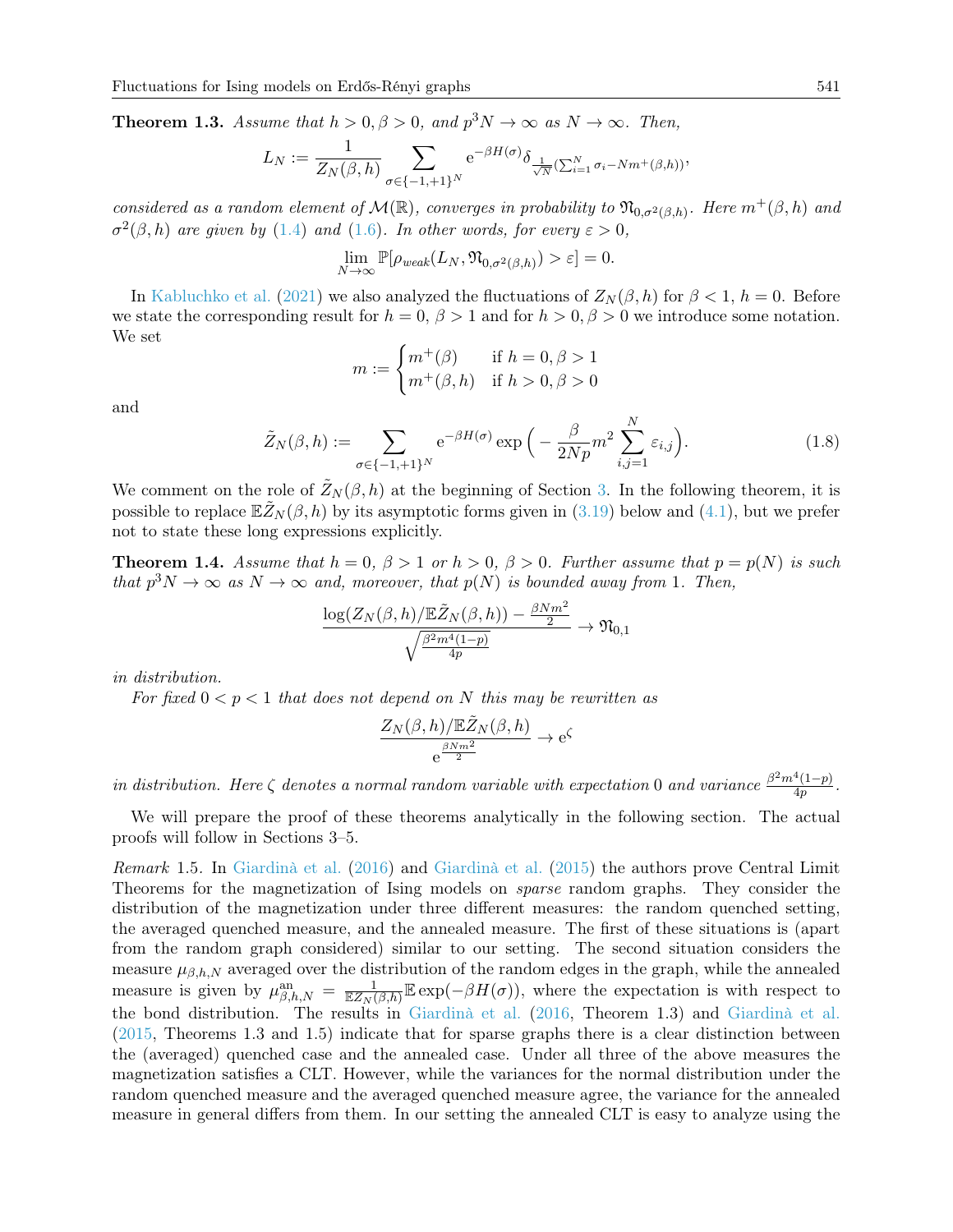<span id="page-4-0"></span>**Theorem 1.3.** Assume that  $h > 0, \beta > 0$ , and  $p^3N \to \infty$  as  $N \to \infty$ . Then,

$$
L_N := \frac{1}{Z_N(\beta,h)} \sum_{\sigma \in \{-1,+1\}^N} e^{-\beta H(\sigma)} \delta_{\frac{1}{\sqrt{N}}(\sum_{i=1}^N \sigma_i - Nm^+(\beta,h))},
$$

considered as a random element of  $\mathcal{M}(\mathbb{R})$ , converges in probability to  $\mathfrak{N}_{0,\sigma^2(\beta,h)}$ . Here  $m^+(\beta,h)$  and  $\sigma^2(\beta, h)$  are given by [\(1.4\)](#page-2-2) and [\(1.6\)](#page-2-3). In other words, for every  $\varepsilon > 0$ ,

$$
\lim_{N \to \infty} \mathbb{P}[\rho_{weak}(L_N, \mathfrak{N}_{0,\sigma^2(\beta,h)}) > \varepsilon] = 0.
$$

In [Kabluchko et al.](#page-26-1) [\(2021\)](#page-26-1) we also analyzed the fluctuations of  $Z_N(\beta, h)$  for  $\beta < 1$ ,  $h = 0$ . Before we state the corresponding result for  $h = 0$ ,  $\beta > 1$  and for  $h > 0$ ,  $\beta > 0$  we introduce some notation. We set

$$
m := \begin{cases} m^+(\beta) & \text{if } h = 0, \beta > 1 \\ m^+(\beta, h) & \text{if } h > 0, \beta > 0 \end{cases}
$$

and

<span id="page-4-2"></span>
$$
\tilde{Z}_N(\beta, h) := \sum_{\sigma \in \{-1, +1\}^N} e^{-\beta H(\sigma)} \exp\left(-\frac{\beta}{2Np} m^2 \sum_{i,j=1}^N \varepsilon_{i,j}\right).
$$
\n(1.8)

We comment on the role of  $\tilde{Z}_N(\beta, h)$  at the beginning of Section [3.](#page-6-0) In the following theorem, it is possible to replace  $\mathbb{E}\tilde{Z}_N(\beta, h)$  by its asymptotic forms given in [\(3.19\)](#page-22-0) below and [\(4.1\)](#page-22-1), but we prefer not to state these long expressions explicitly.

<span id="page-4-1"></span>**Theorem 1.4.** Assume that  $h = 0$ ,  $\beta > 1$  or  $h > 0$ ,  $\beta > 0$ . Further assume that  $p = p(N)$  is such that  $p^3N \to \infty$  as  $N \to \infty$  and, moreover, that  $p(N)$  is bounded away from 1. Then,

$$
\frac{\log(Z_N(\beta,h)/\mathbb{E} \tilde{Z}_N(\beta,h))-\frac{\beta Nm^2}{2}}{\sqrt{\frac{\beta^2m^4(1-p)}{4p}}} \rightarrow \mathfrak{N}_{0,1}
$$

in distribution.

For fixed  $0 < p < 1$  that does not depend on N this may be rewritten as

$$
\frac{Z_N(\beta, h) / \mathbb{E} \tilde{Z}_N(\beta, h)}{e^{\frac{\beta N m^2}{2}}} \to e^{\zeta}
$$

in distribution. Here  $\zeta$  denotes a normal random variable with expectation 0 and variance  $\frac{\beta^2 m^4 (1-p)}{4n}$  $\frac{1(1-p)}{4p}$ .

We will prepare the proof of these theorems analytically in the following section. The actual proofs will follow in Sections 3–5.

Remark 1.5. In [Giardinà et al.](#page-26-3) [\(2016\)](#page-26-3) and [Giardinà et al.](#page-25-12) [\(2015\)](#page-25-12) the authors prove Central Limit Theorems for the magnetization of Ising models on sparse random graphs. They consider the distribution of the magnetization under three different measures: the random quenched setting, the averaged quenched measure, and the annealed measure. The first of these situations is (apart from the random graph considered) similar to our setting. The second situation considers the measure  $\mu_{\beta,h,N}$  averaged over the distribution of the random edges in the graph, while the annealed measure is given by  $\mu_{\beta,h,N}^{\text{an}} = \frac{1}{\mathbb{E}Z_N(\beta,h)} \mathbb{E} \exp(-\beta H(\sigma))$ , where the expectation is with respect to the bond distribution. The results in [Giardinà et al.](#page-26-3) [\(2016,](#page-26-3) Theorem 1.3) and [Giardinà et al.](#page-25-12) [\(2015,](#page-25-12) Theorems 1.3 and 1.5) indicate that for sparse graphs there is a clear distinction between the (averaged) quenched case and the annealed case. Under all three of the above measures the magnetization satisfies a CLT. However, while the variances for the normal distribution under the random quenched measure and the averaged quenched measure agree, the variance for the annealed measure in general differs from them. In our setting the annealed CLT is easy to analyze using the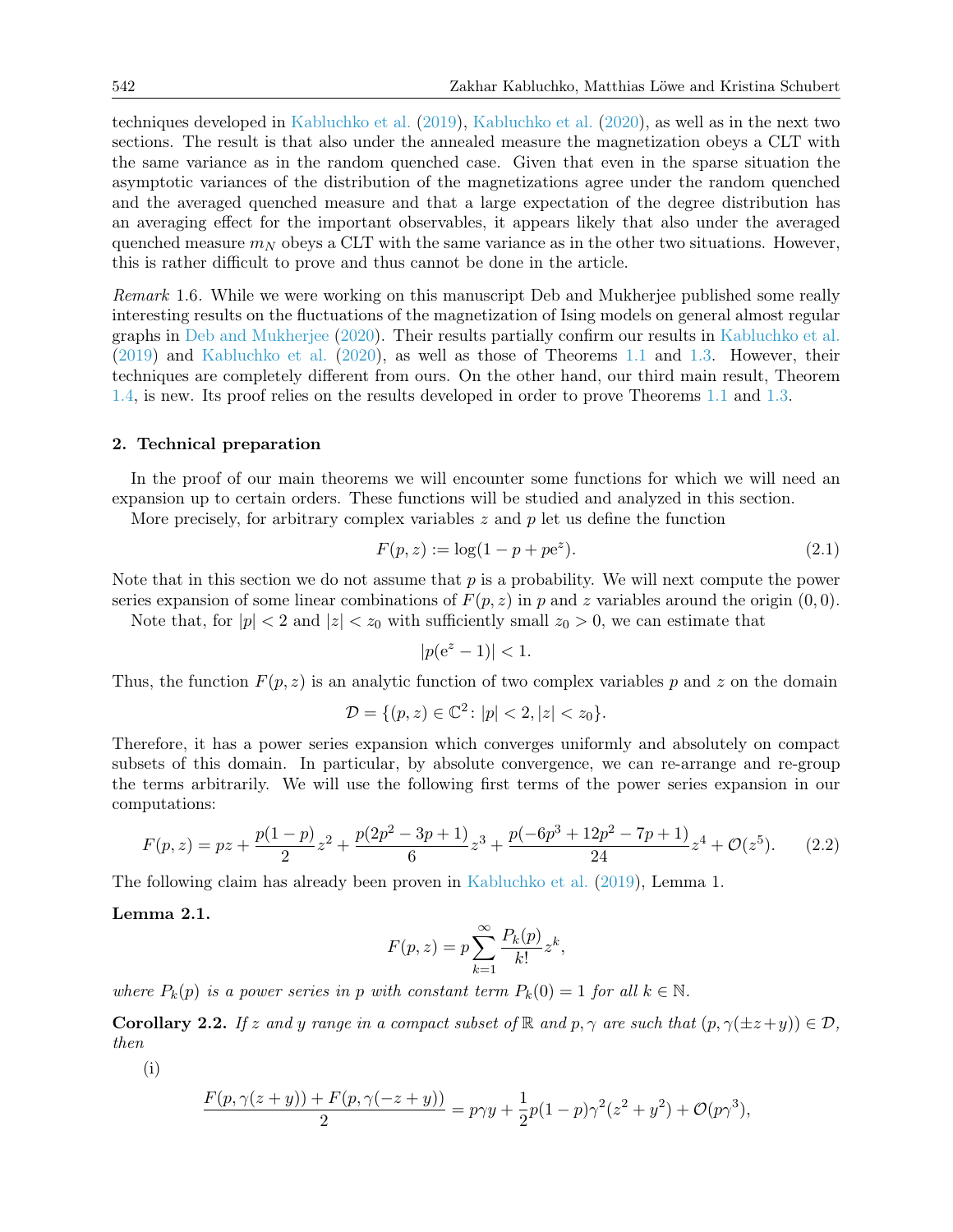techniques developed in [Kabluchko et al.](#page-26-0) [\(2019\)](#page-26-0), [Kabluchko et al.](#page-26-2) [\(2020\)](#page-26-2), as well as in the next two sections. The result is that also under the annealed measure the magnetization obeys a CLT with the same variance as in the random quenched case. Given that even in the sparse situation the asymptotic variances of the distribution of the magnetizations agree under the random quenched and the averaged quenched measure and that a large expectation of the degree distribution has an averaging effect for the important observables, it appears likely that also under the averaged quenched measure  $m_N$  obeys a CLT with the same variance as in the other two situations. However, this is rather difficult to prove and thus cannot be done in the article.

Remark 1.6. While we were working on this manuscript Deb and Mukherjee published some really interesting results on the fluctuations of the magnetization of Ising models on general almost regular graphs in [Deb and Mukherjee](#page-25-13) [\(2020\)](#page-25-13). Their results partially confirm our results in [Kabluchko et al.](#page-26-0) [\(2019\)](#page-26-0) and [Kabluchko et al.](#page-26-2) [\(2020\)](#page-26-2), as well as those of Theorems [1.1](#page-3-0) and [1.3.](#page-4-0) However, their techniques are completely different from ours. On the other hand, our third main result, Theorem [1.4,](#page-4-1) is new. Its proof relies on the results developed in order to prove Theorems [1.1](#page-3-0) and [1.3.](#page-4-0)

#### 2. Technical preparation

In the proof of our main theorems we will encounter some functions for which we will need an expansion up to certain orders. These functions will be studied and analyzed in this section.

More precisely, for arbitrary complex variables  $z$  and  $p$  let us define the function

<span id="page-5-1"></span>
$$
F(p, z) := \log(1 - p + p e^{z}).
$$
\n(2.1)

Note that in this section we do not assume that  $p$  is a probability. We will next compute the power series expansion of some linear combinations of  $F(p, z)$  in p and z variables around the origin  $(0, 0)$ .

Note that, for  $|p| < 2$  and  $|z| < z_0$  with sufficiently small  $z_0 > 0$ , we can estimate that

$$
|p(e^z - 1)| < 1.
$$

Thus, the function  $F(p, z)$  is an analytic function of two complex variables p and z on the domain

$$
\mathcal{D} = \{ (p, z) \in \mathbb{C}^2 \colon |p| < 2, |z| < z_0 \}.
$$

Therefore, it has a power series expansion which converges uniformly and absolutely on compact subsets of this domain. In particular, by absolute convergence, we can re-arrange and re-group the terms arbitrarily. We will use the following first terms of the power series expansion in our computations:

<span id="page-5-3"></span>
$$
F(p,z) = pz + \frac{p(1-p)}{2}z^2 + \frac{p(2p^2 - 3p + 1)}{6}z^3 + \frac{p(-6p^3 + 12p^2 - 7p + 1)}{24}z^4 + \mathcal{O}(z^5).
$$
 (2.2)

The following claim has already been proven in [Kabluchko et al.](#page-26-0) [\(2019\)](#page-26-0), Lemma 1.

<span id="page-5-0"></span>Lemma 2.1.

$$
F(p, z) = p \sum_{k=1}^{\infty} \frac{P_k(p)}{k!} z^k,
$$

where  $P_k(p)$  is a power series in p with constant term  $P_k(0) = 1$  for all  $k \in \mathbb{N}$ .

<span id="page-5-2"></span>**Corollary 2.2.** If z and y range in a compact subset of R and p,  $\gamma$  are such that  $(p, \gamma(\pm z+y)) \in \mathcal{D}$ , then

(i)

$$
\frac{F(p, \gamma(z + y)) + F(p, \gamma(-z + y))}{2} = p\gamma y + \frac{1}{2}p(1 - p)\gamma^{2}(z^{2} + y^{2}) + \mathcal{O}(p\gamma^{3}),
$$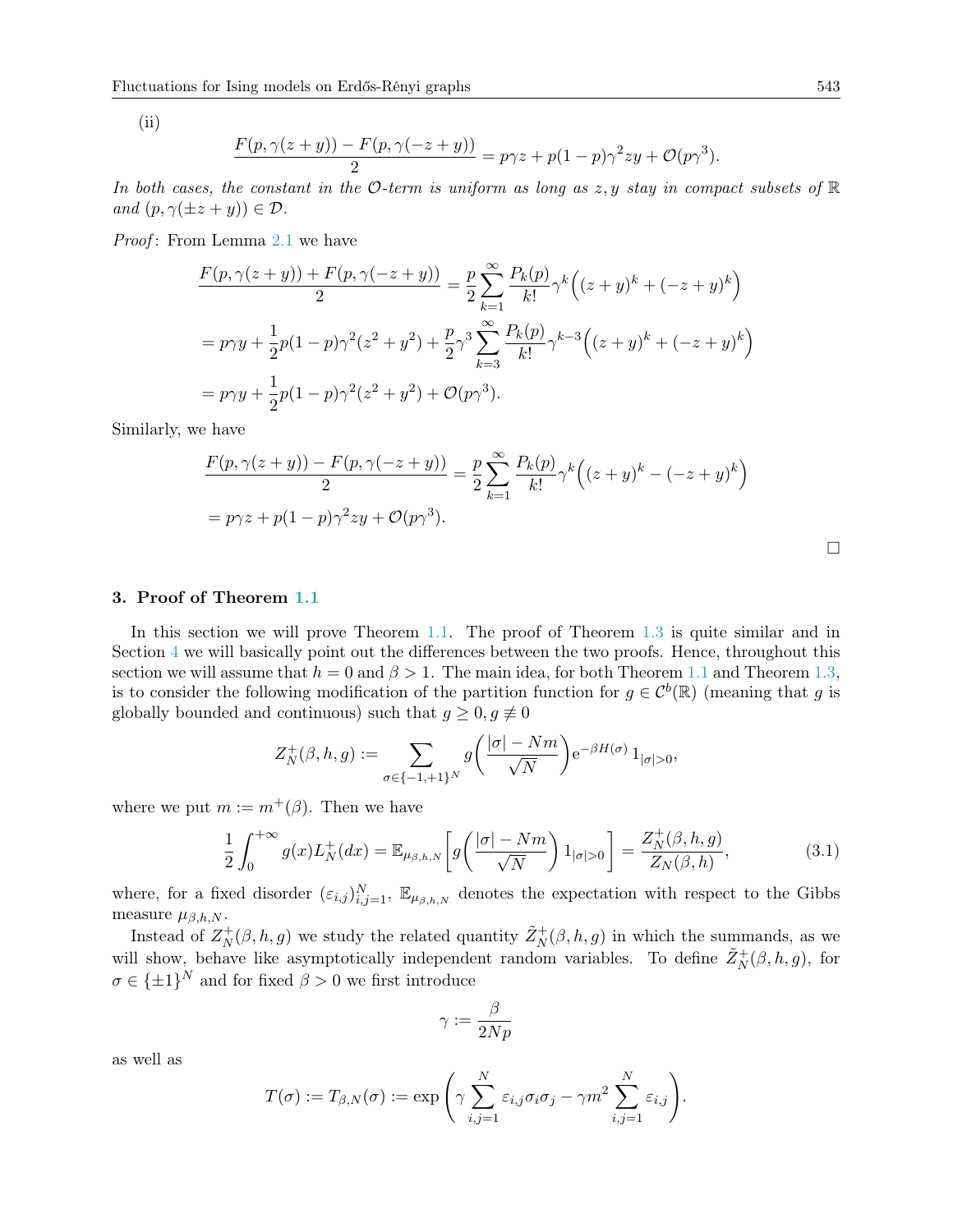$(ii)$ 

$$
\frac{F(p,\gamma(z+y)) - F(p,\gamma(-z+y))}{2} = p\gamma z + p(1-p)\gamma^2 zy + \mathcal{O}(p\gamma^3).
$$

In both cases, the constant in the O-term is uniform as long as  $z, y$  stay in compact subsets of  $\mathbb R$ and  $(p, \gamma(\pm z + y)) \in \mathcal{D}$ .

Proof: From Lemma [2.1](#page-5-0) we have

$$
\frac{F(p, \gamma(z+y)) + F(p, \gamma(-z+y))}{2} = \frac{p}{2} \sum_{k=1}^{\infty} \frac{P_k(p)}{k!} \gamma^k \left( (z+y)^k + (-z+y)^k \right)
$$
  
=  $p \gamma y + \frac{1}{2} p (1-p) \gamma^2 (z^2 + y^2) + \frac{p}{2} \gamma^3 \sum_{k=3}^{\infty} \frac{P_k(p)}{k!} \gamma^{k-3} \left( (z+y)^k + (-z+y)^k \right)$   
=  $p \gamma y + \frac{1}{2} p (1-p) \gamma^2 (z^2 + y^2) + \mathcal{O}(p \gamma^3).$ 

Similarly, we have

$$
\frac{F(p,\gamma(z+y)) - F(p,\gamma(-z+y))}{2} = \frac{p}{2} \sum_{k=1}^{\infty} \frac{P_k(p)}{k!} \gamma^k \left( (z+y)^k - (-z+y)^k \right)
$$

$$
= p\gamma z + p(1-p)\gamma^2 zy + \mathcal{O}(p\gamma^3).
$$

### <span id="page-6-0"></span>3. Proof of Theorem [1.1](#page-3-0)

In this section we will prove Theorem [1.1.](#page-3-0) The proof of Theorem [1.3](#page-4-0) is quite similar and in Section  $4$  we will basically point out the differences between the two proofs. Hence, throughout this section we will assume that  $h = 0$  and  $\beta > 1$ . The main idea, for both Theorem [1.1](#page-3-0) and Theorem [1.3,](#page-4-0) is to consider the following modification of the partition function for  $g \in C^b(\mathbb{R})$  (meaning that g is globally bounded and continuous) such that  $g \geq 0, g \neq 0$ 

$$
Z_N^+(\beta, h, g) := \sum_{\sigma \in \{-1, +1\}^N} g\left(\frac{|\sigma| - Nm}{\sqrt{N}}\right) e^{-\beta H(\sigma)} 1_{|\sigma| > 0},
$$

where we put  $m := m^+(\beta)$ . Then we have

<span id="page-6-1"></span>
$$
\frac{1}{2} \int_0^{+\infty} g(x) L_N^+(dx) = \mathbb{E}_{\mu_{\beta,h,N}} \left[ g\left(\frac{|\sigma| - Nm}{\sqrt{N}}\right) 1_{|\sigma| > 0} \right] = \frac{Z_N^+(\beta, h, g)}{Z_N(\beta, h)},\tag{3.1}
$$

where, for a fixed disorder  $(\varepsilon_{i,j})_{i,j=1}^N$ ,  $\mathbb{E}_{\mu_{\beta,h,N}}$  denotes the expectation with respect to the Gibbs measure  $\mu_{\beta,h,N}$ .

Instead of  $Z_N^+$  $X(N, h, g)$  we study the related quantity  $\tilde{Z}_N^+(\beta, h, g)$  in which the summands, as we will show, behave like asymptotically independent random variables. To define  $\tilde{Z}_N^+(\beta, h, g)$ , for  $\sigma \in {\{\pm 1\}}^N$  and for fixed  $\beta > 0$  we first introduce

$$
\gamma:=\frac{\beta}{2Np}
$$

as well as

$$
T(\sigma) := T_{\beta,N}(\sigma) := \exp\left(\gamma \sum_{i,j=1}^N \varepsilon_{i,j} \sigma_i \sigma_j - \gamma m^2 \sum_{i,j=1}^N \varepsilon_{i,j}\right).
$$

 $\Box$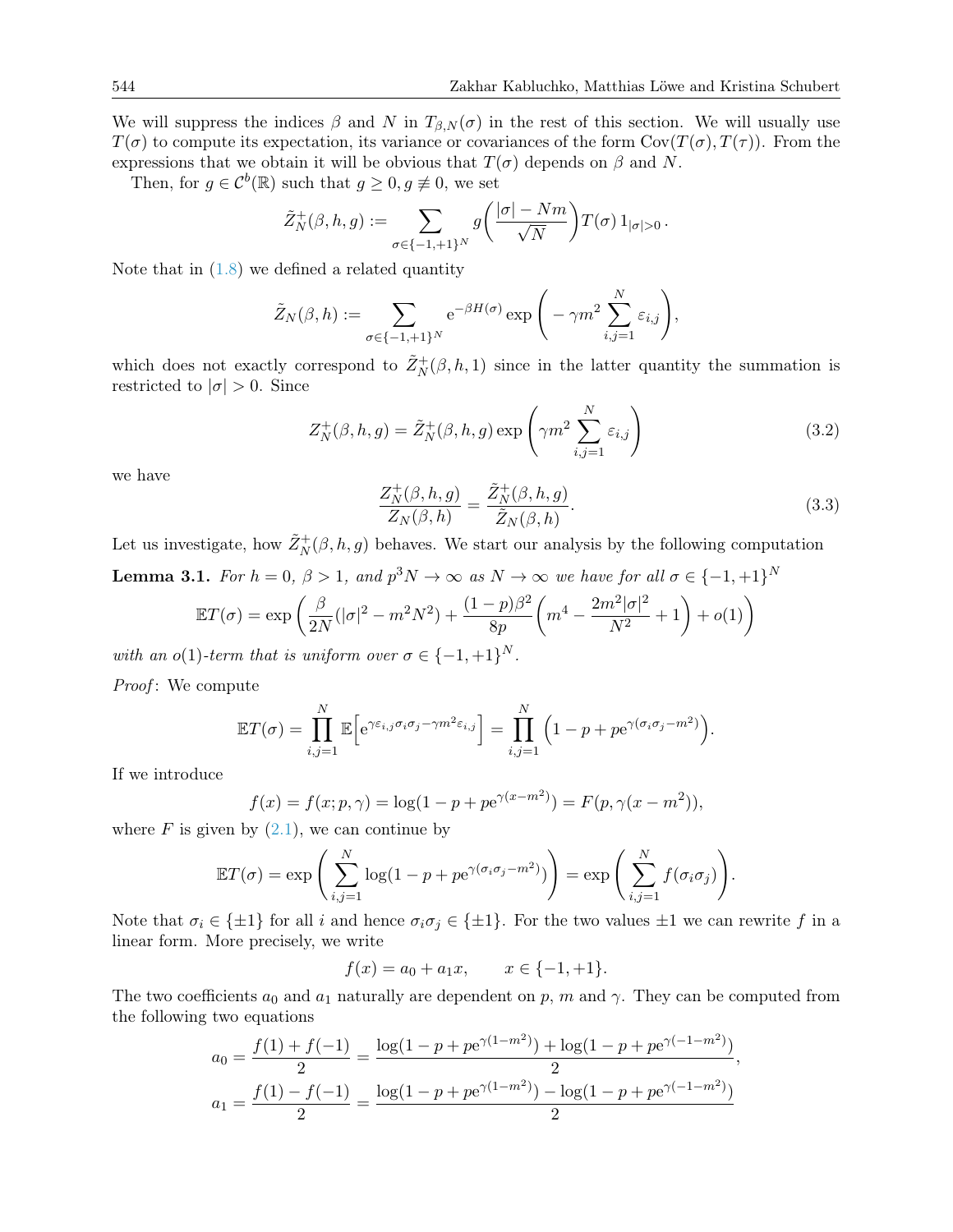We will suppress the indices  $\beta$  and N in  $T_{\beta,N}(\sigma)$  in the rest of this section. We will usually use  $T(\sigma)$  to compute its expectation, its variance or covariances of the form  $Cov(T(\sigma), T(\tau))$ . From the expressions that we obtain it will be obvious that  $T(\sigma)$  depends on  $\beta$  and N.

Then, for  $g \in C^b(\mathbb{R})$  such that  $g \geq 0, g \not\equiv 0$ , we set

$$
\tilde{Z}_N^+(\beta, h, g) := \sum_{\sigma \in \{-1, +1\}^N} g\left(\frac{|\sigma| - Nm}{\sqrt{N}}\right) T(\sigma) 1_{|\sigma| > 0}.
$$

Note that in  $(1.8)$  we defined a related quantity

$$
\tilde{Z}_N(\beta, h) := \sum_{\sigma \in \{-1, +1\}^N} e^{-\beta H(\sigma)} \exp\Bigg(-\gamma m^2 \sum_{i,j=1}^N \varepsilon_{i,j}\Bigg),
$$

which does not exactly correspond to  $\tilde{Z}_N^+(\beta, h, 1)$  since in the latter quantity the summation is restricted to  $|\sigma| > 0$ . Since

<span id="page-7-2"></span>
$$
Z_N^+(\beta, h, g) = \tilde{Z}_N^+(\beta, h, g) \exp\left(\gamma m^2 \sum_{i,j=1}^N \varepsilon_{i,j}\right)
$$
(3.2)

we have

<span id="page-7-1"></span>
$$
\frac{Z_N^+(\beta, h, g)}{Z_N(\beta, h)} = \frac{\tilde{Z}_N^+(\beta, h, g)}{\tilde{Z}_N(\beta, h)}.
$$
\n(3.3)

Let us investigate, how  $\tilde{Z}_N^+(\beta, h, g)$  behaves. We start our analysis by the following computation

<span id="page-7-0"></span>**Lemma 3.1.** For  $h = 0$ ,  $\beta > 1$ , and  $p^3N \to \infty$  as  $N \to \infty$  we have for all  $\sigma \in \{-1, +1\}^N$ 

$$
\mathbb{E}T(\sigma) = \exp\left(\frac{\beta}{2N}(|\sigma|^2 - m^2N^2) + \frac{(1-p)\beta^2}{8p}\left(m^4 - \frac{2m^2|\sigma|^2}{N^2} + 1\right) + o(1)\right)
$$

with an o(1)-term that is uniform over  $\sigma \in \{-1, +1\}^N$ .

Proof: We compute

$$
\mathbb{E}T(\sigma) = \prod_{i,j=1}^N \mathbb{E}\Big[e^{\gamma \varepsilon_{i,j}\sigma_i \sigma_j - \gamma m^2 \varepsilon_{i,j}}\Big] = \prod_{i,j=1}^N \left(1 - p + p e^{\gamma(\sigma_i \sigma_j - m^2)}\right).
$$

If we introduce

$$
f(x) = f(x; p, \gamma) = \log(1 - p + p e^{\gamma(x - m^2)}) = F(p, \gamma(x - m^2)),
$$

where  $F$  is given by  $(2.1)$ , we can continue by

$$
\mathbb{E}T(\sigma) = \exp\left(\sum_{i,j=1}^N \log(1 - p + p e^{\gamma(\sigma_i \sigma_j - m^2)})\right) = \exp\left(\sum_{i,j=1}^N f(\sigma_i \sigma_j)\right).
$$

Note that  $\sigma_i \in \{\pm 1\}$  for all i and hence  $\sigma_i \sigma_j \in \{\pm 1\}$ . For the two values  $\pm 1$  we can rewrite f in a linear form. More precisely, we write

$$
f(x) = a_0 + a_1 x, \qquad x \in \{-1, +1\}.
$$

The two coefficients  $a_0$  and  $a_1$  naturally are dependent on p, m and  $\gamma$ . They can be computed from the following two equations

$$
a_0 = \frac{f(1) + f(-1)}{2} = \frac{\log(1 - p + p e^{\gamma(1 - m^2)}) + \log(1 - p + p e^{\gamma(-1 - m^2)})}{2},
$$
  

$$
a_1 = \frac{f(1) - f(-1)}{2} = \frac{\log(1 - p + p e^{\gamma(1 - m^2)}) - \log(1 - p + p e^{\gamma(-1 - m^2)})}{2}
$$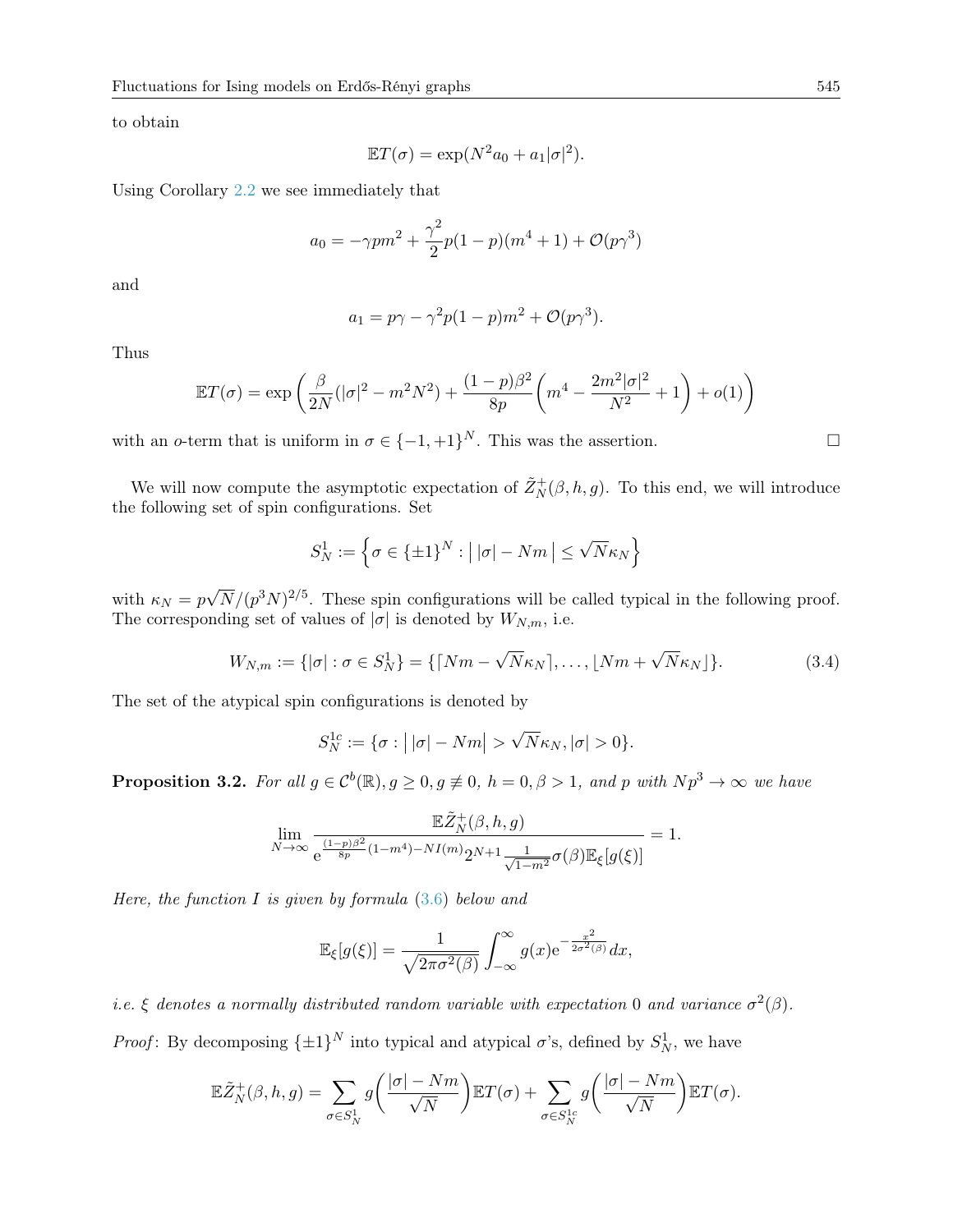to obtain

$$
\mathbb{E}T(\sigma) = \exp(N^2 a_0 + a_1|\sigma|^2).
$$

Using Corollary [2.2](#page-5-2) we see immediately that

$$
a_0 = -\gamma pm^2 + \frac{\gamma^2}{2}p(1-p)(m^4+1) + \mathcal{O}(p\gamma^3)
$$

and

$$
a_1 = p\gamma - \gamma^2 p(1-p)m^2 + \mathcal{O}(p\gamma^3).
$$

Thus

$$
\mathbb{E}T(\sigma) = \exp\left(\frac{\beta}{2N}(|\sigma|^2 - m^2N^2) + \frac{(1-p)\beta^2}{8p}\left(m^4 - \frac{2m^2|\sigma|^2}{N^2} + 1\right) + o(1)\right)
$$

with an o-term that is uniform in  $\sigma \in \{-1, +1\}^N$ . This was the assertion.

We will now compute the asymptotic expectation of  $\tilde{Z}_N^+(\beta, h, g)$ . To this end, we will introduce the following set of spin configurations. Set

$$
S_N^1 := \left\{ \sigma \in \{\pm 1\}^N : \left| \, |\sigma| - Nm \, \right| \le \sqrt{N} \kappa_N \right\}
$$

with  $\kappa_N = p$ √  $\overline{N}/(p^3N)^{2/5}$ . These spin configurations will be called typical in the following proof. The corresponding set of values of  $|\sigma|$  is denoted by  $W_{N,m},$  i.e.

<span id="page-8-1"></span>
$$
W_{N,m} := \{ |\sigma| : \sigma \in S_N^1 \} = \{ \lceil Nm - \sqrt{N} \kappa_N \rceil, \dots, \lfloor Nm + \sqrt{N} \kappa_N \rfloor \}. \tag{3.4}
$$

The set of the atypical spin configurations is denoted by

$$
S_N^{1c} := \{ \sigma : \left| \left| \sigma \right| - Nm \right| > \sqrt{N} \kappa_N, |\sigma| > 0 \}.
$$

<span id="page-8-0"></span>**Proposition 3.2.** For all  $g \in C^b(\mathbb{R}), g \ge 0, g \ne \emptyset$ ,  $h = 0, \beta > 1$ , and p with  $Np^3 \to \infty$  we have

$$
\lim_{N \to \infty} \frac{\mathbb{E} \tilde{Z}_N^+(\beta, h, g)}{e^{\frac{(1-p)\beta^2}{8p}(1-m^4) - NI(m)} 2^{N+1} \frac{1}{\sqrt{1-m^2}} \sigma(\beta) \mathbb{E}_{\xi}[g(\xi)]} = 1.
$$

Here, the function I is given by formula  $(3.6)$  below and

$$
\mathbb{E}_{\xi}[g(\xi)] = \frac{1}{\sqrt{2\pi\sigma^2(\beta)}} \int_{-\infty}^{\infty} g(x) e^{-\frac{x^2}{2\sigma^2(\beta)}} dx,
$$

i.e.  $\xi$  denotes a normally distributed random variable with expectation 0 and variance  $\sigma^2(\beta)$ . *Proof*: By decomposing  $\{\pm 1\}^N$  into typical and atypical  $\sigma$ 's, defined by  $S^1_N$ , we have

$$
\mathbb{E}\tilde{Z}_N^+(\beta, h, g) = \sum_{\sigma \in S_N^1} g\left(\frac{|\sigma| - Nm}{\sqrt{N}}\right) \mathbb{E}T(\sigma) + \sum_{\sigma \in S_N^{1c}} g\left(\frac{|\sigma| - Nm}{\sqrt{N}}\right) \mathbb{E}T(\sigma).
$$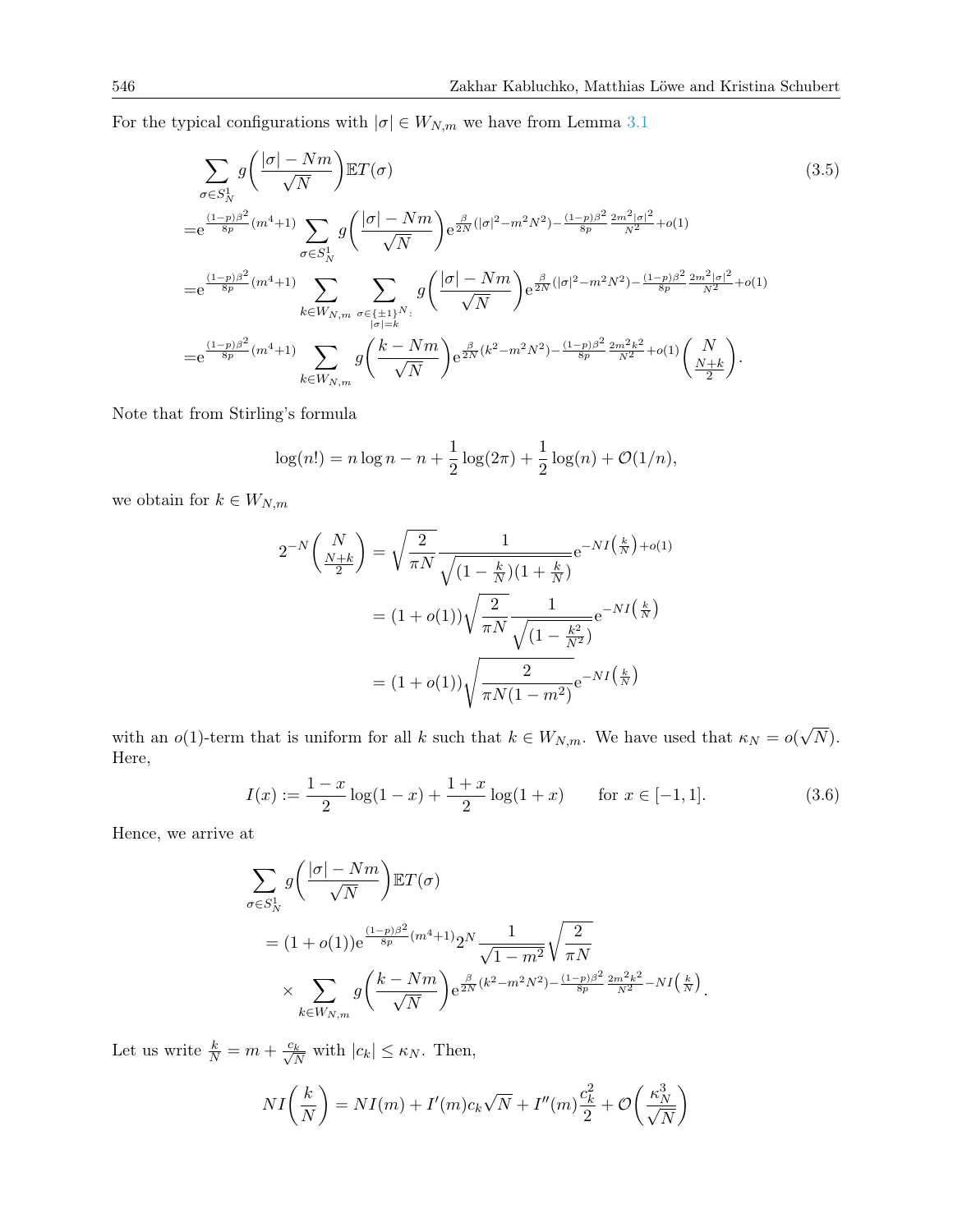For the typical configurations with  $|\sigma| \in W_{N,m}$  we have from Lemma [3.1](#page-7-0)

$$
\sum_{\sigma \in S_N^1} g\left(\frac{|\sigma| - Nm}{\sqrt{N}}\right) \mathbb{E}T(\sigma) \tag{3.5}
$$
\n
$$
= e^{\frac{(1-p)\beta^2}{8p}(m^4+1)} \sum_{\sigma \in S_N^1} g\left(\frac{|\sigma| - Nm}{\sqrt{N}}\right) e^{\frac{\beta}{2N}(|\sigma|^2 - m^2 N^2) - \frac{(1-p)\beta^2}{8p} \frac{2m^2|\sigma|^2}{N^2} + o(1)}
$$
\n
$$
= e^{\frac{(1-p)\beta^2}{8p}(m^4+1)} \sum_{k \in W_{N,m}} \sum_{\substack{\sigma \in \{\pm 1\}^N:\\|\sigma| = k}} g\left(\frac{|\sigma| - Nm}{\sqrt{N}}\right) e^{\frac{\beta}{2N}(|\sigma|^2 - m^2 N^2) - \frac{(1-p)\beta^2}{8p} \frac{2m^2|\sigma|^2}{N^2} + o(1)}
$$
\n
$$
= e^{\frac{(1-p)\beta^2}{8p}(m^4+1)} \sum_{k \in W_{N,m}} g\left(\frac{k - Nm}{\sqrt{N}}\right) e^{\frac{\beta}{2N}(k^2 - m^2 N^2) - \frac{(1-p)\beta^2}{8p} \frac{2m^2k^2}{N^2} + o(1)} \left(\frac{N}{\frac{N+k}{2}}\right).
$$
\n(3.5)

Note that from Stirling's formula

<span id="page-9-1"></span>
$$
\log(n!) = n \log n - n + \frac{1}{2} \log(2\pi) + \frac{1}{2} \log(n) + \mathcal{O}(1/n),
$$

we obtain for  $k\in W_{N,m}$ 

$$
2^{-N} \left(\frac{N}{\frac{N+k}{2}}\right) = \sqrt{\frac{2}{\pi N}} \frac{1}{\sqrt{\left(1 - \frac{k}{N}\right)\left(1 + \frac{k}{N}\right)}} e^{-NI\left(\frac{k}{N}\right) + o(1)}
$$

$$
= (1 + o(1)) \sqrt{\frac{2}{\pi N}} \frac{1}{\sqrt{\left(1 - \frac{k^2}{N^2}\right)}} e^{-NI\left(\frac{k}{N}\right)}
$$

$$
= (1 + o(1)) \sqrt{\frac{2}{\pi N(1 - m^2)}} e^{-NI\left(\frac{k}{N}\right)}
$$

with an  $o(1)$ -term that is uniform for all k such that  $k \in W_{N,m}$ . We have used that  $\kappa_N = o(n)$ √ N). Here,

<span id="page-9-0"></span>
$$
I(x) := \frac{1-x}{2}\log(1-x) + \frac{1+x}{2}\log(1+x) \quad \text{for } x \in [-1,1].
$$
 (3.6)

Hence, we arrive at

$$
\sum_{\sigma \in S_N^1} g\left(\frac{|\sigma| - Nm}{\sqrt{N}}\right) \mathbb{E}T(\sigma)
$$
\n
$$
= (1 + o(1))e^{\frac{(1-p)\beta^2}{8p}(m^4 + 1)}2^N \frac{1}{\sqrt{1 - m^2}} \sqrt{\frac{2}{\pi N}}
$$
\n
$$
\times \sum_{k \in W_{N,m}} g\left(\frac{k - Nm}{\sqrt{N}}\right) e^{\frac{\beta}{2N}(k^2 - m^2N^2) - \frac{(1-p)\beta^2}{8p} \frac{2m^2k^2}{N^2} - NI\left(\frac{k}{N}\right)}.
$$

Let us write  $\frac{k}{N} = m + \frac{c_k}{\sqrt{N}}$  with  $|c_k| \leq \kappa_N$ . Then,

$$
NI\left(\frac{k}{N}\right) = NI(m) + I'(m)c_k\sqrt{N} + I''(m)\frac{c_k^2}{2} + \mathcal{O}\left(\frac{\kappa_N^3}{\sqrt{N}}\right)
$$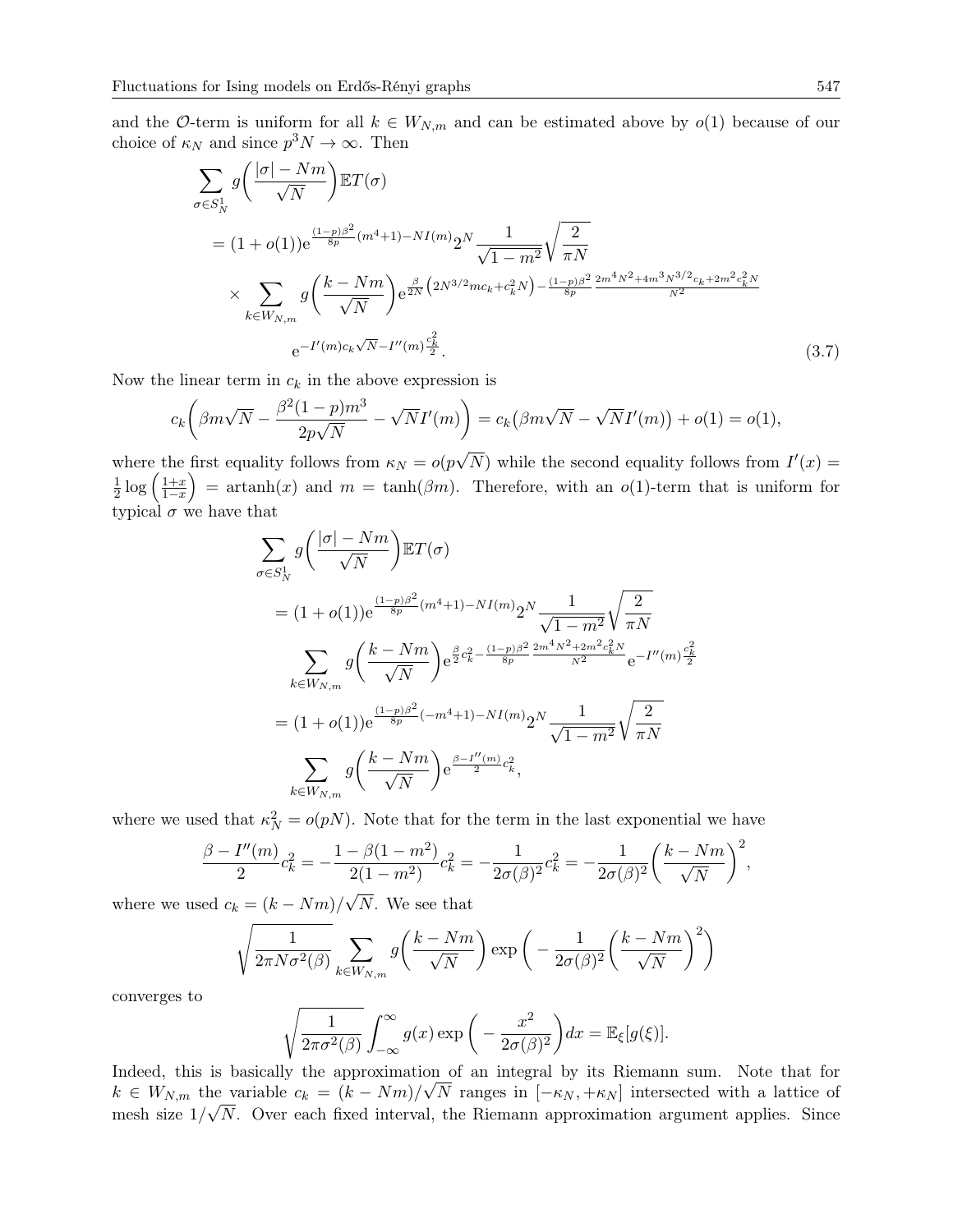and the O-term is uniform for all  $k \in W_{N,m}$  and can be estimated above by  $o(1)$  because of our choice of  $\kappa_N$  and since  $p^3N \to \infty$ . Then

$$
\sum_{\sigma \in S_N^1} g\left(\frac{|\sigma| - Nm}{\sqrt{N}}\right) \mathbb{E}T(\sigma)
$$
\n
$$
= (1 + o(1))e^{\frac{(1-p)\beta^2}{8p}(m^4 + 1) - NI(m)} 2^N \frac{1}{\sqrt{1 - m^2}} \sqrt{\frac{2}{\pi N}}
$$
\n
$$
\times \sum_{k \in W_{N,m}} g\left(\frac{k - Nm}{\sqrt{N}}\right) e^{\frac{\beta}{2N} \left(2N^{3/2}mc_k + c_k^2 N\right) - \frac{(1-p)\beta^2}{8p} \frac{2m^4 N^2 + 4m^3 N^{3/2}c_k + 2m^2 c_k^2 N}{N^2}}
$$
\n
$$
e^{-I'(m)c_k \sqrt{N} - I''(m)\frac{c_k^2}{2}}.
$$
\n(3.7)

Now the linear term in  $c_k$  in the above expression is

$$
c_k \left(\beta m \sqrt{N} - \frac{\beta^2 (1-p) m^3}{2p \sqrt{N}} - \sqrt{N} I'(m)\right) = c_k \left(\beta m \sqrt{N} - \sqrt{N} I'(m)\right) + o(1) = o(1),
$$

where the first equality follows from  $\kappa_N = o(p)$  $\overline{N}$ ) while the second equality follows from  $I'(x) =$ 1  $\frac{1}{2}\log\left(\frac{1+x}{1-x}\right)$  = artanh(x) and  $m = \tanh(\beta m)$ . Therefore, with an  $o(1)$ -term that is uniform for typical  $\sigma$  we have that

<span id="page-10-0"></span>
$$
\sum_{\sigma \in S_N^1} g\left(\frac{|\sigma| - Nm}{\sqrt{N}}\right) \mathbb{E}T(\sigma)
$$
\n
$$
= (1 + o(1))e^{\frac{(1-p)\beta^2}{8p}(m^4 + 1) - NI(m)} 2^N \frac{1}{\sqrt{1 - m^2}} \sqrt{\frac{2}{\pi N}}
$$
\n
$$
\sum_{k \in W_{N,m}} g\left(\frac{k - Nm}{\sqrt{N}}\right) e^{\frac{\beta}{2}c_k^2 - \frac{(1-p)\beta^2}{8p} \frac{2m^4 N^2 + 2m^2 c_k^2 N}{N^2}} e^{-I''(m)\frac{c_k^2}{2}}
$$
\n
$$
= (1 + o(1))e^{\frac{(1-p)\beta^2}{8p}(-m^4 + 1) - NI(m)} 2^N \frac{1}{\sqrt{1 - m^2}} \sqrt{\frac{2}{\pi N}}
$$
\n
$$
\sum_{k \in W_{N,m}} g\left(\frac{k - Nm}{\sqrt{N}}\right) e^{\frac{\beta - I''(m)}{2}c_k^2},
$$

where we used that  $\kappa_N^2 = o(pN)$ . Note that for the term in the last exponential we have

$$
\frac{\beta - I''(m)}{2}c_k^2 = -\frac{1 - \beta(1 - m^2)}{2(1 - m^2)}c_k^2 = -\frac{1}{2\sigma(\beta)^2}c_k^2 = -\frac{1}{2\sigma(\beta)^2}\left(\frac{k - Nm}{\sqrt{N}}\right)^2,
$$

where we used  $c_k = (k - Nm)$ / N. We see that

$$
\sqrt{\frac{1}{2\pi N \sigma^2(\beta)}} \sum_{k \in W_{N,m}} g\left(\frac{k - Nm}{\sqrt{N}}\right) \exp\left(-\frac{1}{2\sigma(\beta)^2} \left(\frac{k - Nm}{\sqrt{N}}\right)^2\right)
$$

converges to

$$
\sqrt{\frac{1}{2\pi\sigma^2(\beta)}} \int_{-\infty}^{\infty} g(x) \exp\left(-\frac{x^2}{2\sigma(\beta)^2}\right) dx = \mathbb{E}_{\xi}[g(\xi)].
$$

Indeed, this is basically the approximation of an integral by its Riemann sum. Note that for  $k \in W_{N,m}$  the variable  $c_k = (k - Nm)/\sqrt{N}$  ranges in  $[-\kappa_N, +\kappa_N]$  intersected with a lattice of mesh size  $1/\sqrt{N}$ . Over each fixed interval, the Riemann approximation argument applies. Since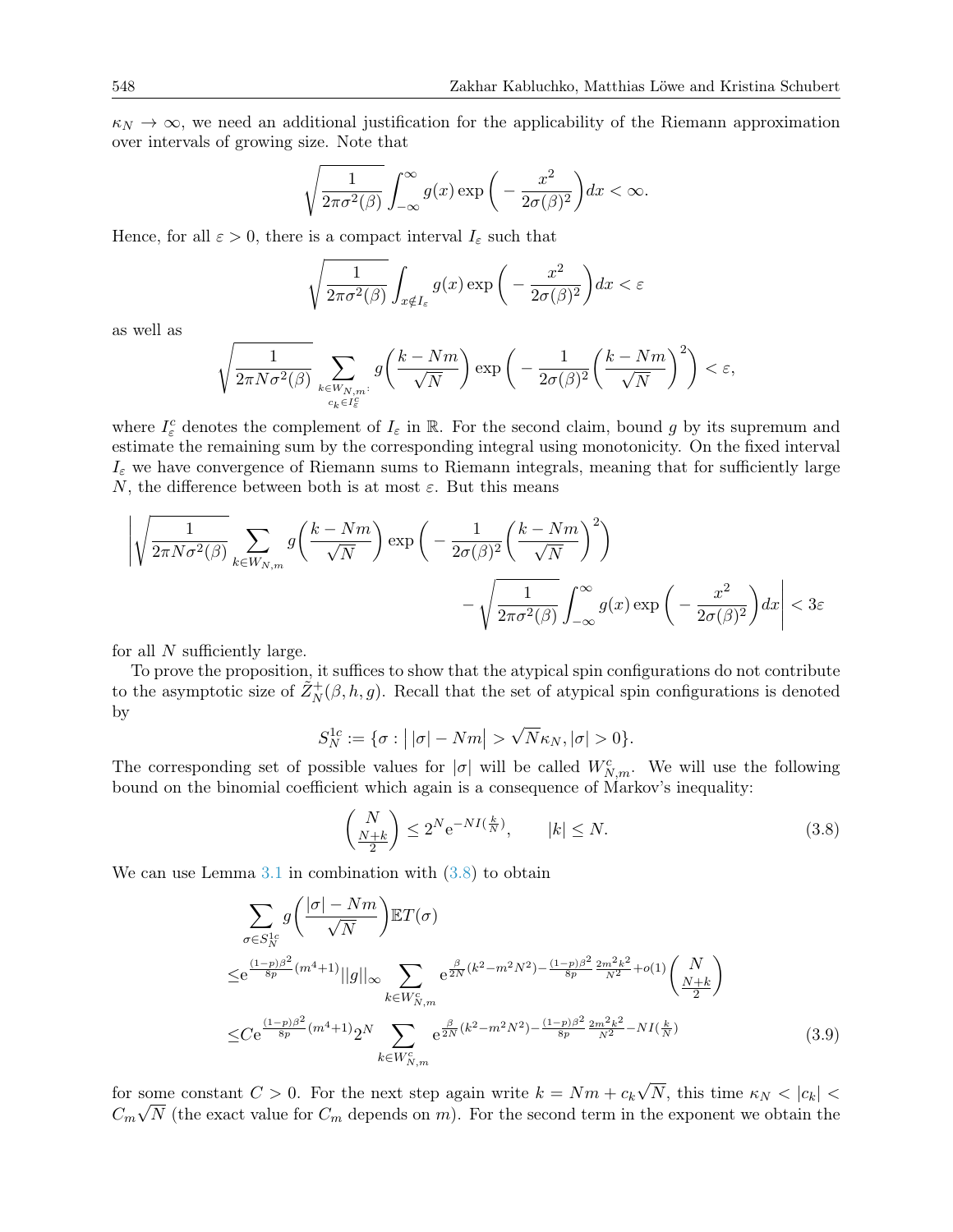$\kappa_N \to \infty$ , we need an additional justification for the applicability of the Riemann approximation over intervals of growing size. Note that

$$
\sqrt{\frac{1}{2\pi\sigma^2(\beta)}}\int_{-\infty}^{\infty}g(x)\exp\bigg(-\frac{x^2}{2\sigma(\beta)^2}\bigg)dx < \infty.
$$

Hence, for all  $\varepsilon > 0$ , there is a compact interval  $I_{\varepsilon}$  such that

$$
\sqrt{\frac{1}{2\pi\sigma^2(\beta)}}\int_{x\notin I_{\varepsilon}}g(x)\exp\bigg(-\frac{x^2}{2\sigma(\beta)^2}\bigg)dx < \varepsilon
$$

as well as

$$
\sqrt{\frac{1}{2\pi N \sigma^2(\beta)}}\sum_{\genfrac{}{}{0pt}{}{k\in W_{N,m}:}{c_k\in I^c_{\varepsilon}}}g\bigg(\frac{k-Nm}{\sqrt{N}}\bigg)\exp\bigg(-\frac{1}{2\sigma(\beta)^2}\bigg(\frac{k-Nm}{\sqrt{N}}\bigg)^2\bigg)<\varepsilon,
$$

where  $I_{\varepsilon}^c$  denotes the complement of  $I_{\varepsilon}$  in  $\mathbb R$ . For the second claim, bound g by its supremum and estimate the remaining sum by the corresponding integral using monotonicity. On the fixed interval  $I_{\varepsilon}$  we have convergence of Riemann sums to Riemann integrals, meaning that for sufficiently large N, the difference between both is at most  $\varepsilon$ . But this means

$$
\left| \sqrt{\frac{1}{2\pi N \sigma^2(\beta)}} \sum_{k \in W_{N,m}} g\left(\frac{k - Nm}{\sqrt{N}}\right) \exp\left(-\frac{1}{2\sigma(\beta)^2} \left(\frac{k - Nm}{\sqrt{N}}\right)^2\right) - \sqrt{\frac{1}{2\pi \sigma^2(\beta)}} \int_{-\infty}^{\infty} g(x) \exp\left(-\frac{x^2}{2\sigma(\beta)^2}\right) dx \right| < 3\varepsilon
$$

for all N sufficiently large.

To prove the proposition, it suffices to show that the atypical spin configurations do not contribute to the asymptotic size of  $\tilde{Z}_N^+(\beta, h, g)$ . Recall that the set of atypical spin configurations is denoted by √

$$
S_N^{1c} := \{ \sigma : \left| |\sigma| - Nm \right| > \sqrt{N} \kappa_N, |\sigma| > 0 \}.
$$

The corresponding set of possible values for  $|\sigma|$  will be called  $W_{N,m}^c$ . We will use the following bound on the binomial coefficient which again is a consequence of Markov's inequality:

<span id="page-11-1"></span><span id="page-11-0"></span>
$$
\left(\frac{N}{\frac{N+k}{2}}\right) \le 2^N e^{-NI\left(\frac{k}{N}\right)}, \qquad |k| \le N. \tag{3.8}
$$

We can use Lemma  $3.1$  in combination with  $(3.8)$  to obtain

$$
\sum_{\sigma \in S_N^{1c}} g\left(\frac{|\sigma| - Nm}{\sqrt{N}}\right) \mathbb{E}T(\sigma)
$$
\n
$$
\leq e^{\frac{(1-p)\beta^2}{8p}(m^4+1)} ||g||_{\infty} \sum_{k \in W_{N,m}^c} e^{\frac{\beta}{2N}(k^2 - m^2N^2) - \frac{(1-p)\beta^2}{8p} \frac{2m^2k^2}{N^2} + o(1)} \left(\frac{N}{\frac{N+k}{2}}\right)
$$
\n
$$
\leq C e^{\frac{(1-p)\beta^2}{8p}(m^4+1)} 2^N \sum_{k \in W_{N,m}^c} e^{\frac{\beta}{2N}(k^2 - m^2N^2) - \frac{(1-p)\beta^2}{8p} \frac{2m^2k^2}{N^2} - NI(\frac{k}{N})}
$$
\n(3.9)

for some constant  $C > 0$ . For the next step again write  $k = Nm + c_k$ √ some constant  $C > 0$ . For the next step again write  $k = Nm + c_k \sqrt{N}$ , this time  $\kappa_N < |c_k| < \sqrt{N}$  $C_m\sqrt{N}$  (the exact value for  $C_m$  depends on m). For the second term in the exponent we obtain the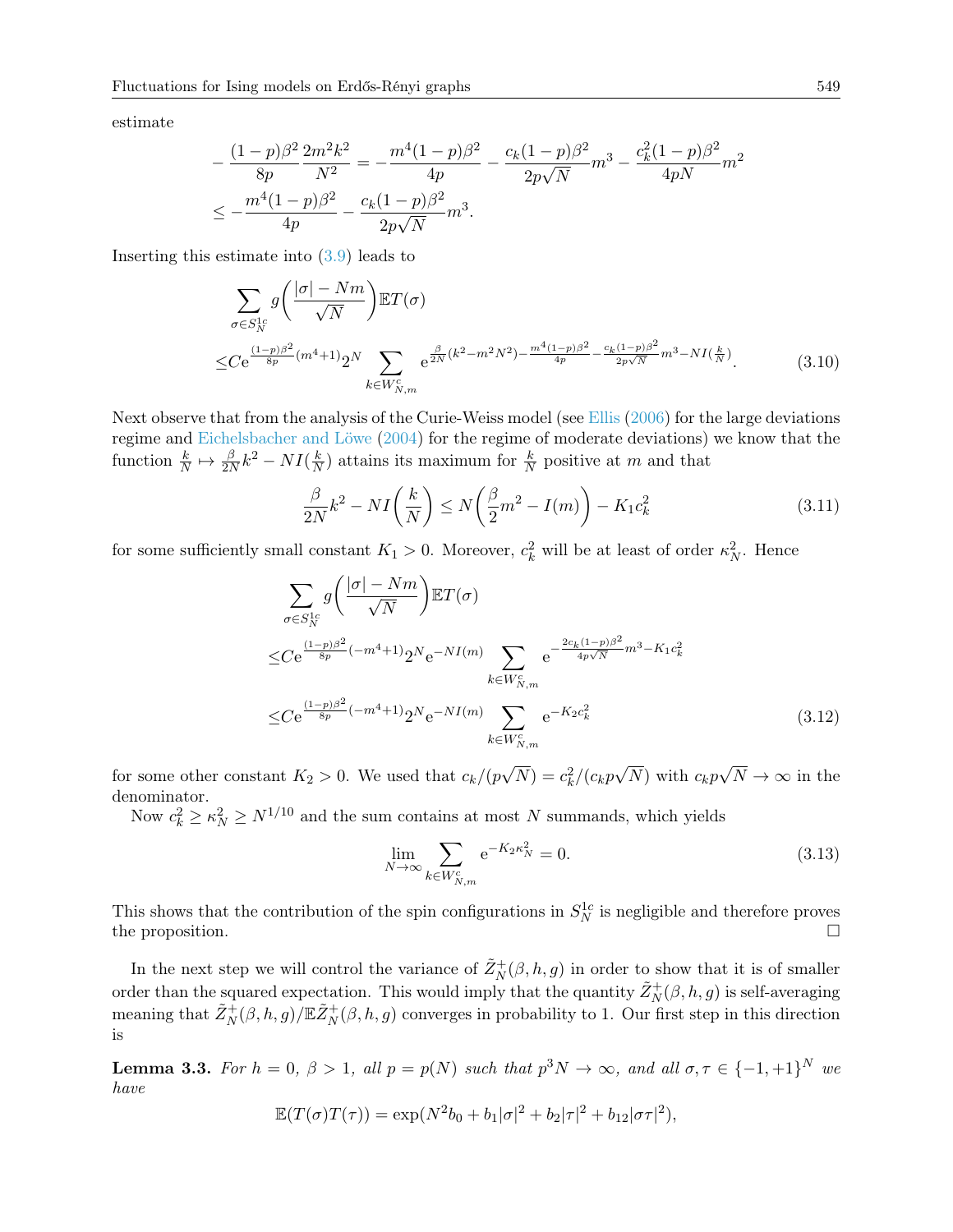estimate

$$
-\frac{(1-p)\beta^2}{8p}\frac{2m^2k^2}{N^2} = -\frac{m^4(1-p)\beta^2}{4p} - \frac{c_k(1-p)\beta^2}{2p\sqrt{N}}m^3 - \frac{c_k^2(1-p)\beta^2}{4pN}m^2
$$
  

$$
\leq -\frac{m^4(1-p)\beta^2}{4p} - \frac{c_k(1-p)\beta^2}{2p\sqrt{N}}m^3.
$$

Inserting this estimate into [\(3.9\)](#page-11-1) leads to

$$
\sum_{\sigma \in S_N^{1c}} g\left(\frac{|\sigma| - Nm}{\sqrt{N}}\right) \mathbb{E}T(\sigma)
$$
\n
$$
\leq C e^{\frac{(1-p)\beta^2}{8p}(m^4+1)} 2^N \sum_{k \in W_{N,m}^c} e^{\frac{\beta}{2N}(k^2 - m^2N^2) - \frac{m^4(1-p)\beta^2}{4p} - \frac{c_k(1-p)\beta^2}{2p\sqrt{N}} m^3 - NI(\frac{k}{N})}.
$$
\n(3.10)

Next observe that from the analysis of the Curie-Weiss model (see [Ellis](#page-25-2) [\(2006\)](#page-25-2) for the large deviations regime and [Eichelsbacher and Löwe](#page-25-14) [\(2004\)](#page-25-14) for the regime of moderate deviations) we know that the function  $\frac{k}{N} \mapsto \frac{\beta}{2N} k^2 - NI(\frac{k}{N})$  $\frac{k}{N}$ ) attains its maximum for  $\frac{k}{N}$  positive at m and that

<span id="page-12-4"></span><span id="page-12-1"></span>
$$
\frac{\beta}{2N}k^2 - NI\left(\frac{k}{N}\right) \le N\left(\frac{\beta}{2}m^2 - I(m)\right) - K_1c_k^2\tag{3.11}
$$

for some sufficiently small constant  $K_1 > 0$ . Moreover,  $c_k^2$  will be at least of order  $\kappa_N^2$ . Hence

$$
\sum_{\sigma \in S_N^{1c}} g\left(\frac{|\sigma| - Nm}{\sqrt{N}}\right) \mathbb{E}T(\sigma)
$$
\n
$$
\leq C e^{\frac{(1-p)\beta^2}{8p}(-m^4+1)} 2^N e^{-NI(m)} \sum_{k \in W_{N,m}^c} e^{-\frac{2c_k(1-p)\beta^2}{4p\sqrt{N}}m^3 - K_1 c_k^2}
$$
\n
$$
\leq C e^{\frac{(1-p)\beta^2}{8p}(-m^4+1)} 2^N e^{-NI(m)} \sum_{k \in W_{N,m}^c} e^{-K_2 c_k^2}
$$
\n(3.12)

for some other constant  $K_2 > 0$ . We used that  $c_k/(p)$ √  $\overline{N}) = c_k^2/(c_k p)$ √ N) with  $c_k p$ √  $N \to \infty$  in the denominator.

Now  $c_k^2 \geq \kappa_N^2 \geq N^{1/10}$  and the sum contains at most N summands, which yields

<span id="page-12-3"></span><span id="page-12-2"></span>
$$
\lim_{N \to \infty} \sum_{k \in W_{N,m}^c} e^{-K_2 \kappa_N^2} = 0.
$$
\n(3.13)

This shows that the contribution of the spin configurations in  $S_N^{1c}$  is negligible and therefore proves the proposition.

In the next step we will control the variance of  $\tilde{Z}_N^+(\beta, h, g)$  in order to show that it is of smaller order than the squared expectation. This would imply that the quantity  $\tilde{Z}_N^+(\beta,h,g)$  is self-averaging meaning that  $\tilde{Z}_N^+(\beta, h, g)/\mathbb{E}\tilde{Z}_N^+(\beta, h, g)$  converges in probability to 1. Our first step in this direction is

<span id="page-12-0"></span>**Lemma 3.3.** For  $h = 0$ ,  $\beta > 1$ , all  $p = p(N)$  such that  $p^3N \to \infty$ , and all  $\sigma, \tau \in \{-1, +1\}^N$  we have

$$
\mathbb{E}(T(\sigma)T(\tau)) = \exp(N^2b_0 + b_1|\sigma|^2 + b_2|\tau|^2 + b_{12}|\sigma\tau|^2),
$$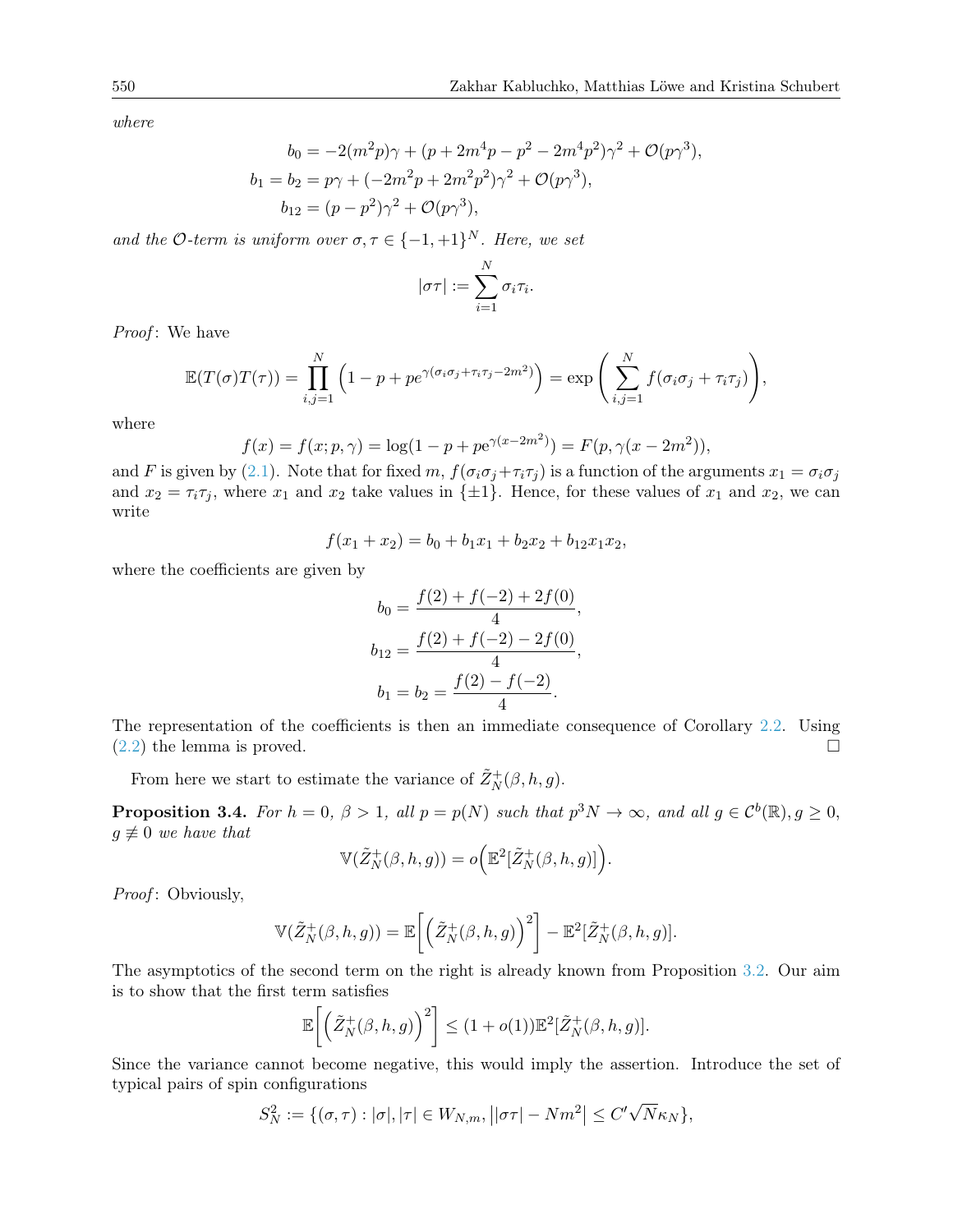where

$$
b_0 = -2(m^2p)\gamma + (p + 2m^4p - p^2 - 2m^4p^2)\gamma^2 + \mathcal{O}(p\gamma^3),
$$
  
\n
$$
b_1 = b_2 = p\gamma + (-2m^2p + 2m^2p^2)\gamma^2 + \mathcal{O}(p\gamma^3),
$$
  
\n
$$
b_{12} = (p - p^2)\gamma^2 + \mathcal{O}(p\gamma^3),
$$

and the O-term is uniform over  $\sigma, \tau \in \{-1, +1\}^N$ . Here, we set

$$
|\sigma\tau| := \sum_{i=1}^N \sigma_i \tau_i.
$$

Proof: We have

$$
\mathbb{E}(T(\sigma)T(\tau)) = \prod_{i,j=1}^N \left(1 - p + pe^{\gamma(\sigma_i \sigma_j + \tau_i \tau_j - 2m^2)}\right) = \exp\left(\sum_{i,j=1}^N f(\sigma_i \sigma_j + \tau_i \tau_j)\right),
$$

where

$$
f(x) = f(x; p, \gamma) = \log(1 - p + p e^{\gamma(x - 2m^2)}) = F(p, \gamma(x - 2m^2)),
$$

and F is given by [\(2.1\)](#page-5-1). Note that for fixed m,  $f(\sigma_i \sigma_j + \tau_i \tau_j)$  is a function of the arguments  $x_1 = \sigma_i \sigma_j$ and  $x_2 = \tau_i \tau_j$ , where  $x_1$  and  $x_2$  take values in  $\{\pm 1\}$ . Hence, for these values of  $x_1$  and  $x_2$ , we can write

$$
f(x_1 + x_2) = b_0 + b_1x_1 + b_2x_2 + b_{12}x_1x_2,
$$

where the coefficients are given by

$$
b_0 = \frac{f(2) + f(-2) + 2f(0)}{4},
$$
  
\n
$$
b_{12} = \frac{f(2) + f(-2) - 2f(0)}{4},
$$
  
\n
$$
b_1 = b_2 = \frac{f(2) - f(-2)}{4}.
$$

The representation of the coefficients is then an immediate consequence of Corollary [2.2.](#page-5-2) Using  $(2.2)$  the lemma is proved.

From here we start to estimate the variance of  $\tilde{Z}_N^+(\beta, h, g)$ .

<span id="page-13-0"></span>**Proposition 3.4.** For  $h = 0$ ,  $\beta > 1$ , all  $p = p(N)$  such that  $p^3N \to \infty$ , and all  $g \in C^b(\mathbb{R})$ ,  $g \ge 0$ ,  $g \not\equiv 0$  we have that

$$
\mathbb{V}(\tilde{Z}_N^+(\beta,h,g)) = o\Big(\mathbb{E}^2[\tilde{Z}_N^+(\beta,h,g)]\Big).
$$

Proof: Obviously,

$$
\mathbb{V}(\tilde{Z}_N^+(\beta,h,g)) = \mathbb{E}\bigg[\bigg(\tilde{Z}_N^+(\beta,h,g)\bigg)^2\bigg] - \mathbb{E}^2[\tilde{Z}_N^+(\beta,h,g)].
$$

The asymptotics of the second term on the right is already known from Proposition [3.2.](#page-8-0) Our aim is to show that the first term satisfies

$$
\mathbb{E}\bigg[\Big(\tilde{Z}_N^+(\beta,h,g)\Big)^2\bigg] \leq (1+o(1))\mathbb{E}^2[\tilde{Z}_N^+(\beta,h,g)].
$$

Since the variance cannot become negative, this would imply the assertion. Introduce the set of typical pairs of spin configurations

$$
S_N^2 := \{(\sigma,\tau): |\sigma|, |\tau| \in W_{N,m}, \big| |\sigma\tau| - Nm^2 \big| \le C'\sqrt{N}\kappa_N\},
$$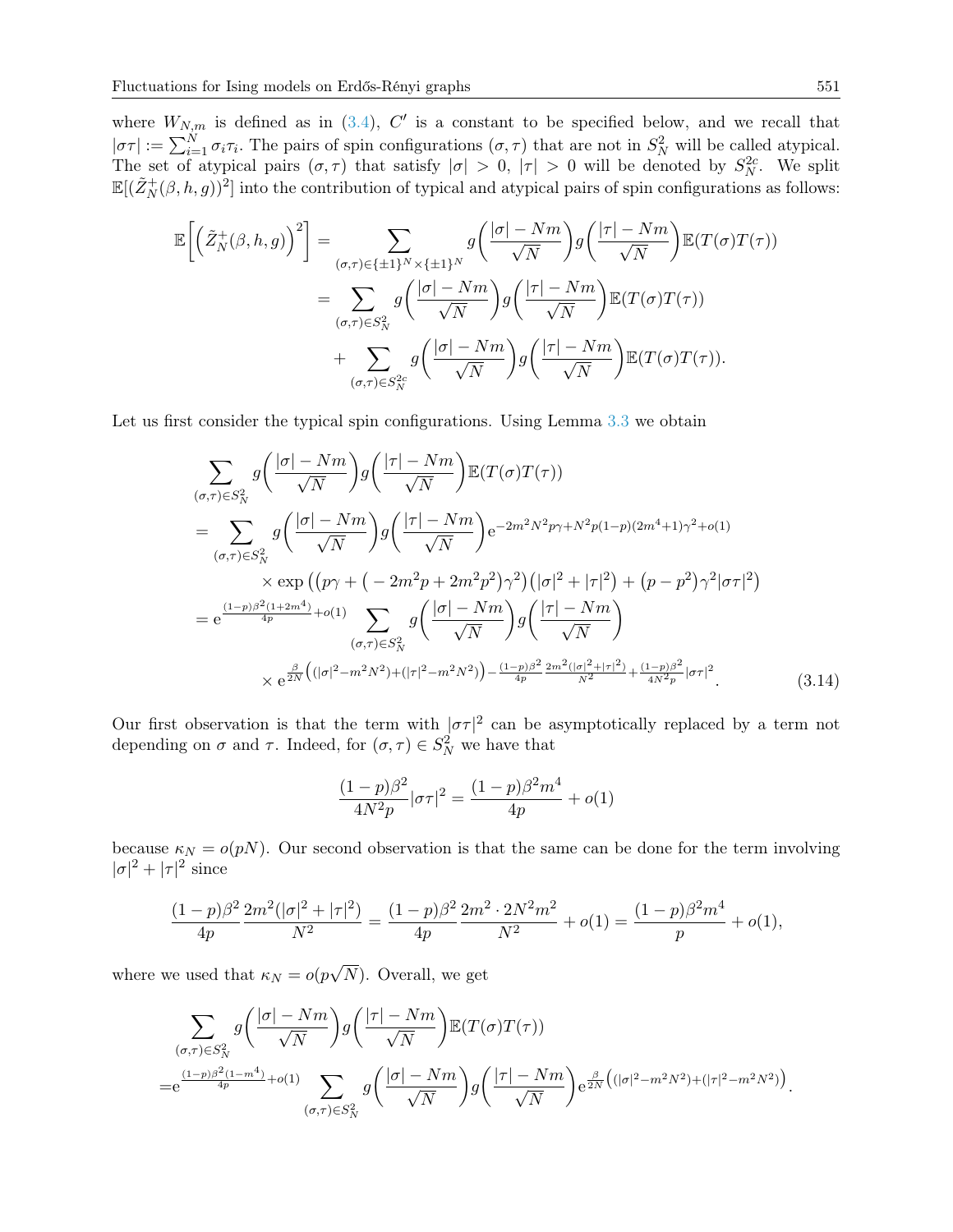where  $W_{N,m}$  is defined as in [\(3.4\)](#page-8-1), C' is a constant to be specified below, and we recall that  $|\sigma\tau| := \sum_{i=1}^N \sigma_i \tau_i$ . The pairs of spin configurations  $(\sigma, \tau)$  that are not in  $S_N^2$  will be called atypical. The set of atypical pairs  $(\sigma, \tau)$  that satisfy  $|\sigma| > 0$ ,  $|\tau| > 0$  will be denoted by  $S_N^{2c}$ . We split  $\mathbb{E}[(\tilde{Z}_N^+(\beta,h,g))^2]$  into the contribution of typical and atypical pairs of spin configurations as follows:

$$
\mathbb{E}\left[\left(\tilde{Z}_{N}^{+}(\beta,h,g)\right)^{2}\right] = \sum_{\substack{(\sigma,\tau)\in\{\pm 1\}^{N}\times\{\pm 1\}^{N} \\ (\sigma,\tau)\in S_{N}^{2}}} g\left(\frac{|\sigma|-Nm}{\sqrt{N}}\right)g\left(\frac{|\tau|-Nm}{\sqrt{N}}\right)\mathbb{E}(T(\sigma)T(\tau))
$$

$$
= \sum_{(\sigma,\tau)\in S_{N}^{2}} g\left(\frac{|\sigma|-Nm}{\sqrt{N}}\right)g\left(\frac{|\tau|-Nm}{\sqrt{N}}\right)\mathbb{E}(T(\sigma)T(\tau))
$$

$$
+ \sum_{(\sigma,\tau)\in S_{N}^{2c}} g\left(\frac{|\sigma|-Nm}{\sqrt{N}}\right)g\left(\frac{|\tau|-Nm}{\sqrt{N}}\right)\mathbb{E}(T(\sigma)T(\tau)).
$$

Let us first consider the typical spin configurations. Using Lemma [3.3](#page-12-0) we obtain

$$
\sum_{(\sigma,\tau)\in S_N^2} g\left(\frac{|\sigma|-Nm}{\sqrt{N}}\right) g\left(\frac{|\tau|-Nm}{\sqrt{N}}\right) \mathbb{E}(T(\sigma)T(\tau))
$$
\n
$$
= \sum_{(\sigma,\tau)\in S_N^2} g\left(\frac{|\sigma|-Nm}{\sqrt{N}}\right) g\left(\frac{|\tau|-Nm}{\sqrt{N}}\right) e^{-2m^2N^2p\gamma+N^2p(1-p)(2m^4+1)\gamma^2+o(1)}
$$
\n
$$
\times \exp\left((p\gamma+(-2m^2p+2m^2p^2)\gamma^2)(|\sigma|^2+|\tau|^2)+(p-p^2)\gamma^2|\sigma\tau|^2\right)
$$
\n
$$
= e^{\frac{(1-p)\beta^2(1+2m^4)}{4p}+o(1)} \sum_{(\sigma,\tau)\in S_N^2} g\left(\frac{|\sigma|-Nm}{\sqrt{N}}\right) g\left(\frac{|\tau|-Nm}{\sqrt{N}}\right)
$$
\n
$$
\times e^{\frac{\beta}{2N}\left((|\sigma|^2-m^2N^2)+(|\tau|^2-m^2N^2)\right)-\frac{(1-p)\beta^2}{4p}\frac{2m^2(|\sigma|^2+|\tau|^2)}{N^2}+\frac{(1-p)\beta^2}{4N^2}|{\sigma\tau}|^2}.
$$
\n(3.14)

Our first observation is that the term with  $|\sigma\tau|^2$  can be asymptotically replaced by a term not depending on  $\sigma$  and  $\tau$ . Indeed, for  $(\sigma, \tau) \in S_N^2$  we have that

<span id="page-14-0"></span>
$$
\frac{(1-p)\beta^2}{4N^2p}|\sigma\tau|^2 = \frac{(1-p)\beta^2m^4}{4p} + o(1)
$$

because  $\kappa_N = o(pN)$ . Our second observation is that the same can be done for the term involving  $|\sigma|^2 + |\tau|^2$  since

$$
\frac{(1-p)\beta^2}{4p}\frac{2m^2(|\sigma|^2+|\tau|^2)}{N^2}=\frac{(1-p)\beta^2}{4p}\frac{2m^2\cdot 2N^2m^2}{N^2}+o(1)=\frac{(1-p)\beta^2m^4}{p}+o(1),
$$

where we used that  $\kappa_N = o(p)$ √ N). Overall, we get

$$
\sum_{\substack{(\sigma,\tau)\in S_N^2\\=\mathrm{e}^{\frac{(1-p)\beta^2(1-m^4)}{4p}+o(1)}}} g\left(\frac{|\tau|-Nm}{\sqrt{N}}\right) \mathbb{E}(T(\sigma)T(\tau))
$$
\n
$$
=\mathrm{e}^{\frac{(1-p)\beta^2(1-m^4)}{4p}+o(1)} \sum_{(\sigma,\tau)\in S_N^2} g\left(\frac{|\sigma|-Nm}{\sqrt{N}}\right) g\left(\frac{|\tau|-Nm}{\sqrt{N}}\right) \mathrm{e}^{\frac{\beta}{2N}\left((|\sigma|^2-m^2N^2)+(|\tau|^2-m^2N^2)\right)}.
$$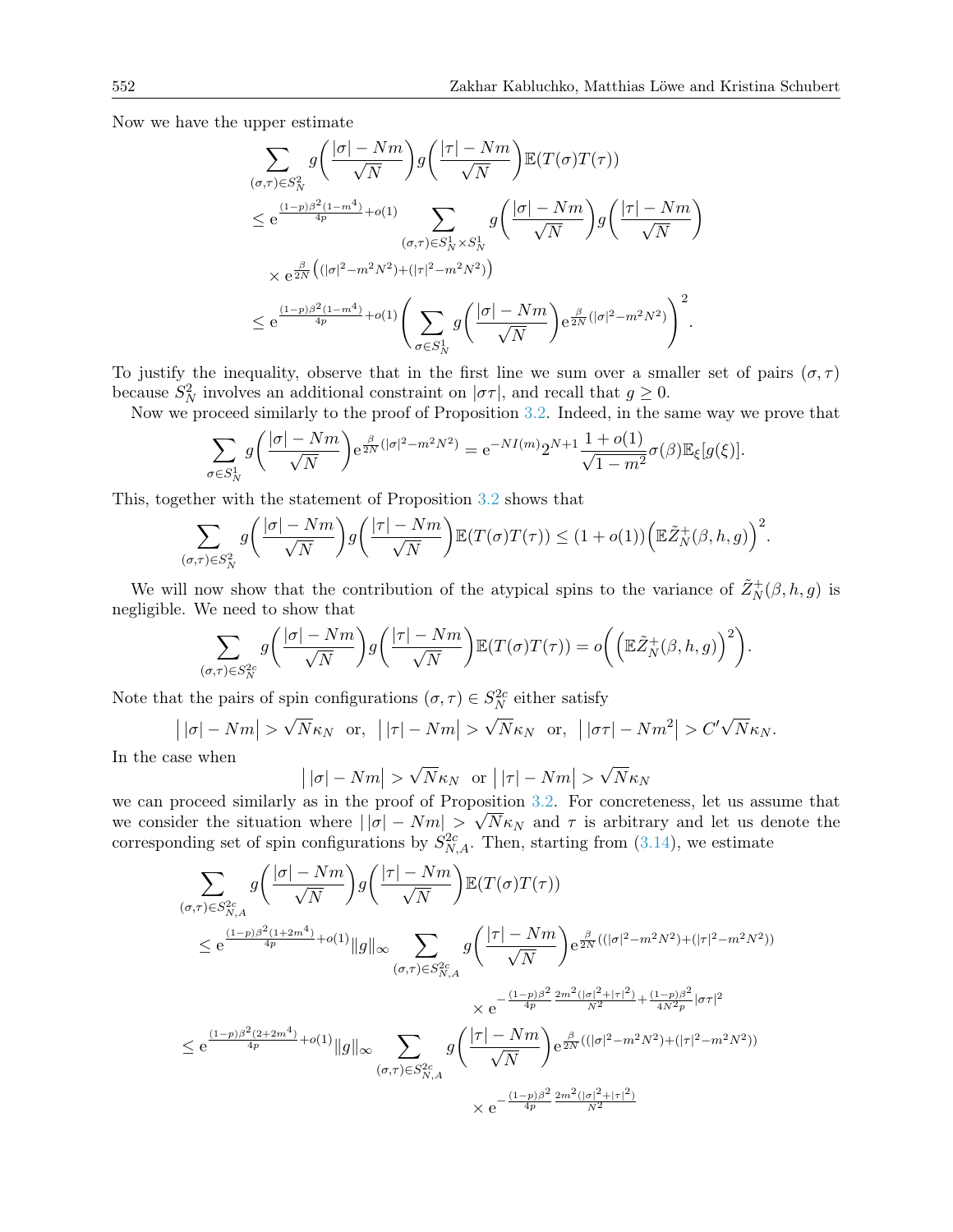Now we have the upper estimate

$$
\sum_{(\sigma,\tau)\in S_N^2} g\left(\frac{|\sigma|-Nm}{\sqrt{N}}\right) g\left(\frac{|\tau|-Nm}{\sqrt{N}}\right) \mathbb{E}(T(\sigma)T(\tau))
$$
\n
$$
\leq e^{\frac{(1-p)\beta^2(1-m^4)}{4p} + o(1)} \sum_{(\sigma,\tau)\in S_N^1 \times S_N^1} g\left(\frac{|\sigma|-Nm}{\sqrt{N}}\right) g\left(\frac{|\tau|-Nm}{\sqrt{N}}\right)
$$
\n
$$
\times e^{\frac{\beta}{2N} \left((|\sigma|^2 - m^2N^2) + (|\tau|^2 - m^2N^2)\right)}
$$
\n
$$
\leq e^{\frac{(1-p)\beta^2(1-m^4)}{4p} + o(1)} \left(\sum_{\sigma\in S_N^1} g\left(\frac{|\sigma|-Nm}{\sqrt{N}}\right) e^{\frac{\beta}{2N}(|\sigma|^2 - m^2N^2)}\right)^2.
$$

To justify the inequality, observe that in the first line we sum over a smaller set of pairs  $(\sigma, \tau)$ because  $S_N^2$  involves an additional constraint on  $|\sigma\tau|$ , and recall that  $g \ge 0$ .

Now we proceed similarly to the proof of Proposition [3.2.](#page-8-0) Indeed, in the same way we prove that

$$
\sum_{\sigma \in S_N^1} g\left(\frac{|\sigma| - Nm}{\sqrt{N}}\right) e^{\frac{\beta}{2N}(|\sigma|^2 - m^2 N^2)} = e^{-NI(m)} 2^{N+1} \frac{1 + o(1)}{\sqrt{1 - m^2}} \sigma(\beta) \mathbb{E}_{\xi}[g(\xi)].
$$

This, together with the statement of Proposition [3.2](#page-8-0) shows that

$$
\sum_{(\sigma,\tau)\in S_N^2} g\bigg(\frac{|\sigma|-Nm}{\sqrt{N}}\bigg)g\bigg(\frac{|\tau|-Nm}{\sqrt{N}}\bigg)\mathbb{E}(T(\sigma)T(\tau))\leq (1+o(1))\bigg(\mathbb{E}\tilde{Z}_N^+(\beta,h,g)\bigg)^2.
$$

We will now show that the contribution of the atypical spins to the variance of  $\tilde{Z}_N^+(\beta, h, g)$  is negligible. We need to show that

$$
\sum_{(\sigma,\tau)\in S_N^{2c}} g\bigg(\frac{|\sigma|-Nm}{\sqrt{N}}\bigg)g\bigg(\frac{|\tau|-Nm}{\sqrt{N}}\bigg)\mathbb{E}(T(\sigma)T(\tau))=o\bigg(\Big(\mathbb{E}\tilde{Z}_N^+(\beta,h,g)\Big)^2\bigg).
$$

Note that the pairs of spin configurations  $(\sigma, \tau) \in S_N^{2c}$  either satisfy

 $| |\sigma| - Nm | >$ √  $\overline{N}\kappa_N$  or,  $||\tau| - Nm|| >$ √  $\frac{\sqrt{N}}{N}\kappa_N$  or,  $|\sigma\tau| - Nm^2| > C'\sqrt{N}$  $N\kappa_N.$ 

In the case when

$$
| |\sigma| - Nm | > \sqrt{N} \kappa_N \text{ or } | |\tau| - Nm | > \sqrt{N} \kappa_N
$$

we can proceed similarly as in the proof of Proposition [3.2.](#page-8-0) For concreteness, let us assume that we consider the situation where  $||\sigma| - Nm| > \sqrt{N\kappa_N}$  and  $\tau$  is arbitrary and let us denote the corresponding set of spin configurations by  $S_{N,A}^{2c}$ . Then, starting from [\(3.14\)](#page-14-0), we estimate

$$
\sum_{(\sigma,\tau)\in S_{N,A}^{2c}} g\left(\frac{|\sigma|-Nm}{\sqrt{N}}\right) g\left(\frac{|\tau|-Nm}{\sqrt{N}}\right) \mathbb{E}(T(\sigma)T(\tau))
$$
\n
$$
\leq e^{\frac{(1-p)\beta^2(1+2m^4)}{4p}+o(1)} \|g\|_{\infty} \sum_{(\sigma,\tau)\in S_{N,A}^{2c}} g\left(\frac{|\tau|-Nm}{\sqrt{N}}\right) e^{\frac{\beta}{2N}((|\sigma|^2-m^2N^2)+(|\tau|^2-m^2N^2))}
$$
\n
$$
\times e^{-\frac{(1-p)\beta^2}{4p} \frac{2m^2(|\sigma|^2+|\tau|^2)}{N^2}+\frac{(1-p)\beta^2}{4N^2}|\sigma\tau|^2}
$$
\n
$$
\leq e^{\frac{(1-p)\beta^2(2+2m^4)}{4p}+o(1)} \|g\|_{\infty} \sum_{(\sigma,\tau)\in S_{N,A}^{2c}} g\left(\frac{|\tau|-Nm}{\sqrt{N}}\right) e^{\frac{\beta}{2N}((|\sigma|^2-m^2N^2)+(|\tau|^2-m^2N^2))}
$$
\n
$$
\times e^{-\frac{(1-p)\beta^2}{4p} \frac{2m^2(|\sigma|^2+|\tau|^2)}{N^2}}
$$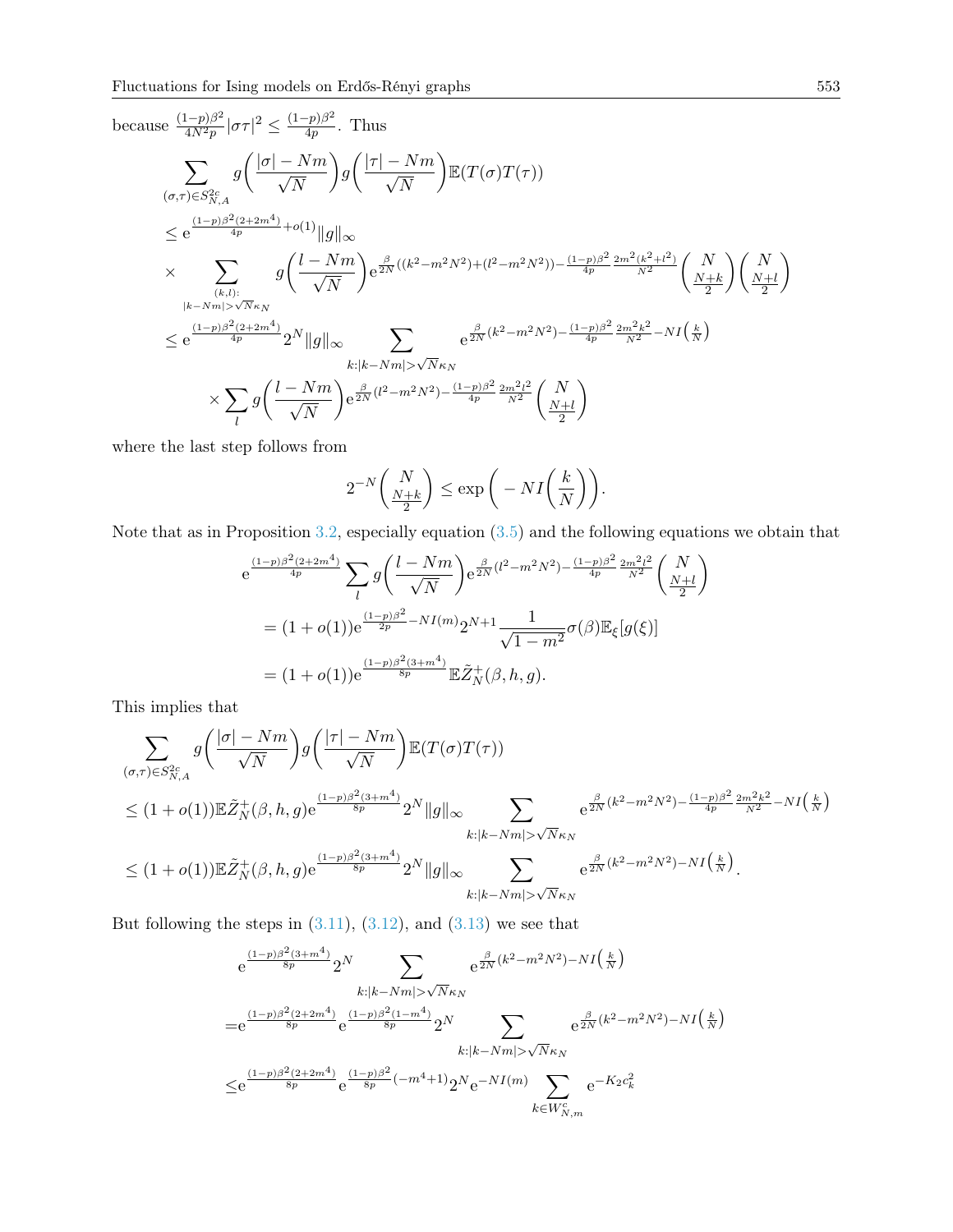because 
$$
\frac{(1-p)\beta^2}{4N^2p} |\sigma\tau|^2 \le \frac{(1-p)\beta^2}{4p}
$$
. Thus  
\n
$$
\sum_{(\sigma,\tau)\in S_{N,A}^2} g\left(\frac{|\sigma|-Nm}{\sqrt{N}}\right) g\left(\frac{|\tau|-Nm}{\sqrt{N}}\right) \mathbb{E}(T(\sigma)T(\tau))
$$
\n
$$
\le e^{\frac{(1-p)\beta^2(2+2m^4)}{4p}+o(1)} ||g||_{\infty}
$$
\n
$$
\times \sum_{(k,l): \atop |k-Nm|> \sqrt{N}\kappa_N} g\left(\frac{l-Nm}{\sqrt{N}}\right) e^{\frac{\beta}{2N}((k^2-m^2N^2)+(l^2-m^2N^2)) - \frac{(1-p)\beta^2}{4p} \frac{2m^2(k^2+l^2)}{N^2}} \binom{N}{\frac{N+k}{2}} \binom{N}{\frac{N+l}{2}}
$$
\n
$$
\le e^{\frac{(1-p)\beta^2(2+2m^4)}{4p}} 2^N ||g||_{\infty} \sum_{k:|k-Nm|> \sqrt{N}\kappa_N} e^{\frac{\beta}{2N}(k^2-m^2N^2) - \frac{(1-p)\beta^2}{4p} \frac{2m^2k^2}{N^2} - NI\left(\frac{k}{N}\right)}
$$
\n
$$
\times \sum_{l} g\left(\frac{l-Nm}{\sqrt{N}}\right) e^{\frac{\beta}{2N}(l^2-m^2N^2) - \frac{(1-p)\beta^2}{4p} \frac{2m^2l^2}{N^2}} \binom{N}{\frac{N+l}{2}}
$$

where the last step follows from

$$
2^{-N} \binom{N}{\frac{N+k}{2}} \le \exp\bigg(-NI\bigg(\frac{k}{N}\bigg)\bigg).
$$

Note that as in Proposition [3.2,](#page-8-0) especially equation [\(3.5\)](#page-9-1) and the following equations we obtain that

$$
e^{\frac{(1-p)\beta^2(2+2m^4)}{4p}} \sum_{l} g\left(\frac{l-Nm}{\sqrt{N}}\right) e^{\frac{\beta}{2N}(l^2 - m^2N^2) - \frac{(1-p)\beta^2}{4p} \frac{2m^2l^2}{N^2}} \left(\frac{N}{\frac{N+l}{2}}\right)
$$
  
=  $(1+o(1))e^{\frac{(1-p)\beta^2}{2p} - NI(m)} 2^{N+1} \frac{1}{\sqrt{1-m^2}} \sigma(\beta) \mathbb{E}_{\xi}[g(\xi)]$   
=  $(1+o(1))e^{\frac{(1-p)\beta^2(3+m^4)}{8p}} \mathbb{E}\tilde{Z}_N^+(\beta, h, g).$ 

This implies that

$$
\sum_{(\sigma,\tau)\in S_{N,A}^{2c}} g\left(\frac{|\sigma|-Nm}{\sqrt{N}}\right)g\left(\frac{|\tau|-Nm}{\sqrt{N}}\right)\mathbb{E}(T(\sigma)T(\tau))
$$
\n
$$
\leq (1+o(1))\mathbb{E}\tilde{Z}_{N}^{+}(\beta,h,g)e^{\frac{(1-p)\beta^{2}(3+m^{4})}{8p}}2^{N}\|g\|_{\infty}\sum_{k:\vert k-Nm\vert>\sqrt{N}\kappa_{N}}e^{\frac{\beta}{2N}(k^{2}-m^{2}N^{2})-\frac{(1-p)\beta^{2}}{4p}\frac{2m^{2}k^{2}}{N^{2}}-NI\left(\frac{k}{N}\right)}
$$
\n
$$
\leq (1+o(1))\mathbb{E}\tilde{Z}_{N}^{+}(\beta,h,g)e^{\frac{(1-p)\beta^{2}(3+m^{4})}{8p}}2^{N}\|g\|_{\infty}\sum_{k:\vert k-Nm\vert>\sqrt{N}\kappa_{N}}e^{\frac{\beta}{2N}(k^{2}-m^{2}N^{2})-NI\left(\frac{k}{N}\right)}.
$$

But following the steps in  $(3.11)$ ,  $(3.12)$ , and  $(3.13)$  we see that

$$
e^{\frac{(1-p)\beta^2(3+m^4)}{8p}} 2^N \sum_{k:|k-Nm| > \sqrt{N}\kappa_N} e^{\frac{\beta}{2N}(k^2-m^2N^2) - NI\left(\frac{k}{N}\right)}
$$
  
\n
$$
= e^{\frac{(1-p)\beta^2(2+2m^4)}{8p}} e^{\frac{(1-p)\beta^2(1-m^4)}{8p}} 2^N \sum_{k:|k-Nm| > \sqrt{N}\kappa_N} e^{\frac{\beta}{2N}(k^2-m^2N^2) - NI\left(\frac{k}{N}\right)}
$$
  
\n
$$
\leq e^{\frac{(1-p)\beta^2(2+2m^4)}{8p}} e^{\frac{(1-p)\beta^2}{8p}(-m^4+1)} 2^N e^{-NI(m)} \sum_{k \in W_{N,m}^c} e^{-K_2 c_k^2}
$$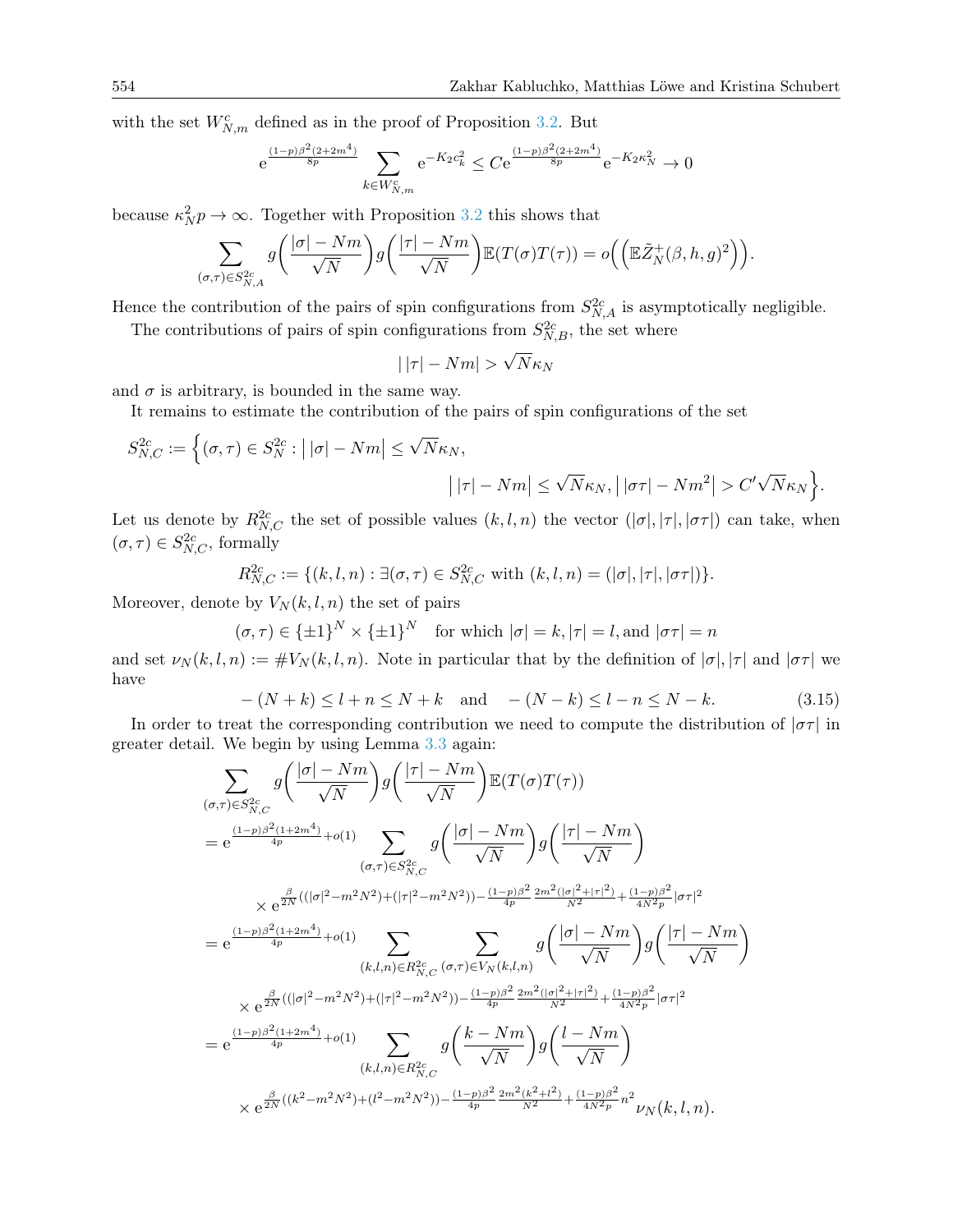with the set  $W_{N,m}^c$  defined as in the proof of Proposition [3.2.](#page-8-0) But

$$
e^{\frac{(1-p)\beta^2(2+2m^4)}{8p}}\sum_{k\in W_{N,m}^c}e^{-K_2c_k^2}\leq Ce^{\frac{(1-p)\beta^2(2+2m^4)}{8p}}e^{-K_2\kappa_N^2}\to 0
$$

because  $\kappa_N^2 p \to \infty$ . Together with Proposition [3.2](#page-8-0) this shows that

$$
\sum_{(\sigma,\tau)\in S_{N,A}^{2c}} g\bigg(\frac{|\sigma|-Nm}{\sqrt{N}}\bigg)g\bigg(\frac{|\tau|-Nm}{\sqrt{N}}\bigg)\mathbb{E}(T(\sigma)T(\tau))=o\bigg(\Big(\mathbb{E}\tilde{Z}_N^+(\beta,h,g)^2\Big)\bigg).
$$

Hence the contribution of the pairs of spin configurations from  $S^{2c}_{N,A}$  is asymptotically negligible.

The contributions of pairs of spin configurations from  $S_{N,B}^{2c}$ , the set where

$$
|\,|\tau| - Nm| > \sqrt{N}\kappa_N
$$

and  $\sigma$  is arbitrary, is bounded in the same way.

It remains to estimate the contribution of the pairs of spin configurations of the set

$$
S_{N,C}^{2c} := \Big\{ (\sigma, \tau) \in S_N^{2c} : ||\sigma| - Nm \Big| \leq \sqrt{N} \kappa_N,
$$

$$
||\tau| - Nm \Big| \leq \sqrt{N} \kappa_N, \Big| |\sigma\tau| - Nm^2 \Big| > C' \sqrt{N} \kappa_N \Big\}.
$$

Let us denote by  $R_{N,C}^{2c}$  the set of possible values  $(k, l, n)$  the vector  $(|\sigma|, |\tau|, |\sigma\tau|)$  can take, when  $(\sigma, \tau) \in S^{2c}_{N,C}$ , formally

$$
R_{N,C}^{2c} := \{(k, l, n) : \exists (\sigma, \tau) \in S_{N,C}^{2c} \text{ with } (k, l, n) = (|\sigma|, |\tau|, |\sigma \tau|)\}.
$$

Moreover, denote by  $V_N(k, l, n)$  the set of pairs

 $(\sigma, \tau) \in {\pm 1}^N \times {\pm 1}^N$  for which  $|\sigma| = k, |\tau| = l$ , and  $|\sigma \tau| = n$ 

and set  $\nu_N(k, l, n) := \#V_N(k, l, n)$ . Note in particular that by the definition of  $|\sigma|, |\tau|$  and  $|\sigma \tau|$  we have

<span id="page-17-0"></span>
$$
-(N+k) \le l+n \le N+k \text{ and } -(N-k) \le l-n \le N-k. \tag{3.15}
$$

In order to treat the corresponding contribution we need to compute the distribution of  $|\sigma\tau|$  in greater detail. We begin by using Lemma [3.3](#page-12-0) again:

$$
\sum_{(\sigma,\tau)\in S_{N,C}^{2c}} g\left(\frac{|\sigma|-Nm}{\sqrt{N}}\right) g\left(\frac{|\tau|-Nm}{\sqrt{N}}\right) \mathbb{E}(T(\sigma)T(\tau))
$$
\n
$$
= e^{\frac{(1-p)\beta^2(1+2m^4)}{4p} + o(1)} \sum_{(\sigma,\tau)\in S_{N,C}^{2c}} g\left(\frac{|\sigma|-Nm}{\sqrt{N}}\right) g\left(\frac{|\tau|-Nm}{\sqrt{N}}\right)
$$
\n
$$
\times e^{\frac{\beta}{2N}((|\sigma|^2-m^2N^2)+(|\tau|^2-m^2N^2)) - \frac{(1-p)\beta^2}{4p} \frac{2m^2(|\sigma|^2+|\tau|^2)}{N^2} + \frac{(1-p)\beta^2}{4N^2p}|\sigma\tau|^2}
$$
\n
$$
= e^{\frac{(1-p)\beta^2(1+2m^4)}{4p} + o(1)} \sum_{(k,l,n)\in R_{N,C}^{2c}} \sum_{(\sigma,\tau)\in V_N(k,l,n)} g\left(\frac{|\sigma|-Nm}{\sqrt{N}}\right) g\left(\frac{|\tau|-Nm}{\sqrt{N}}\right)
$$
\n
$$
\times e^{\frac{\beta}{2N}((|\sigma|^2-m^2N^2)+(|\tau|^2-m^2N^2)) - \frac{(1-p)\beta^2}{4p} \frac{2m^2(|\sigma|^2+|\tau|^2)}{N^2} + \frac{(1-p)\beta^2}{4N^2p}|\sigma\tau|^2}
$$
\n
$$
= e^{\frac{(1-p)\beta^2(1+2m^4)}{4p} + o(1)} \sum_{(k,l,n)\in R_{N,C}^{2c}} g\left(\frac{k-Nm}{\sqrt{N}}\right) g\left(\frac{l-Nm}{\sqrt{N}}\right)
$$
\n
$$
\times e^{\frac{\beta}{2N}((k^2-m^2N^2)+(l^2-m^2N^2)) - \frac{(1-p)\beta^2}{4p} \frac{2m^2(k^2+l^2)}{N^2} + \frac{(1-p)\beta^2}{4N^2p}n^2} \nu_N(k,l,n).
$$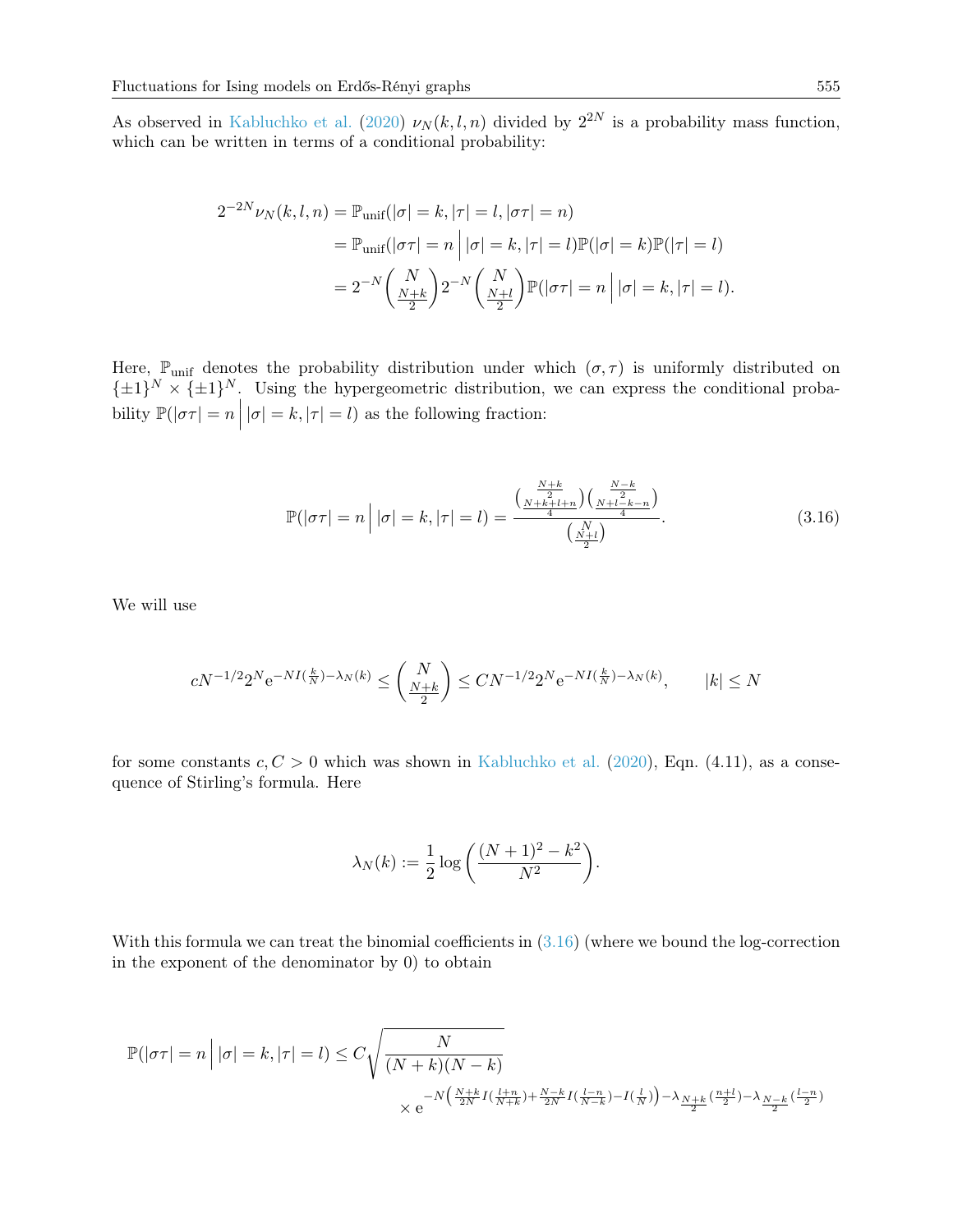As observed in [Kabluchko et al.](#page-26-2) [\(2020\)](#page-26-2)  $\nu_N(k, l, n)$  divided by  $2^{2N}$  is a probability mass function, which can be written in terms of a conditional probability:

$$
2^{-2N} \nu_N(k, l, n) = \mathbb{P}_{\text{unif}}(|\sigma| = k, |\tau| = l, |\sigma \tau| = n)
$$
  
= 
$$
\mathbb{P}_{\text{unif}}(|\sigma \tau| = n | |\sigma| = k, |\tau| = l) \mathbb{P}(|\sigma| = k) \mathbb{P}(|\tau| = l)
$$
  
= 
$$
2^{-N} \left(\frac{N}{\frac{N+k}{2}}\right) 2^{-N} \left(\frac{N}{\frac{N+l}{2}}\right) \mathbb{P}(|\sigma \tau| = n | |\sigma| = k, |\tau| = l).
$$

Here,  $\mathbb{P}_{\text{unif}}$  denotes the probability distribution under which  $(\sigma, \tau)$  is uniformly distributed on  $\{\pm 1\}^N \times {\{\pm 1\}}^N$ . Using the hypergeometric distribution, we can express the conditional probability  $\mathbb{P}(|\sigma\tau| = n | |\sigma| = k, |\tau| = l)$  as the following fraction:

<span id="page-18-0"></span>
$$
\mathbb{P}(|\sigma\tau| = n | |\sigma| = k, |\tau| = l) = \frac{\left(\frac{N+k}{2}\right)\left(\frac{N-k}{2}\right)}{\left(\frac{N+l}{2}\right)}.
$$
\n(3.16)

We will use

$$
cN^{-1/2}2^Ne^{-NI(\frac{k}{N})-\lambda_N(k)}\leq \binom{N}{\frac{N+k}{2}}\leq CN^{-1/2}2^Ne^{-NI(\frac{k}{N})-\lambda_N(k)},\qquad |k|\leq N
$$

for some constants  $c, C > 0$  which was shown in [Kabluchko et al.](#page-26-2) [\(2020\)](#page-26-2), Eqn. (4.11), as a consequence of Stirling's formula. Here

$$
\lambda_N(k) := \frac{1}{2} \log \left( \frac{(N+1)^2 - k^2}{N^2} \right).
$$

With this formula we can treat the binomial coefficients in  $(3.16)$  (where we bound the log-correction in the exponent of the denominator by 0) to obtain

$$
\mathbb{P}(|\sigma\tau| = n | |\sigma| = k, |\tau| = l) \le C \sqrt{\frac{N}{(N+k)(N-k)}}\n\times e^{-N\left(\frac{N+k}{2N}I(\frac{l+n}{N+k}) + \frac{N-k}{2N}I(\frac{l-n}{N-k}) - I(\frac{l}{N})\right) - \lambda} \frac{N+k}{2} (\frac{n+l}{2}) - \lambda \frac{N-k}{2} (\frac{l-n}{2})}
$$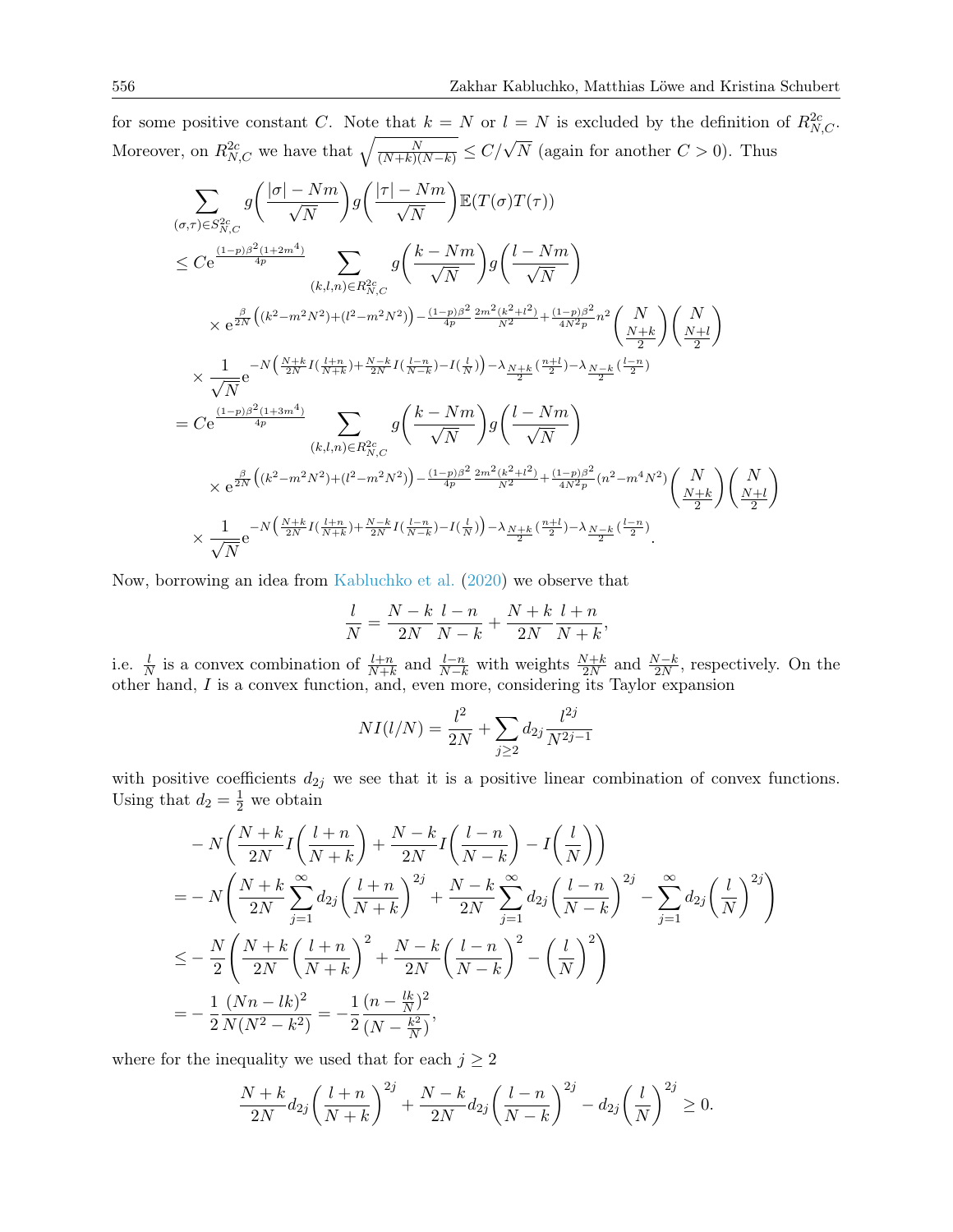for some positive constant C. Note that  $k = N$  or  $l = N$  is excluded by the definition of  $R_{N,C}^{2c}$ . Moreover, on  $R_{N,C}^{2c}$  we have that  $\sqrt{\frac{N}{(N+k)(N-k)}} \leq C/\sqrt{N}$  (again for another  $C > 0$ ). Thus

$$
\sum_{(\sigma,\tau)\in S_{N,C}^{2c}} g\left(\frac{|\sigma|-Nm}{\sqrt{N}}\right) g\left(\frac{|\tau|-Nm}{\sqrt{N}}\right) \mathbb{E}(T(\sigma)T(\tau))
$$
\n
$$
\leq C e^{\frac{(1-p)\beta^2(1+2m^4)}{4p}} \sum_{(k,l,n)\in R_{N,C}^2} g\left(\frac{k-Nm}{\sqrt{N}}\right) g\left(\frac{l-Nm}{\sqrt{N}}\right)
$$
\n
$$
\times e^{\frac{\beta}{2N}\left((k^2-m^2N^2)+(l^2-m^2N^2)\right)-\frac{(1-p)\beta^2}{4p}\frac{2m^2(k^2+l^2)}{N^2}+\frac{(1-p)\beta^2}{4N^2p}n^2}\left(\frac{N}{2}\right)\left(\frac{N}{2}\right)
$$
\n
$$
\times \frac{1}{\sqrt{N}} e^{-N\left(\frac{N+k}{2N}I\left(\frac{l+n}{N+k}\right)+\frac{N-k}{2N}I\left(\frac{l-n}{N-k}\right)-I\left(\frac{l}{N}\right)\right)-\lambda} \frac{N+k}{2} \left(\frac{n+l}{2}\right)-\lambda} \frac{N-k}{2} \left(\frac{l-n}{2}\right)}
$$
\n
$$
= C e^{\frac{(1-p)\beta^2(1+3m^4)}{4p}} \sum_{(k,l,n)\in R_{N,C}^2} g\left(\frac{k-Nm}{\sqrt{N}}\right) g\left(\frac{l-Nm}{\sqrt{N}}\right)
$$
\n
$$
\times e^{\frac{\beta}{2N}\left((k^2-m^2N^2)+(l^2-m^2N^2)\right)-\frac{(1-p)\beta^2}{4p}\frac{2m^2(k^2+l^2)}{N^2}+\frac{(1-p)\beta^2}{4N^2p}(n^2-m^4N^2)\left(\frac{N}{2}\right)\left(\frac{N}{2}\right)}
$$
\n
$$
\times \frac{1}{\sqrt{N}} e^{-N\left(\frac{N+k}{2N}I\left(\frac{l+n}{N+k}\right)+\frac{N-k}{2N}I\left(\frac{l-n}{N-k}\right)-I\left(\frac{l}{N}\right)\right)-\lambda} \frac{N+k}{2} \left(\frac{n+l}{2}\right)-\lambda} \frac{N-k}{2} \left(\frac{l-n}{2}\right)}.
$$

Now, borrowing an idea from [Kabluchko et al.](#page-26-2) [\(2020\)](#page-26-2) we observe that

$$
\frac{l}{N} = \frac{N-k}{2N} \frac{l-n}{N-k} + \frac{N+k}{2N} \frac{l+n}{N+k},
$$

i.e.  $\frac{l}{N}$  is a convex combination of  $\frac{l+n}{N+k}$  and  $\frac{l-n}{N-k}$  with weights  $\frac{N+k}{2N}$  and  $\frac{N-k}{2N}$ , respectively. On the other hand, I is a convex function, and, even more, considering its Taylor expansion

$$
NI(l/N) = \frac{l^2}{2N} + \sum_{j\geq 2} d_{2j} \frac{l^{2j}}{N^{2j-1}}
$$

with positive coefficients  $d_{2j}$  we see that it is a positive linear combination of convex functions. Using that  $d_2 = \frac{1}{2}$  we obtain

$$
-N\left(\frac{N+k}{2N}I\left(\frac{l+n}{N+k}\right) + \frac{N-k}{2N}I\left(\frac{l-n}{N-k}\right) - I\left(\frac{l}{N}\right)\right)
$$
  
=  $-N\left(\frac{N+k}{2N}\sum_{j=1}^{\infty}d_{2j}\left(\frac{l+n}{N+k}\right)^{2j} + \frac{N-k}{2N}\sum_{j=1}^{\infty}d_{2j}\left(\frac{l-n}{N-k}\right)^{2j} - \sum_{j=1}^{\infty}d_{2j}\left(\frac{l}{N}\right)^{2j}\right)$   
 $\leq -\frac{N}{2}\left(\frac{N+k}{2N}\left(\frac{l+n}{N+k}\right)^{2} + \frac{N-k}{2N}\left(\frac{l-n}{N-k}\right)^{2} - \left(\frac{l}{N}\right)^{2}\right)$   
=  $-\frac{1}{2}\frac{(Nn-lk)^{2}}{N(N^{2}-k^{2})} = -\frac{1}{2}\frac{(n-\frac{lk}{N})^{2}}{(N-\frac{k^{2}}{N})},$ 

where for the inequality we used that for each  $j \geq 2$ 

$$
\frac{N+k}{2N}d_{2j}\left(\frac{l+n}{N+k}\right)^{2j} + \frac{N-k}{2N}d_{2j}\left(\frac{l-n}{N-k}\right)^{2j} - d_{2j}\left(\frac{l}{N}\right)^{2j} \ge 0.
$$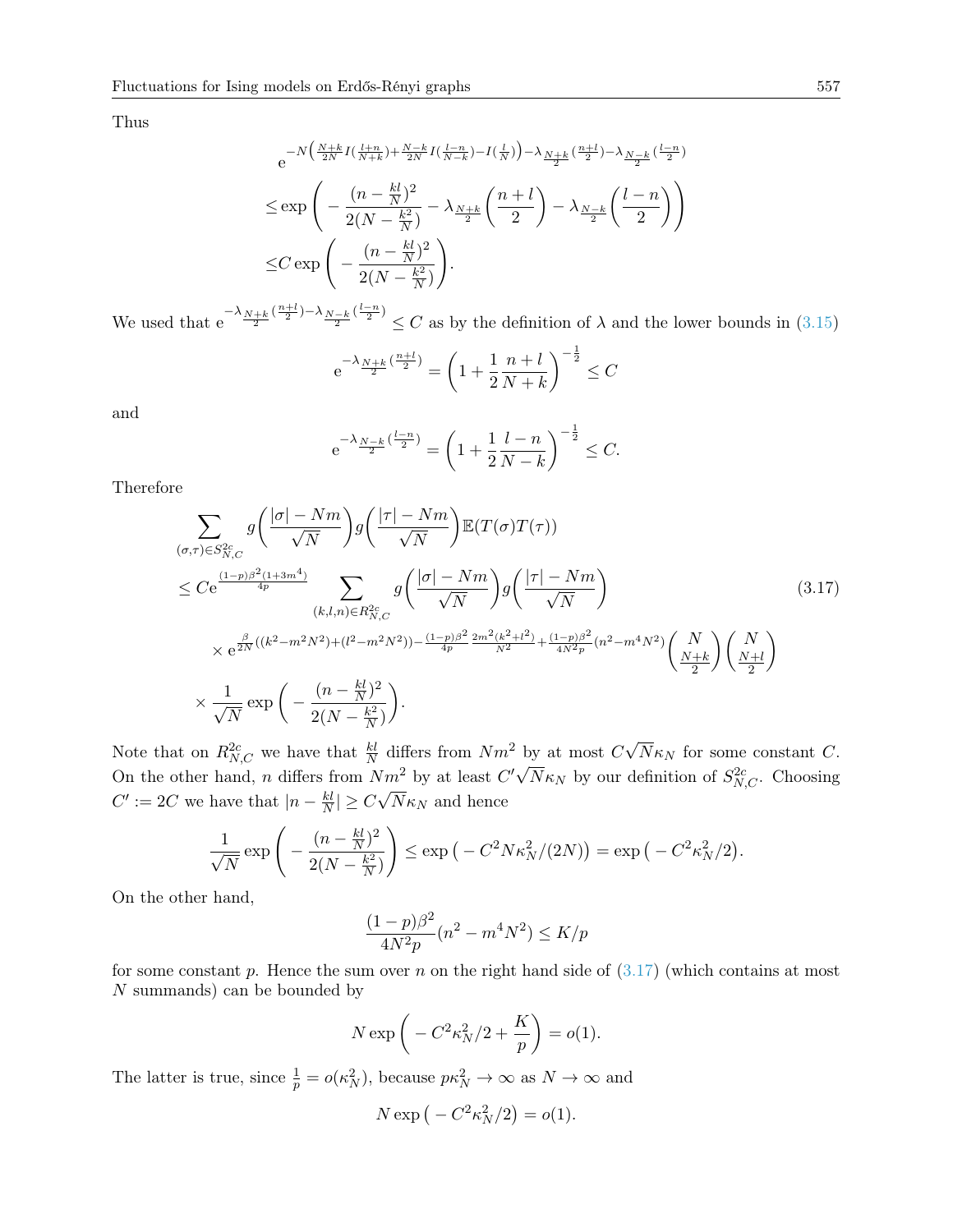Thus

$$
e^{-N\left(\frac{N+k}{2N}I\left(\frac{l+n}{N+k}\right)+\frac{N-k}{2N}I\left(\frac{l-n}{N-k}\right)-I\left(\frac{l}{N}\right)\right)-\lambda_{\frac{N+k}{2}}\left(\frac{n+l}{2}\right)-\lambda_{\frac{N-k}{2}}\left(\frac{l-n}{2}\right)}
$$
  

$$
\leq \exp\left(-\frac{(n-\frac{kl}{N})^2}{2(N-\frac{k^2}{N})}-\lambda_{\frac{N+k}{2}}\left(\frac{n+l}{2}\right)-\lambda_{\frac{N-k}{2}}\left(\frac{l-n}{2}\right)\right)
$$
  

$$
\leq C\exp\left(-\frac{(n-\frac{kl}{N})^2}{2(N-\frac{k^2}{N})}\right).
$$

We used that  $e^{-\lambda} \frac{N+k}{2} \frac{\binom{n+1}{2} - \lambda_{N-k} \binom{l-n}{2}} \leq C$  as by the definition of  $\lambda$  and the lower bounds in [\(3.15\)](#page-17-0)

$$
e^{-\lambda_{\frac{N+k}{2}}(\frac{n+l}{2})} = \left(1 + \frac{1}{2}\frac{n+l}{N+k}\right)^{-\frac{1}{2}} \leq C
$$

and

<span id="page-20-0"></span>
$$
e^{-\lambda_{\frac{N-k}{2}}(\frac{l-n}{2})} = \left(1 + \frac{1}{2}\frac{l-n}{N-k}\right)^{-\frac{1}{2}} \leq C.
$$

Therefore

$$
\sum_{(\sigma,\tau)\in S_{N,C}^{2c}} g\left(\frac{|\sigma|-Nm}{\sqrt{N}}\right) g\left(\frac{|\tau|-Nm}{\sqrt{N}}\right) \mathbb{E}(T(\sigma)T(\tau))
$$
\n
$$
\leq C e^{\frac{(1-p)\beta^2(1+3m^4)}{4p}} \sum_{(k,l,n)\in R_{N,C}^{2c}} g\left(\frac{|\sigma|-Nm}{\sqrt{N}}\right) g\left(\frac{|\tau|-Nm}{\sqrt{N}}\right)
$$
\n
$$
\times e^{\frac{\beta}{2N}((k^2-m^2N^2)+(l^2-m^2N^2))-\frac{(1-p)\beta^2}{4p}\frac{2m^2(k^2+l^2)}{N^2}+\frac{(1-p)\beta^2}{4N^2p}(n^2-m^4N^2)} \left(\frac{N}{\frac{N+k}{2}}\right) \left(\frac{N}{\frac{N+l}{2}}\right)
$$
\n
$$
\times \frac{1}{\sqrt{N}} \exp\left(-\frac{(n-\frac{kl}{N})^2}{2(N-\frac{k^2}{N})}\right).
$$
\n(3.17)

Note that on  $R_{N,C}^{2c}$  we have that  $\frac{kl}{N}$  differs from  $Nm^2$  by at most  $C\sqrt{N}$ by at most  $C\sqrt{N\kappa_N}$  for some constant C. On the other hand, n differs from  $Nm^2$  by at least  $C'\sqrt{N}\kappa_N$  by our definition of  $S_{N,C}^{2c}$ . Choosing  $C' := 2C$  we have that  $|n - \frac{kl}{N}|$  $\frac{k l}{N}$   $\geq C \sqrt{N \kappa_N}$  and hence

$$
\frac{1}{\sqrt{N}}\exp\left(-\frac{(n-\frac{kl}{N})^2}{2(N-\frac{k^2}{N})}\right)\leq \exp\left(-C^2N\kappa_N^2/(2N)\right)=\exp\left(-C^2\kappa_N^2/2\right).
$$

On the other hand,

$$
\frac{(1-p)\beta^2}{4N^2p}(n^2 - m^4N^2) \le K/p
$$

for some constant p. Hence the sum over n on the right hand side of  $(3.17)$  (which contains at most N summands) can be bounded by

$$
N \exp\left(-C^2 \kappa_N^2/2 + \frac{K}{p}\right) = o(1).
$$

The latter is true, since  $\frac{1}{p} = o(\kappa_N^2)$ , because  $p\kappa_N^2 \to \infty$  as  $N \to \infty$  and

$$
N \exp\left(-C^2 \kappa_N^2/2\right) = o(1).
$$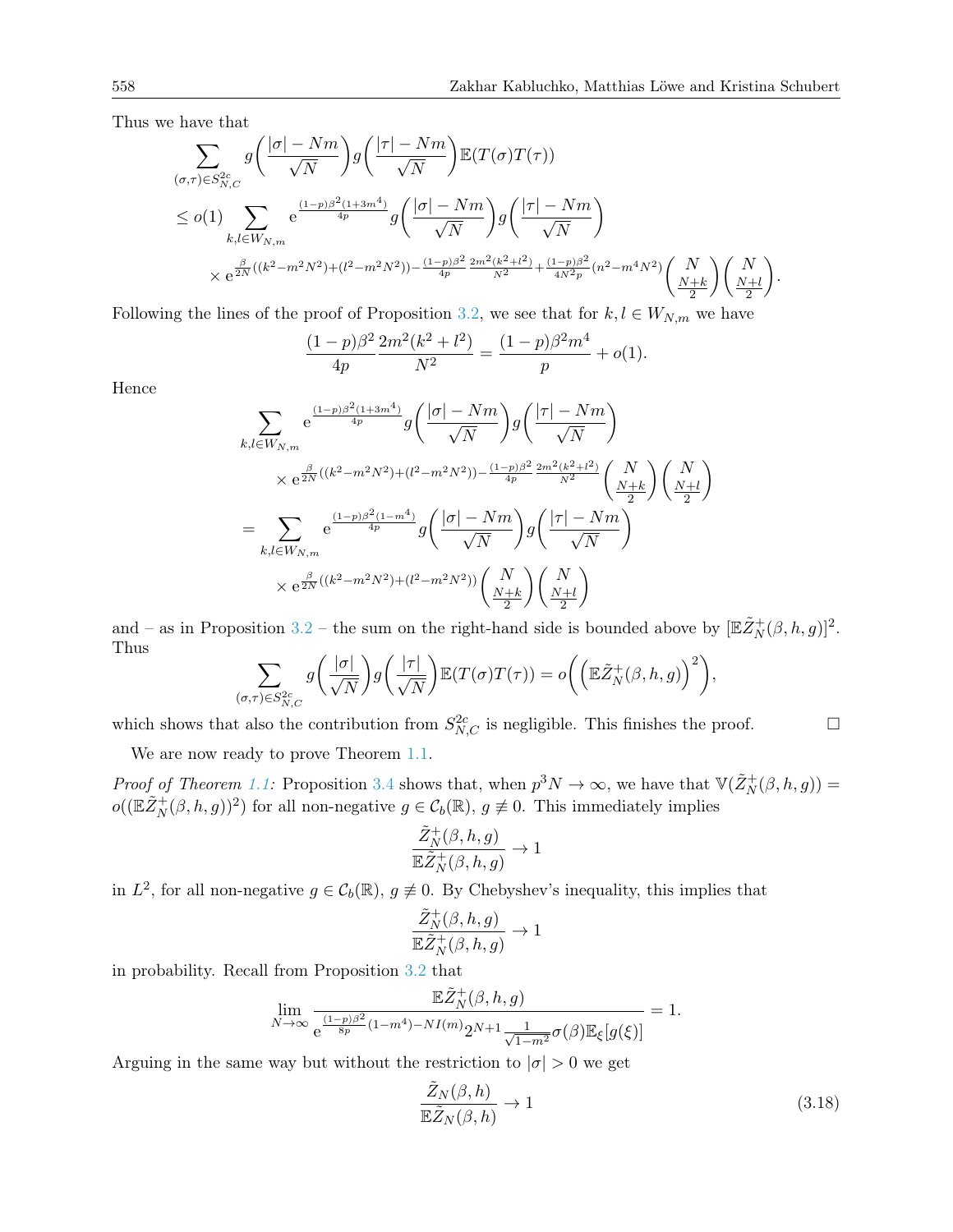Thus we have that

$$
\sum_{(\sigma,\tau)\in S_{N,C}^{2c}} g\left(\frac{|\sigma|-Nm}{\sqrt{N}}\right)g\left(\frac{|\tau|-Nm}{\sqrt{N}}\right) \mathbb{E}(T(\sigma)T(\tau))
$$
\n
$$
\leq o(1) \sum_{k,l\in W_{N,m}} e^{\frac{(1-p)\beta^2(1+3m^4)}{4p}} g\left(\frac{|\sigma|-Nm}{\sqrt{N}}\right)g\left(\frac{|\tau|-Nm}{\sqrt{N}}\right)
$$
\n
$$
\times e^{\frac{\beta}{2N}((k^2-m^2N^2)+(l^2-m^2N^2))-\frac{(1-p)\beta^2}{4p}\frac{2m^2(k^2+l^2)}{N^2}+\frac{(1-p)\beta^2}{4N^2p}(n^2-m^4N^2)}\binom{N}{\frac{N+k}{2}}\binom{N}{\frac{N+l}{2}}.
$$

Following the lines of the proof of Proposition [3.2,](#page-8-0) we see that for  $k, l \in W_{N,m}$  we have

$$
\frac{(1-p)\beta^2}{4p}\frac{2m^2(k^2+l^2)}{N^2} = \frac{(1-p)\beta^2m^4}{p} + o(1).
$$

Hence

$$
\sum_{k,l \in W_{N,m}} e^{\frac{(1-p)\beta^2(1+3m^4)}{4p}} g\left(\frac{|\sigma| - Nm}{\sqrt{N}}\right) g\left(\frac{|\tau| - Nm}{\sqrt{N}}\right)
$$
\n
$$
\times e^{\frac{\beta}{2N}((k^2 - m^2N^2) + (l^2 - m^2N^2)) - \frac{(1-p)\beta^2}{4p} \frac{2m^2(k^2 + l^2)}{N^2}} \binom{N}{\frac{N+k}{2}} \binom{N}{\frac{N+l}{2}}
$$
\n
$$
= \sum_{k,l \in W_{N,m}} e^{\frac{(1-p)\beta^2(1-m^4)}{4p}} g\left(\frac{|\sigma| - Nm}{\sqrt{N}}\right) g\left(\frac{|\tau| - Nm}{\sqrt{N}}\right)
$$
\n
$$
\times e^{\frac{\beta}{2N}((k^2 - m^2N^2) + (l^2 - m^2N^2))} \binom{N}{\frac{N+k}{2}} \binom{N}{\frac{N+l}{2}}
$$

and – as in Proposition [3.2](#page-8-0) – the sum on the right-hand side is bounded above by  $[\mathbb{E} \tilde{Z}_N^+(\beta, h, g)]^2$ . Thus

$$
\sum_{(\sigma,\tau)\in S_{N,C}^{2c}} g\left(\frac{|\sigma|}{\sqrt{N}}\right)g\left(\frac{|\tau|}{\sqrt{N}}\right) \mathbb{E}(T(\sigma)T(\tau)) = o\bigg(\left(\mathbb{E}\tilde{Z}_N^+(\beta,h,g)\right)^2\bigg),
$$

which shows that also the contribution from  $S^{2c}_{N,C}$  is negligible. This finishes the proof.

We are now ready to prove Theorem [1.1.](#page-3-0)

*Proof of Theorem [1.1:](#page-3-0)* Proposition [3.4](#page-13-0) shows that, when  $p^3N \to \infty$ , we have that  $\mathbb{V}(\tilde{Z}_N^+(\beta,h,g)) =$  $o((\mathbb{E} \tilde{Z}_N^+(\beta, h, g))^2)$  for all non-negative  $g \in C_b(\mathbb{R}), g \not\equiv 0$ . This immediately implies

$$
\frac{\tilde Z_N^+(\beta,h,g)}{{\mathbb{E}} \tilde Z_N^+(\beta,h,g)}\to 1
$$

in  $L^2$ , for all non-negative  $g \in C_b(\mathbb{R})$ ,  $g \neq 0$ . By Chebyshev's inequality, this implies that

$$
\frac{\tilde Z_N^+(\beta,h,g)}{{\mathbb{E}} \tilde Z_N^+(\beta,h,g)}\to 1
$$

in probability. Recall from Proposition [3.2](#page-8-0) that

$$
\lim_{N \to \infty} \frac{\mathbb{E} \tilde{Z}_N^+(\beta, h, g)}{e^{\frac{(1-p)\beta^2}{8p}(1-m^4) - NI(m)} 2^{N+1} \frac{1}{\sqrt{1-m^2}} \sigma(\beta) \mathbb{E}_{\xi}[g(\xi)]} = 1.
$$

Arguing in the same way but without the restriction to  $|\sigma| > 0$  we get

<span id="page-21-0"></span>
$$
\frac{\tilde{Z}_N(\beta, h)}{\mathbb{E}\tilde{Z}_N(\beta, h)} \to 1\tag{3.18}
$$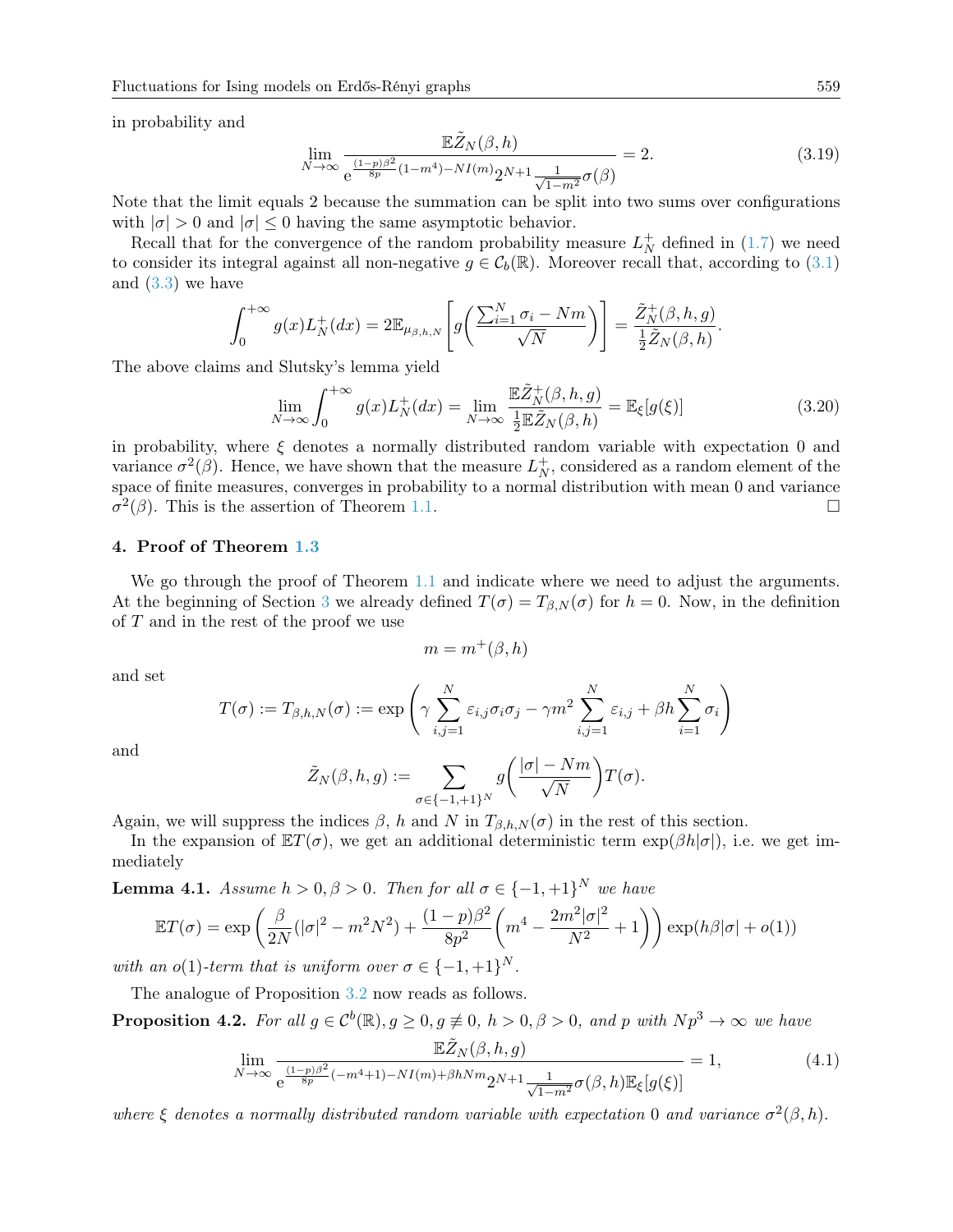in probability and

<span id="page-22-0"></span>
$$
\lim_{N \to \infty} \frac{\mathbb{E}\tilde{Z}_N(\beta, h)}{e^{\frac{(1-p)\beta^2}{8p}(1-m^4) - NI(m)} 2^{N+1} \frac{1}{\sqrt{1-m^2}} \sigma(\beta)} = 2.
$$
\n(3.19)

Note that the limit equals 2 because the summation can be split into two sums over configurations with  $|\sigma| > 0$  and  $|\sigma| \leq 0$  having the same asymptotic behavior.

Recall that for the convergence of the random probability measure  $L_N^+$  $_N^+$  defined in  $(1.7)$  we need to consider its integral against all non-negative  $g \in C_b(\mathbb{R})$ . Moreover recall that, according to [\(3.1\)](#page-6-1) and [\(3.3\)](#page-7-1) we have

$$
\int_0^{+\infty} g(x)L_N^+(dx) = 2\mathbb{E}_{\mu_{\beta,h,N}}\left[g\left(\frac{\sum_{i=1}^N \sigma_i - Nm}{\sqrt{N}}\right)\right] = \frac{\tilde{Z}_N^+(\beta,h,g)}{\frac{1}{2}\tilde{Z}_N(\beta,h)}.
$$

The above claims and Slutsky's lemma yield

<span id="page-22-3"></span>
$$
\lim_{N \to \infty} \int_0^{+\infty} g(x) L_N^+(dx) = \lim_{N \to \infty} \frac{\mathbb{E}\tilde{Z}_N^+(\beta, h, g)}{\frac{1}{2} \mathbb{E}\tilde{Z}_N(\beta, h)} = \mathbb{E}_{\xi}[g(\xi)] \tag{3.20}
$$

in probability, where  $\xi$  denotes a normally distributed random variable with expectation 0 and variance  $\sigma^2(\beta)$ . Hence, we have shown that the measure  $L_N^+$  $_N^+$ , considered as a random element of the space of finite measures, converges in probability to a normal distribution with mean 0 and variance  $\sigma^2(\beta)$ . This is the assertion of Theorem [1.1.](#page-3-0)

### <span id="page-22-2"></span>4. Proof of Theorem [1.3](#page-4-0)

We go through the proof of Theorem [1.1](#page-3-0) and indicate where we need to adjust the arguments. At the beginning of Section [3](#page-6-0) we already defined  $T(\sigma) = T_{\beta,N}(\sigma)$  for  $h = 0$ . Now, in the definition of  $T$  and in the rest of the proof we use

$$
m = m^+(\beta, h)
$$

and set

$$
T(\sigma) := T_{\beta,h,N}(\sigma) := \exp\left(\gamma \sum_{i,j=1}^N \varepsilon_{i,j} \sigma_i \sigma_j - \gamma m^2 \sum_{i,j=1}^N \varepsilon_{i,j} + \beta h \sum_{i=1}^N \sigma_i\right)
$$

and

$$
\tilde{Z}_N(\beta, h, g) := \sum_{\sigma \in \{-1, +1\}^N} g\left(\frac{|\sigma| - Nm}{\sqrt{N}}\right) T(\sigma).
$$

Again, we will suppress the indices  $\beta$ , h and N in  $T_{\beta,h,N}(\sigma)$  in the rest of this section.

In the expansion of  $\mathbb{E}T(\sigma)$ , we get an additional deterministic term  $\exp(\beta h|\sigma|)$ , i.e. we get immediately

**Lemma 4.1.** Assume  $h > 0, \beta > 0$ . Then for all  $\sigma \in \{-1, +1\}^N$  we have

$$
\mathbb{E}T(\sigma) = \exp\left(\frac{\beta}{2N}(|\sigma|^2 - m^2N^2) + \frac{(1-p)\beta^2}{8p^2}\left(m^4 - \frac{2m^2|\sigma|^2}{N^2} + 1\right)\right)\exp(h\beta|\sigma| + o(1))
$$

with an o(1)-term that is uniform over  $\sigma \in \{-1, +1\}^N$ .

The analogue of Proposition [3.2](#page-8-0) now reads as follows.

**Proposition 4.2.** For all  $g \in C^b(\mathbb{R}), g \ge 0, g \ne \emptyset$ ,  $h > 0, \beta > 0$ , and p with  $Np^3 \to \infty$  we have  $\mathbb{E} \tilde{H}$  (*β, h*)

<span id="page-22-1"></span>
$$
\lim_{N \to \infty} \frac{\mathbb{E}Z_N(\beta, h, g)}{e^{\frac{(1-p)\beta^2}{8p}(-m^4+1) - NI(m) + \beta h N m} 2^{N+1} \frac{1}{\sqrt{1-m^2}} \sigma(\beta, h) \mathbb{E}_{\xi}[g(\xi)]} = 1,
$$
\n(4.1)

where  $\xi$  denotes a normally distributed random variable with expectation 0 and variance  $\sigma^2(\beta, h)$ .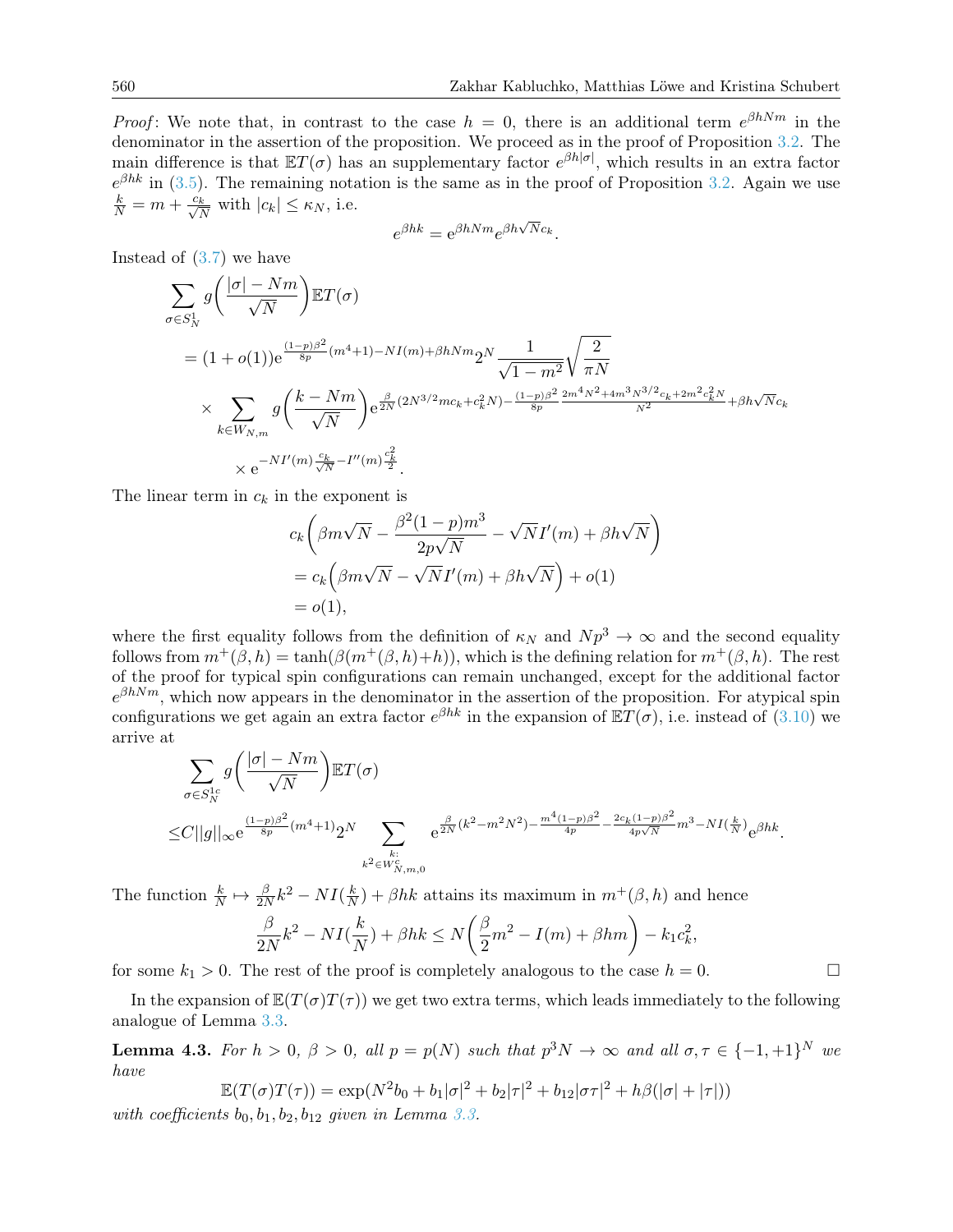*Proof*: We note that, in contrast to the case  $h = 0$ , there is an additional term  $e^{\beta h N m}$  in the denominator in the assertion of the proposition. We proceed as in the proof of Proposition [3.2.](#page-8-0) The main difference is that  $ET(\sigma)$  has an supplementary factor  $e^{\beta h|\sigma|}$ , which results in an extra factor  $e^{\beta h k}$  in [\(3.5\)](#page-9-1). The remaining notation is the same as in the proof of Proposition [3.2.](#page-8-0) Again we use  $\frac{k}{N} = m + \frac{c_k}{\sqrt{N}}$  with  $|c_k| \leq \kappa_N$ , i.e.

$$
e^{\beta hk} = e^{\beta hNm} e^{\beta h\sqrt{N}c_k}.
$$

Instead of  $(3.7)$  we have

$$
\sum_{\sigma \in S_N^1} g\left(\frac{|\sigma| - Nm}{\sqrt{N}}\right) \mathbb{E}T(\sigma)
$$
\n
$$
= (1 + o(1))e^{\frac{(1-p)\beta^2}{8p}(m^4 + 1) - NI(m) + \beta hNm} 2^N \frac{1}{\sqrt{1 - m^2}} \sqrt{\frac{2}{\pi N}}
$$
\n
$$
\times \sum_{k \in W_{N,m}} g\left(\frac{k - Nm}{\sqrt{N}}\right) e^{\frac{\beta}{2N}(2N^{3/2}mc_k + c_k^2 N) - \frac{(1-p)\beta^2}{8p} \frac{2m^4 N^2 + 4m^3 N^{3/2}c_k + 2m^2 c_k^2 N}{N^2} + \beta h\sqrt{N}c_k}
$$
\n
$$
\times e^{-N I'(m) \frac{c_k}{\sqrt{N}} - I''(m) \frac{c_k^2}{2}}.
$$

The linear term in  $c_k$  in the exponent is

$$
c_k \left( \beta m \sqrt{N} - \frac{\beta^2 (1-p) m^3}{2p \sqrt{N}} - \sqrt{N} I'(m) + \beta h \sqrt{N} \right)
$$
  
=  $c_k \left( \beta m \sqrt{N} - \sqrt{N} I'(m) + \beta h \sqrt{N} \right) + o(1)$   
=  $o(1)$ ,

where the first equality follows from the definition of  $\kappa_N$  and  $N p^3 \to \infty$  and the second equality follows from  $m^+(\beta, h) = \tanh(\beta(m^+(\beta, h)+h))$ , which is the defining relation for  $m^+(\beta, h)$ . The rest of the proof for typical spin configurations can remain unchanged, except for the additional factor  $e^{\beta h N m}$ , which now appears in the denominator in the assertion of the proposition. For atypical spin configurations we get again an extra factor  $e^{\beta h k}$  in the expansion of  $\mathbb{E}T(\sigma)$ , i.e. instead of [\(3.10\)](#page-12-4) we arrive at

$$
\sum_{\sigma \in S_N^{1c}} g\left(\frac{|\sigma| - Nm}{\sqrt{N}}\right) \mathbb{E}T(\sigma) \n\leq C||g||_{\infty} e^{\frac{(1-p)\beta^2}{8p}(m^4+1)} 2^N \sum_{\substack{k:\\k^2 \in W_{N,m,0}^c}} e^{\frac{\beta}{2N}(k^2 - m^2N^2) - \frac{m^4(1-p)\beta^2}{4p} - \frac{2c_k(1-p)\beta^2}{4p\sqrt{N}} m^3 - NI(\frac{k}{N})} e^{\beta h k}.
$$

The function  $\frac{k}{N} \mapsto \frac{\beta}{2N}k^2 - NI(\frac{k}{N})$  $\frac{k}{N}$  +  $\beta$ hk attains its maximum in  $m^+(\beta, h)$  and hence

$$
\frac{\beta}{2N}k^2 - NI(\frac{k}{N}) + \beta hk \le N\left(\frac{\beta}{2}m^2 - I(m) + \beta hm\right) - k_1c_k^2,
$$

for some  $k_1 > 0$ . The rest of the proof is completely analogous to the case  $h = 0$ .

In the expansion of  $\mathbb{E}(T(\sigma)T(\tau))$  we get two extra terms, which leads immediately to the following analogue of Lemma [3.3.](#page-12-0)

**Lemma 4.3.** For  $h > 0$ ,  $\beta > 0$ , all  $p = p(N)$  such that  $p^3N \to \infty$  and all  $\sigma, \tau \in \{-1, +1\}^N$  we have

$$
\mathbb{E}(T(\sigma)T(\tau)) = \exp(N^2 b_0 + b_1|\sigma|^2 + b_2|\tau|^2 + b_{12}|\sigma\tau|^2 + h\beta(|\sigma| + |\tau|))
$$

with coefficients  $b_0, b_1, b_2, b_{12}$  given in Lemma [3.3.](#page-12-0)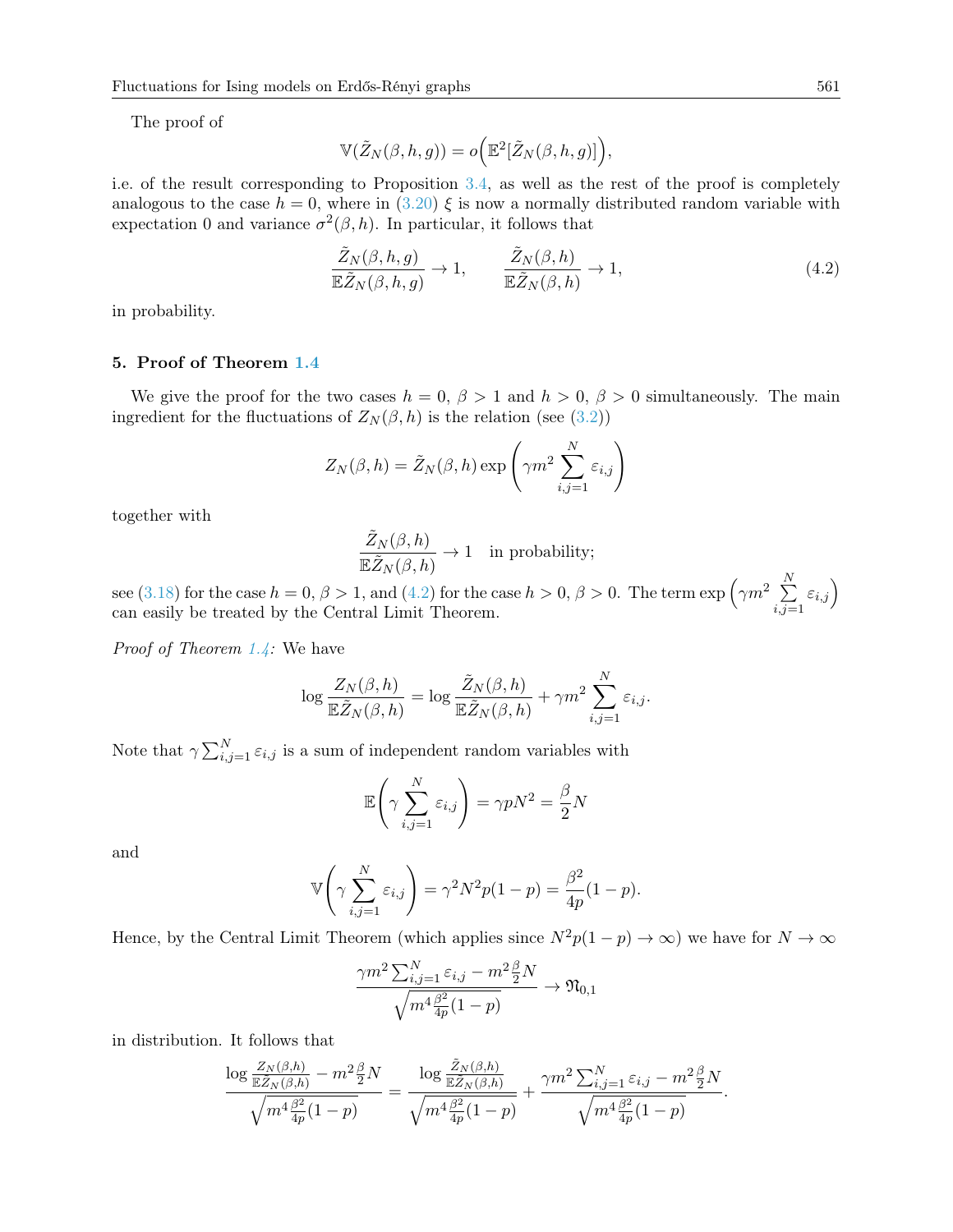The proof of

$$
\mathbb{V}(\tilde{Z}_N(\beta,h,g)) = o\Big(\mathbb{E}^2[\tilde{Z}_N(\beta,h,g)]\Big),\,
$$

i.e. of the result corresponding to Proposition [3.4,](#page-13-0) as well as the rest of the proof is completely analogous to the case  $h = 0$ , where in  $(3.20) \xi$  $(3.20) \xi$  is now a normally distributed random variable with expectation 0 and variance  $\sigma^2(\beta, h)$ . In particular, it follows that

<span id="page-24-0"></span>
$$
\frac{\tilde{Z}_N(\beta, h, g)}{\mathbb{E}\tilde{Z}_N(\beta, h, g)} \to 1, \qquad \frac{\tilde{Z}_N(\beta, h)}{\mathbb{E}\tilde{Z}_N(\beta, h)} \to 1,
$$
\n(4.2)

in probability.

### 5. Proof of Theorem [1.4](#page-4-1)

We give the proof for the two cases  $h = 0, \beta > 1$  and  $h > 0, \beta > 0$  simultaneously. The main ingredient for the fluctuations of  $Z_N(\beta, h)$  is the relation (see [\(3.2\)](#page-7-2))

$$
Z_N(\beta, h) = \tilde{Z}_N(\beta, h) \exp\left(\gamma m^2 \sum_{i,j=1}^N \varepsilon_{i,j}\right)
$$

together with

$$
\frac{\tilde Z_N(\beta,h)}{{\mathbb{E}} \tilde Z_N(\beta,h)}\to 1 \quad \text{in probability};
$$

see [\(3.18\)](#page-21-0) for the case  $h = 0, \beta > 1$ , and [\(4.2\)](#page-24-0) for the case  $h > 0, \beta > 0$ . The term  $\exp\left(\gamma m^2 \sum_{k=1}^{N} \frac{1}{k}\right)$  $_{i,j=1}$  $\varepsilon_{i,j}$ can easily be treated by the Central Limit Theorem.

*Proof of Theorem [1.4:](#page-4-1)* We have

$$
\log \frac{Z_N(\beta, h)}{\mathbb{E}\tilde{Z}_N(\beta, h)} = \log \frac{\tilde{Z}_N(\beta, h)}{\mathbb{E}\tilde{Z}_N(\beta, h)} + \gamma m^2 \sum_{i,j=1}^N \varepsilon_{i,j}.
$$

Note that  $\gamma \sum_{i,j=1}^{N} \varepsilon_{i,j}$  is a sum of independent random variables with

$$
\mathbb{E}\left(\gamma \sum_{i,j=1}^{N} \varepsilon_{i,j}\right) = \gamma p N^2 = \frac{\beta}{2} N
$$

and

$$
\mathbb{V}\bigg(\gamma \sum_{i,j=1}^N \varepsilon_{i,j}\bigg) = \gamma^2 N^2 p(1-p) = \frac{\beta^2}{4p}(1-p).
$$

Hence, by the Central Limit Theorem (which applies since  $N^2p(1-p) \to \infty$ ) we have for  $N \to \infty$ 

$$
\frac{\gamma m^2 \sum_{i,j=1}^N \varepsilon_{i,j} - m^2 \frac{\beta}{2} N}{\sqrt{m^4 \frac{\beta^2}{4p} (1-p)}} \to \mathfrak{N}_{0,1}
$$

in distribution. It follows that

$$
\frac{\log \frac{Z_N(\beta,h)}{\mathbb{E}\tilde{Z}_N(\beta,h)} - m^2 \frac{\beta}{2} N}{\sqrt{m^4 \frac{\beta^2}{4p}(1-p)}} = \frac{\log \frac{\tilde{Z}_N(\beta,h)}{\mathbb{E}\tilde{Z}_N(\beta,h)}}{\sqrt{m^4 \frac{\beta^2}{4p}(1-p)}} + \frac{\gamma m^2 \sum_{i,j=1}^N \varepsilon_{i,j} - m^2 \frac{\beta}{2} N}{\sqrt{m^4 \frac{\beta^2}{4p}(1-p)}}.
$$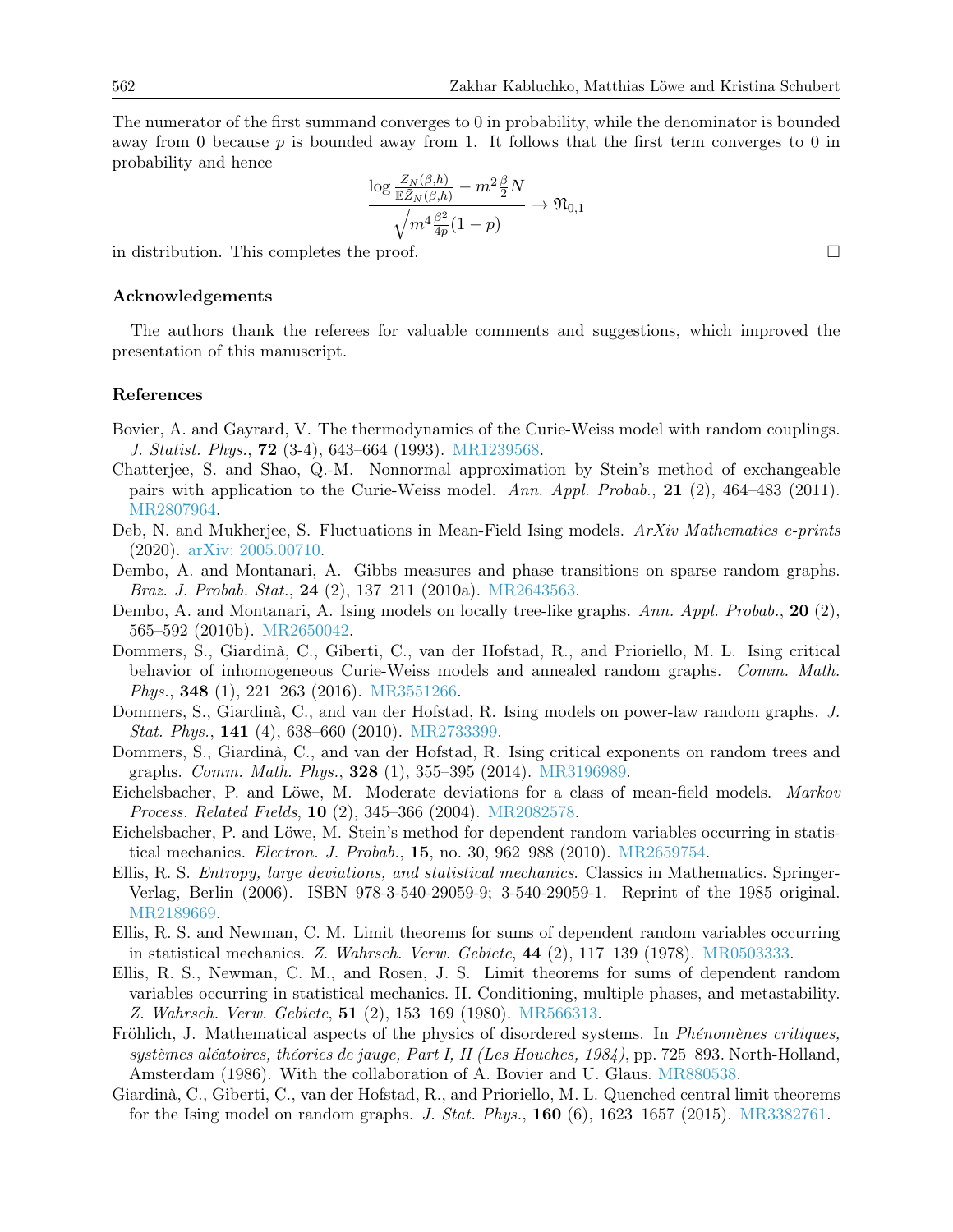The numerator of the first summand converges to 0 in probability, while the denominator is bounded away from 0 because  $p$  is bounded away from 1. It follows that the first term converges to 0 in probability and hence

$$
\frac{\log \frac{Z_N(\beta,h)}{\mathbb{E}\tilde{Z}_N(\beta,h)} - m^2 \frac{\beta}{2} N}{\sqrt{m^4 \frac{\beta^2}{4p}(1-p)}} \to \mathfrak{N}_{0,1}
$$

in distribution. This completes the proof.  $\Box$ 

#### Acknowledgements

The authors thank the referees for valuable comments and suggestions, which improved the presentation of this manuscript.

#### References

- <span id="page-25-1"></span>Bovier, A. and Gayrard, V. The thermodynamics of the Curie-Weiss model with random couplings. J. Statist. Phys., 72 (3-4), 643–664 (1993). [MR1239568.](http://www.ams.org/mathscinet-getitem?mr=MR1239568)
- <span id="page-25-3"></span>Chatterjee, S. and Shao, Q.-M. Nonnormal approximation by Stein's method of exchangeable pairs with application to the Curie-Weiss model. Ann. Appl. Probab., 21 (2), 464–483 (2011). [MR2807964.](http://www.ams.org/mathscinet-getitem?mr=MR2807964)
- <span id="page-25-13"></span>Deb, N. and Mukherjee, S. Fluctuations in Mean-Field Ising models. ArXiv Mathematics e-prints (2020). [arXiv: 2005.00710.](http://arxiv.org/abs/2005.00710)
- <span id="page-25-7"></span>Dembo, A. and Montanari, A. Gibbs measures and phase transitions on sparse random graphs. Braz. J. Probab. Stat., 24 (2), 137–211 (2010a). [MR2643563.](http://www.ams.org/mathscinet-getitem?mr=MR2643563)
- <span id="page-25-8"></span>Dembo, A. and Montanari, A. Ising models on locally tree-like graphs. Ann. Appl. Probab., 20 (2), 565–592 (2010b). [MR2650042.](http://www.ams.org/mathscinet-getitem?mr=MR2650042)
- <span id="page-25-9"></span>Dommers, S., Giardinà, C., Giberti, C., van der Hofstad, R., and Prioriello, M. L. Ising critical behavior of inhomogeneous Curie-Weiss models and annealed random graphs. Comm. Math. Phys., 348 (1), 221–263 (2016). [MR3551266.](http://www.ams.org/mathscinet-getitem?mr=MR3551266)
- <span id="page-25-10"></span>Dommers, S., Giardinà, C., and van der Hofstad, R. Ising models on power-law random graphs. J. Stat. Phys., 141 (4), 638–660 (2010). [MR2733399.](http://www.ams.org/mathscinet-getitem?mr=MR2733399)
- <span id="page-25-11"></span>Dommers, S., Giardinà, C., and van der Hofstad, R. Ising critical exponents on random trees and graphs. Comm. Math. Phys., 328 (1), 355–395 (2014). [MR3196989.](http://www.ams.org/mathscinet-getitem?mr=MR3196989)
- <span id="page-25-14"></span>Eichelsbacher, P. and Löwe, M. Moderate deviations for a class of mean-field models. Markov Process. Related Fields, 10 (2), 345–366 (2004). [MR2082578.](http://www.ams.org/mathscinet-getitem?mr=MR2082578)
- <span id="page-25-4"></span>Eichelsbacher, P. and Löwe, M. Stein's method for dependent random variables occurring in statistical mechanics. Electron. J. Probab., 15, no. 30, 962–988 (2010). [MR2659754.](http://www.ams.org/mathscinet-getitem?mr=MR2659754)
- <span id="page-25-2"></span>Ellis, R. S. Entropy, large deviations, and statistical mechanics. Classics in Mathematics. Springer-Verlag, Berlin (2006). ISBN 978-3-540-29059-9; 3-540-29059-1. Reprint of the 1985 original. [MR2189669.](http://www.ams.org/mathscinet-getitem?mr=MR2189669)
- <span id="page-25-5"></span>Ellis, R. S. and Newman, C. M. Limit theorems for sums of dependent random variables occurring in statistical mechanics. Z. Wahrsch. Verw. Gebiete, 44 (2), 117–139 (1978). [MR0503333.](http://www.ams.org/mathscinet-getitem?mr=MR0503333)
- <span id="page-25-6"></span>Ellis, R. S., Newman, C. M., and Rosen, J. S. Limit theorems for sums of dependent random variables occurring in statistical mechanics. II. Conditioning, multiple phases, and metastability. Z. Wahrsch. Verw. Gebiete, 51 (2), 153–169 (1980). [MR566313.](http://www.ams.org/mathscinet-getitem?mr=MR566313)
- <span id="page-25-0"></span>Fröhlich, J. Mathematical aspects of the physics of disordered systems. In *Phénomènes critiques*, systèmes aléatoires, théories de jauge, Part I, II (Les Houches, 1984), pp. 725–893. North-Holland, Amsterdam (1986). With the collaboration of A. Bovier and U. Glaus. [MR880538.](http://www.ams.org/mathscinet-getitem?mr=MR880538)
- <span id="page-25-12"></span>Giardinà, C., Giberti, C., van der Hofstad, R., and Prioriello, M. L. Quenched central limit theorems for the Ising model on random graphs. J. Stat. Phys., 160 (6), 1623–1657 (2015). [MR3382761.](http://www.ams.org/mathscinet-getitem?mr=MR3382761)